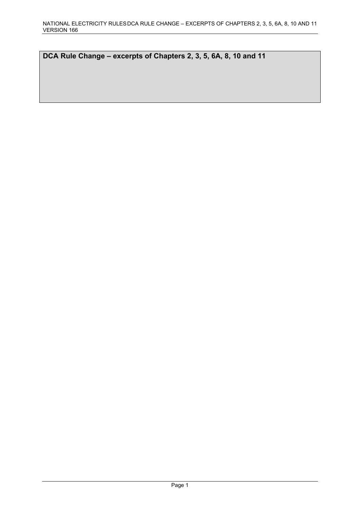**DCA Rule Change – excerpts of Chapters 2, 3, 5, 6A, 8, 10 and 11**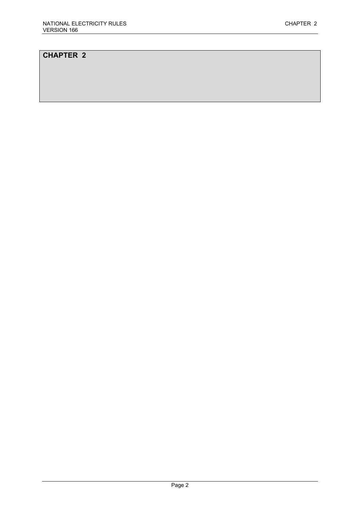# **CHAPTER 2**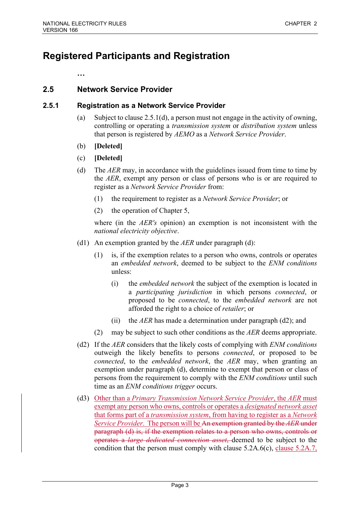# **Registered Participants and Registration**

**…**

# **2.5 Network Service Provider**

## **2.5.1 Registration as a Network Service Provider**

- (a) Subject to clause 2.5.1(d), a person must not engage in the activity of owning, controlling or operating a *transmission system* or *distribution system* unless that person is registered by *AEMO* as a *Network Service Provider*.
- (b) **[Deleted]**
- (c) **[Deleted]**
- (d) The *AER* may, in accordance with the guidelines issued from time to time by the *AER*, exempt any person or class of persons who is or are required to register as a *Network Service Provider* from:
	- (1) the requirement to register as a *Network Service Provider*; or
	- (2) the operation of Chapter 5,

where (in the *AER's* opinion) an exemption is not inconsistent with the *national electricity objective*.

- (d1) An exemption granted by the *AER* under paragraph (d):
	- (1) is, if the exemption relates to a person who owns, controls or operates an *embedded network*, deemed to be subject to the *ENM conditions* unless:
		- (i) the *embedded network* the subject of the exemption is located in a *participating jurisdiction* in which persons *connected*, or proposed to be *connected*, to the *embedded network* are not afforded the right to a choice of *retailer*; or
		- (ii) the *AER* has made a determination under paragraph (d2); and
	- (2) may be subject to such other conditions as the *AER* deems appropriate.
- (d2) If the *AER* considers that the likely costs of complying with *ENM conditions* outweigh the likely benefits to persons *connected*, or proposed to be *connected*, to the *embedded network*, the *AER* may, when granting an exemption under paragraph (d), determine to exempt that person or class of persons from the requirement to comply with the *ENM conditions* until such time as an *ENM conditions trigger* occurs.
- (d3) Other than a *Primary Transmission Network Service Provider*, the *AER* must exempt any person who owns, controls or operates a *designated network asset* that forms part of a *transmission system*, from having to register as a *Network Service Provider*. The person will be An exemption granted by the *AER* under paragraph (d) is, if the exemption relates to a person who owns, controls or operates a *large dedicated connection asset*, deemed to be subject to the condition that the person must comply with clause 5.2A.6(c), clause 5.2A.7,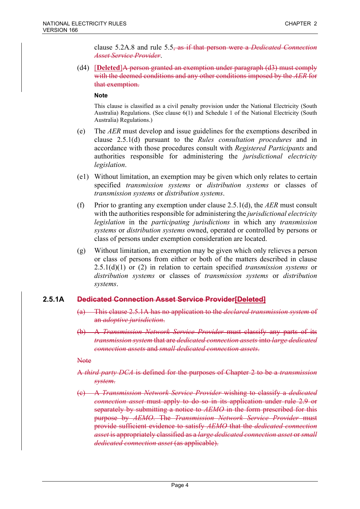clause 5.2A.8 and rule 5.5, as if that person were a *Dedicated Connection Asset Service Provider*.

(d4) [**Deleted**]A person granted an exemption under paragraph (d3) must comply with the deemed conditions and any other conditions imposed by the *AER* for that exemption.

#### **Note**

This clause is classified as a civil penalty provision under the National Electricity (South Australia) Regulations. (See clause 6(1) and Schedule 1 of the National Electricity (South Australia) Regulations.)

- (e) The *AER* must develop and issue guidelines for the exemptions described in clause 2.5.1(d) pursuant to the *Rules consultation procedures* and in accordance with those procedures consult with *Registered Participants* and authorities responsible for administering the *jurisdictional electricity legislation*.
- (e1) Without limitation, an exemption may be given which only relates to certain specified *transmission systems* or *distribution systems* or classes of *transmission systems* or *distribution systems*.
- (f) Prior to granting any exemption under clause 2.5.1(d), the *AER* must consult with the authorities responsible for administering the *jurisdictional electricity legislation* in the *participating jurisdictions* in which any *transmission systems* or *distribution systems* owned, operated or controlled by persons or class of persons under exemption consideration are located.
- (g) Without limitation, an exemption may be given which only relieves a person or class of persons from either or both of the matters described in clause 2.5.1(d)(1) or (2) in relation to certain specified *transmission systems* or *distribution systems* or classes of *transmission systems* or *distribution systems*.

# **2.5.1A Dedicated Connection Asset Service Provider[Deleted]**

- (a) This clause 2.5.1A has no application to the *declared transmission system* of an *adoptive jurisdiction*.
- (b) A *Transmission Network Service Provider* must classify any parts of its *transmission system* that are *dedicated connection assets* into *large dedicated connection assets* and *small dedicated connection assets*.

Note

- A *third party DCA* is defined for the purposes of Chapter 2 to be a *transmission system*.
- (c) A *Transmission Network Service Provider* wishing to classify a *dedicated connection asset* must apply to do so in its application under rule 2.9 or separately by submitting a notice to *AEMO* in the form prescribed for this purpose by *AEMO*. The *Transmission Network Service Provider* must provide sufficient evidence to satisfy *AEMO* that the *dedicated connection asset* is appropriately classified as a *large dedicated connection asset* or *small dedicated connection asset* (as applicable).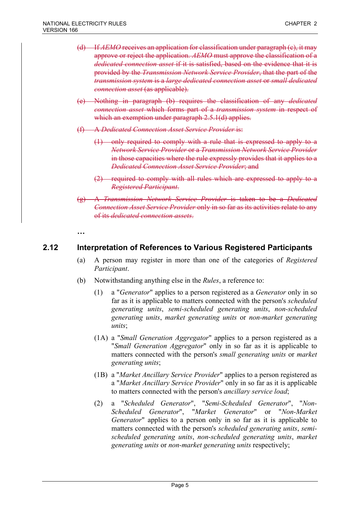- (d) If *AEMO* receives an application for classification under paragraph (c), it may approve or reject the application. *AEMO* must approve the classification of a *dedicated connection asset* if it is satisfied, based on the evidence that it is provided by the *Transmission Network Service Provider*, that the part of the *transmission system* is a *large dedicated connection asset* or *small dedicated connection asset* (as applicable).
- (e) Nothing in paragraph (b) requires the classification of any *dedicated connection asset* which forms part of a *transmission system* in respect of which an exemption under paragraph 2.5.1(d) applies.
- (f) A *Dedicated Connection Asset Service Provider* is:
	- (1) only required to comply with a rule that is expressed to apply to a *Network Service Provider* or a *Transmission Network Service Provider* in those capacities where the rule expressly provides that it applies to a *Dedicated Connection Asset Service Provider*; and
	- (2) required to comply with all rules which are expressed to apply to a *Registered Participant*.
- (g) A *Transmission Network Service Provider* is taken to be a *Dedicated Connection Asset Service Provider* only in so far as its activities relate to any of its *dedicated connection assets*.

**…**

# **2.12 Interpretation of References to Various Registered Participants**

- (a) A person may register in more than one of the categories of *Registered Participant*.
- (b) Notwithstanding anything else in the *Rules*, a reference to:
	- (1) a "*Generator*" applies to a person registered as a *Generator* only in so far as it is applicable to matters connected with the person's *scheduled generating units*, *semi-scheduled generating units*, *non-scheduled generating units*, *market generating units* or *non-market generating units*;
	- (1A) a "*Small Generation Aggregator*" applies to a person registered as a "*Small Generation Aggregator*" only in so far as it is applicable to matters connected with the person's *small generating units* or *market generating units*;
	- (1B) a "*Market Ancillary Service Provider*" applies to a person registered as a "*Market Ancillary Service Provider*" only in so far as it is applicable to matters connected with the person's *ancillary service load*;
	- (2) a "*Scheduled Generator*", "*Semi-Scheduled Generator*", "*Non-Scheduled Generator*", "*Market Generator*" or "*Non-Market Generator*" applies to a person only in so far as it is applicable to matters connected with the person's *scheduled generating units*, *semischeduled generating units*, *non-scheduled generating units*, *market generating units* or *non-market generating units* respectively;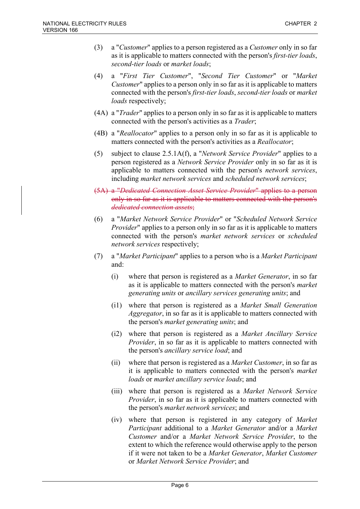- (3) a "*Customer*" applies to a person registered as a *Customer* only in so far as it is applicable to matters connected with the person's *first-tier loads*, *second-tier loads* or *market loads*;
- (4) a "*First Tier Customer*", "*Second Tier Customer*" or "*Market Customer*" applies to a person only in so far as it is applicable to matters connected with the person's *first-tier loads*, *second-tier loads* or *market loads* respectively;
- (4A) a "*Trader*" applies to a person only in so far as it is applicable to matters connected with the person's activities as a *Trader*;
- (4B) a "*Reallocator*" applies to a person only in so far as it is applicable to matters connected with the person's activities as a *Reallocator*;
- (5) subject to clause 2.5.1A(f), a "*Network Service Provider*" applies to a person registered as a *Network Service Provider* only in so far as it is applicable to matters connected with the person's *network services*, including *market network services* and *scheduled network services*;
- (5A) a "*Dedicated Connection Asset Service Provider*" applies to a person only in so far as it is applicable to matters connected with the person's *dedicated connection assets*;
- (6) a "*Market Network Service Provider*" or "*Scheduled Network Service Provider*" applies to a person only in so far as it is applicable to matters connected with the person's *market network services* or *scheduled network services* respectively;
- (7) a "*Market Participant*" applies to a person who is a *Market Participant* and:
	- (i) where that person is registered as a *Market Generator*, in so far as it is applicable to matters connected with the person's *market generating units* or *ancillary services generating units*; and
	- (i1) where that person is registered as a *Market Small Generation Aggregator*, in so far as it is applicable to matters connected with the person's *market generating units*; and
	- (i2) where that person is registered as a *Market Ancillary Service Provider*, in so far as it is applicable to matters connected with the person's *ancillary service load*; and
	- (ii) where that person is registered as a *Market Customer*, in so far as it is applicable to matters connected with the person's *market loads* or *market ancillary service loads*; and
	- (iii) where that person is registered as a *Market Network Service Provider*, in so far as it is applicable to matters connected with the person's *market network services*; and
	- (iv) where that person is registered in any category of *Market Participant* additional to a *Market Generator* and/or a *Market Customer* and/or a *Market Network Service Provider*, to the extent to which the reference would otherwise apply to the person if it were not taken to be a *Market Generator*, *Market Customer* or *Market Network Service Provider*; and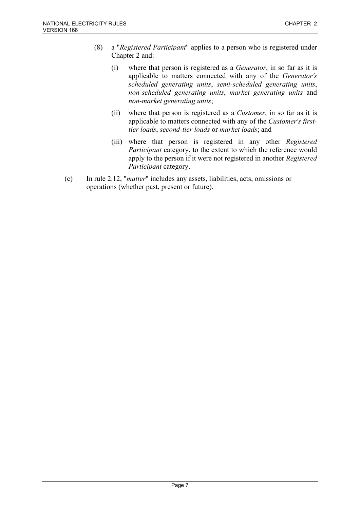- (8) a "*Registered Participant*" applies to a person who is registered under Chapter 2 and:
	- (i) where that person is registered as a *Generator*, in so far as it is applicable to matters connected with any of the *Generator's scheduled generating units*, *semi-scheduled generating units*, *non-scheduled generating units*, *market generating units* and *non-market generating units*;
	- (ii) where that person is registered as a *Customer*, in so far as it is applicable to matters connected with any of the *Customer's firsttier loads*, *second-tier loads* or *market loads*; and
	- (iii) where that person is registered in any other *Registered Participant* category, to the extent to which the reference would apply to the person if it were not registered in another *Registered Participant* category.
- (c) In rule 2.12, "*matter*" includes any assets, liabilities, acts, omissions or operations (whether past, present or future).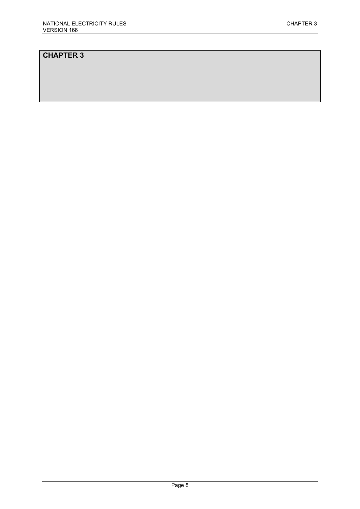# **CHAPTER 3**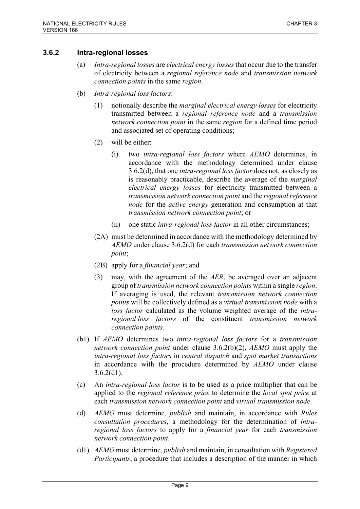### **3.6.2 Intra-regional losses**

- (a) *Intra-regional losses* are *electrical energy losses* that occur due to the transfer of electricity between a *regional reference node* and *transmission network connection points* in the same *region*.
- (b) *Intra-regional loss factors*:
	- (1) notionally describe the *marginal electrical energy losses* for electricity transmitted between a *regional reference node* and a *transmission network connection point* in the same *region* for a defined time period and associated set of operating conditions;
	- (2) will be either:
		- (i) two *intra-regional loss factors* where *AEMO* determines, in accordance with the methodology determined under clause 3.6.2(d), that one *intra-regional loss factor* does not, as closely as is reasonably practicable, describe the average of the *marginal electrical energy losses* for electricity transmitted between a *transmission network connection point* and the *regional reference node* for the *active energy* generation and consumption at that *transmission network connection point*; or
		- (ii) one static *intra-regional loss factor* in all other circumstances;
	- (2A) must be determined in accordance with the methodology determined by *AEMO* under clause 3.6.2(d) for each *transmission network connection point*;
	- (2B) apply for a *financial year*; and
	- (3) may, with the agreement of the *AER*, be averaged over an adjacent group of *transmission network connection points* within a single *region*. If averaging is used, the relevant *transmission network connection points* will be collectively defined as a *virtual transmission node* with a *loss factor* calculated as the volume weighted average of the *intraregional loss factors* of the constituent *transmission network connection points*.
- (b1) If *AEMO* determines two *intra-regional loss factors* for a *transmission network connection point* under clause 3.6.2(b)(2), *AEMO* must apply the *intra-regional loss factors* in *central dispatch* and *spot market transactions* in accordance with the procedure determined by *AEMO* under clause  $3.6.2(d1)$ .
- (c) An *intra-regional loss factor* is to be used as a price multiplier that can be applied to the *regional reference price* to determine the *local spot price* at each *transmission network connection point* and *virtual transmission node*.
- (d) *AEMO* must determine, *publish* and maintain, in accordance with *Rules consultation procedures*, a methodology for the determination of *intraregional loss factors* to apply for a *financial year* for each *transmission network connection point*.
- (d1) *AEMO* must determine, *publish* and maintain, in consultation with *Registered Participants*, a procedure that includes a description of the manner in which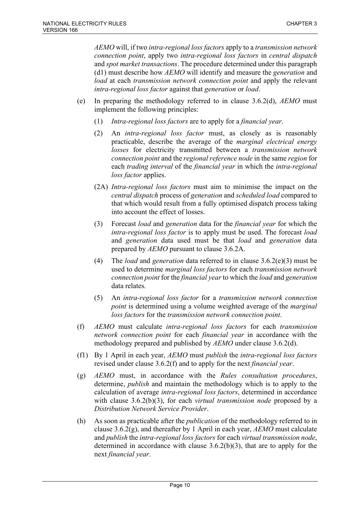*AEMO* will, if two *intra-regional loss factors* apply to a *transmission network connection point*, apply two *intra-regional loss factors* in *central dispatch* and *spot market transactions*. The procedure determined under this paragraph (d1) must describe how *AEMO* will identify and measure the *generation* and *load* at each *transmission network connection point* and apply the relevant *intra-regional loss factor* against that *generation* or *load*.

- (e) In preparing the methodology referred to in clause 3.6.2(d), *AEMO* must implement the following principles:
	- (1) *Intra-regional loss factors* are to apply for a *financial year*.
	- (2) An *intra-regional loss factor* must, as closely as is reasonably practicable, describe the average of the *marginal electrical energy losses* for electricity transmitted between a *transmission network connection point* and the *regional reference node* in the same *region* for each *trading interval* of the *financial year* in which the *intra-regional loss factor* applies.
	- (2A) *Intra-regional loss factors* must aim to minimise the impact on the *central dispatch* process of *generation* and *scheduled load* compared to that which would result from a fully optimised dispatch process taking into account the effect of losses.
	- (3) Forecast *load* and *generation* data for the *financial year* for which the *intra-regional loss factor* is to apply must be used. The forecast *load* and *generation* data used must be that *load* and *generation* data prepared by *AEMO* pursuant to clause 3.6.2A.
	- (4) The *load* and *generation* data referred to in clause 3.6.2(e)(3) must be used to determine *marginal loss factors* for each *transmission network connection point* for the *financial year* to which the *load* and *generation* data relates.
	- (5) An *intra-regional loss factor* for a *transmission network connection point* is determined using a volume weighted average of the *marginal loss factors* for the *transmission network connection point*.
- (f) *AEMO* must calculate *intra-regional loss factors* for each *transmission network connection point* for each *financial year* in accordance with the methodology prepared and published by *AEMO* under clause 3.6.2(d).
- (f1) By 1 April in each year, *AEMO* must *publish* the *intra-regional loss factors* revised under clause 3.6.2(f) and to apply for the next *financial year*.
- (g) *AEMO* must, in accordance with the *Rules consultation procedures*, determine, *publish* and maintain the methodology which is to apply to the calculation of average *intra-regional loss factors*, determined in accordance with clause 3.6.2(b)(3), for each *virtual transmission node* proposed by a *Distribution Network Service Provider*.
- (h) As soon as practicable after the *publication* of the methodology referred to in clause 3.6.2(g), and thereafter by 1 April in each year, *AEMO* must calculate and *publish* the *intra-regional loss factors* for each *virtual transmission node*, determined in accordance with clause  $3.6.2(b)(3)$ , that are to apply for the next *financial year*.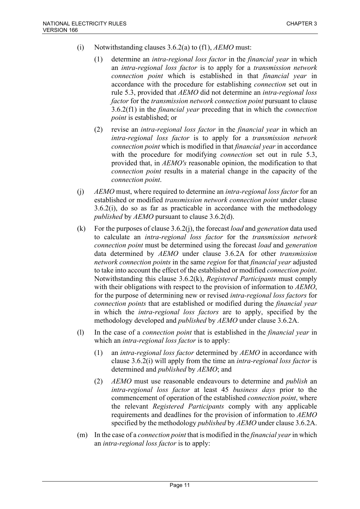- (i) Notwithstanding clauses 3.6.2(a) to (f1), *AEMO* must:
	- (1) determine an *intra-regional loss factor* in the *financial year* in which an *intra-regional loss factor* is to apply for a *transmission network connection point* which is established in that *financial year* in accordance with the procedure for establishing *connection* set out in rule 5.3, provided that *AEMO* did not determine an *intra-regional loss factor* for the *transmission network connection point* pursuant to clause 3.6.2(f1) in the *financial year* preceding that in which the *connection point* is established; or
	- (2) revise an *intra-regional loss factor* in the *financial year* in which an *intra-regional loss factor* is to apply for a *transmission network connection point* which is modified in that *financial year* in accordance with the procedure for modifying *connection* set out in rule 5.3, provided that, in *AEMO's* reasonable opinion, the modification to that *connection point* results in a material change in the capacity of the *connection point*.
- (j) *AEMO* must, where required to determine an *intra-regional loss factor* for an established or modified *transmission network connection point* under clause 3.6.2(i), do so as far as practicable in accordance with the methodology *published* by *AEMO* pursuant to clause 3.6.2(d).
- (k) For the purposes of clause 3.6.2(j), the forecast *load* and *generation* data used to calculate an *intra-regional loss factor* for the *transmission network connection point* must be determined using the forecast *load* and *generation* data determined by *AEMO* under clause 3.6.2A for other *transmission network connection points* in the same *region* for that *financial year* adjusted to take into account the effect of the established or modified *connection point*. Notwithstanding this clause 3.6.2(k), *Registered Participants* must comply with their obligations with respect to the provision of information to *AEMO*, for the purpose of determining new or revised *intra-regional loss factors* for *connection points* that are established or modified during the *financial year* in which the *intra-regional loss factors* are to apply, specified by the methodology developed and *published* by *AEMO* under clause 3.6.2A.
- (l) In the case of a *connection point* that is established in the *financial year* in which an *intra-regional loss factor* is to apply:
	- (1) an *intra-regional loss factor* determined by *AEMO* in accordance with clause 3.6.2(i) will apply from the time an *intra-regional loss factor* is determined and *published* by *AEMO*; and
	- (2) *AEMO* must use reasonable endeavours to determine and *publish* an *intra-regional loss factor* at least 45 *business days* prior to the commencement of operation of the established *connection point*, where the relevant *Registered Participants* comply with any applicable requirements and deadlines for the provision of information to *AEMO* specified by the methodology *published* by *AEMO* under clause 3.6.2A.
- (m) In the case of a *connection point* that is modified in the *financial year*in which an *intra-regional loss factor* is to apply: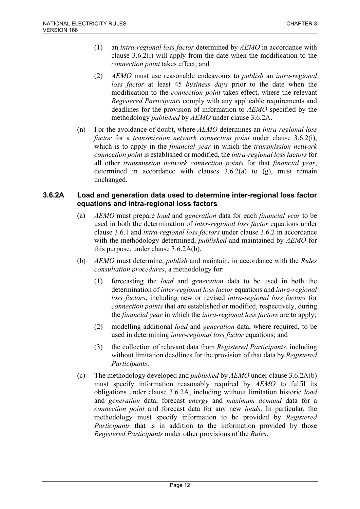- (1) an *intra-regional loss factor* determined by *AEMO* in accordance with clause 3.6.2(i) will apply from the date when the modification to the *connection point* takes effect; and
- (2) *AEMO* must use reasonable endeavours to *publish* an *intra-regional loss factor* at least 45 *business days* prior to the date when the modification to the *connection point* takes effect, where the relevant *Registered Participants* comply with any applicable requirements and deadlines for the provision of information to *AEMO* specified by the methodology *published* by *AEMO* under clause 3.6.2A.
- (n) For the avoidance of doubt, where *AEMO* determines an *intra-regional loss factor* for a *transmission network connection point* under clause 3.6.2(i), which is to apply in the *financial year* in which the *transmission network connection point* is established or modified, the *intra-regional loss factors* for all other *transmission network connection points* for that *financial year*, determined in accordance with clauses  $3.6.2(a)$  to  $(g)$ , must remain unchanged.

### **3.6.2A Load and generation data used to determine inter-regional loss factor equations and intra-regional loss factors**

- (a) *AEMO* must prepare *load* and *generation* data for each *financial year* to be used in both the determination of *inter-regional loss factor* equations under clause 3.6.1 and *intra-regional loss factors* under clause 3.6.2 in accordance with the methodology determined, *published* and maintained by *AEMO* for this purpose, under clause 3.6.2A(b).
- (b) *AEMO* must determine, *publish* and maintain, in accordance with the *Rules consultation procedures*, a methodology for:
	- (1) forecasting the *load* and *generation* data to be used in both the determination of *inter-regional loss factor* equations and *intra-regional loss factors*, including new or revised *intra-regional loss factors* for *connection points* that are established or modified, respectively, during the *financial year* in which the *intra-regional loss factors* are to apply;
	- (2) modelling additional *load* and *generation* data, where required, to be used in determining *inter-regional loss factor* equations; and
	- (3) the collection of relevant data from *Registered Participants*, including without limitation deadlines for the provision of that data by *Registered Participants*.
- (c) The methodology developed and *published* by *AEMO* under clause 3.6.2A(b) must specify information reasonably required by *AEMO* to fulfil its obligations under clause 3.6.2A, including without limitation historic *load* and *generation* data, forecast *energy* and *maximum demand* data for a *connection point* and forecast data for any new *loads*. In particular, the methodology must specify information to be provided by *Registered Participants* that is in addition to the information provided by those *Registered Participants* under other provisions of the *Rules*.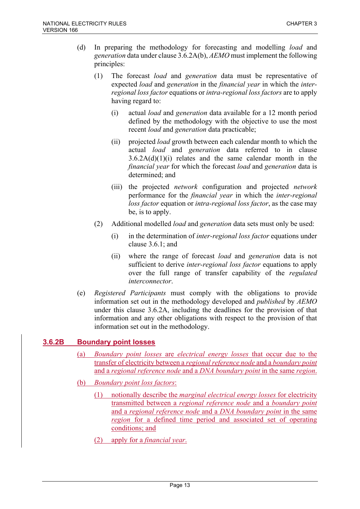- (d) In preparing the methodology for forecasting and modelling *load* and *generation* data under clause 3.6.2A(b), *AEMO* must implement the following principles:
	- (1) The forecast *load* and *generation* data must be representative of expected *load* and *generation* in the *financial year* in which the *interregional loss factor* equations or *intra-regional loss factors* are to apply having regard to:
		- (i) actual *load* and *generation* data available for a 12 month period defined by the methodology with the objective to use the most recent *load* and *generation* data practicable;
		- (ii) projected *load* growth between each calendar month to which the actual *load* and *generation* data referred to in clause  $3.6.2A(d)(1)(i)$  relates and the same calendar month in the *financial year* for which the forecast *load* and *generation* data is determined; and
		- (iii) the projected *network* configuration and projected *network* performance for the *financial year* in which the *inter-regional loss factor* equation or *intra-regional loss factor*, as the case may be, is to apply.
	- (2) Additional modelled *load* and *generation* data sets must only be used:
		- (i) in the determination of *inter-regional loss factor* equations under clause 3.6.1; and
		- (ii) where the range of forecast *load* and *generation* data is not sufficient to derive *inter-regional loss factor* equations to apply over the full range of transfer capability of the *regulated interconnector*.
- (e) *Registered Participants* must comply with the obligations to provide information set out in the methodology developed and *published* by *AEMO* under this clause 3.6.2A, including the deadlines for the provision of that information and any other obligations with respect to the provision of that information set out in the methodology.

# **3.6.2B Boundary point losses**

- (a) *Boundary point losses* are *electrical energy losses* that occur due to the transfer of electricity between a *regional reference node* and a *boundary point* and a *regional reference node* and a *DNA boundary point* in the same *region*.
- (b) *Boundary point loss factors*:
	- (1) notionally describe the *marginal electrical energy losses* for electricity transmitted between a *regional reference node* and a *boundary point* and a *regional reference node* and a *DNA boundary point* in the same *region* for a defined time period and associated set of operating conditions; and
	- (2) apply for a *financial year*.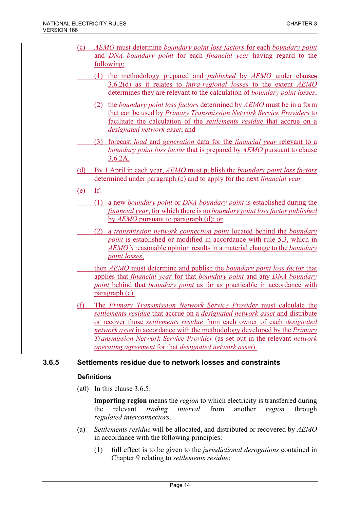- (c) *AEMO* must determine *boundary point loss factors* for each *boundary point* and *DNA boundary point* for each *financial year* having regard to the following:
	- (1) the methodology prepared and *published* by *AEMO* under clauses 3.6.2(d) as it relates to *intra-regional losses* to the extent *AEMO* determines they are relevant to the calculation of *boundary point losses*;
	- (2) the *boundary point loss factors* determined by *AEMO* must be in a form that can be used by *Primary Transmission Network Service Providers* to facilitate the calculation of the *settlements residue* that accrue on a *designated network asset*; and
	- (3) forecast *load* and *generation* data for the *financial year* relevant to a *boundary point loss factor* that is prepared by *AEMO* pursuant to clause 3.6.2A.
- (d) By 1 April in each year, *AEMO* must publish the *boundary point loss factors* determined under paragraph (c) and to apply for the next *financial year*.
- (e) If:
	- (1) a new *boundary point* or *DNA boundary point* is established during the *financial year*, for which there is no *boundary point loss factor published* by *AEMO* pursuant to paragraph (d); or
	- (2) a *transmission network connection point* located behind the *boundary point* is established or modified in accordance with rule 5.3, which in *AEMO's* reasonable opinion results in a material change to the *boundary point losses*,
	- then *AEMO* must determine and publish the *boundary point loss factor* that applies that *financial year* for that *boundary point* and any *DNA boundary point* behind that *boundary point* as far as practicable in accordance with paragraph (c).
- (f) The *Primary Transmission Network Service Provider* must calculate the *settlements residue* that accrue on a *designated network asset* and distribute or recover those *settlements residue* from each owner of each *designated network asset* in accordance with the methodology developed by the *Primary Transmission Network Service Provider* (as set out in the relevant *network operating agreement* for that *designated network asset*).

### **3.6.5 Settlements residue due to network losses and constraints**

### **Definitions**

(a0) In this clause 3.6.5:

**importing region** means the *region* to which electricity is transferred during the relevant *trading interval* from another *region* through *regulated interconnectors*.

- (a) *Settlements residue* will be allocated, and distributed or recovered by *AEMO* in accordance with the following principles:
	- (1) full effect is to be given to the *jurisdictional derogations* contained in Chapter 9 relating to *settlements residue*;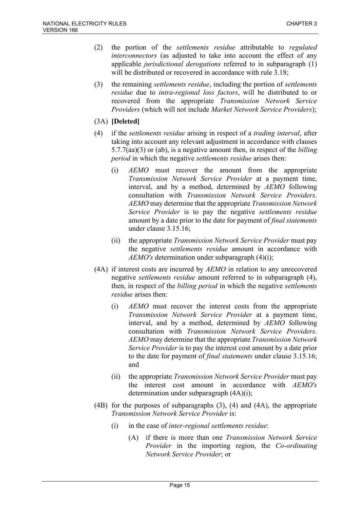- (2) the portion of the *settlements residue* attributable to *regulated interconnectors* (as adjusted to take into account the effect of any applicable *jurisdictional derogations* referred to in subparagraph (1) will be distributed or recovered in accordance with rule 3.18;
- (3) the remaining *settlements residue*, including the portion of *settlements residue* due to *intra-regional loss factors*, will be distributed to or recovered from the appropriate *Transmission Network Service Providers* (which will not include *Market Network Service Providers*);
- (3A) **[Deleted]**
- (4) if the *settlements residue* arising in respect of a *trading interval*, after taking into account any relevant adjustment in accordance with clauses 5.7.7(aa)(3) or (ab), is a negative amount then, in respect of the *billing period* in which the negative *settlements residue* arises then:
	- (i) *AEMO* must recover the amount from the appropriate *Transmission Network Service Provider* at a payment time, interval, and by a method, determined by *AEMO* following consultation with *Transmission Network Service Providers*. *AEMO* may determine that the appropriate *Transmission Network Service Provider* is to pay the negative *settlements residue*  amount by a date prior to the date for payment of *final statements* under clause 3.15.16;
	- (ii) the appropriate *Transmission Network Service Provider* must pay the negative *settlements residue* amount in accordance with *AEMO's* determination under subparagraph (4)(i);
- (4A) if interest costs are incurred by *AEMO* in relation to any unrecovered negative *settlements residue* amount referred to in subparagraph (4), then, in respect of the *billing period* in which the negative *settlements residue* arises then:
	- (i) *AEMO* must recover the interest costs from the appropriate *Transmission Network Service Provider* at a payment time, interval, and by a method, determined by *AEMO* following consultation with *Transmission Network Service Providers*. *AEMO* may determine that the appropriate *Transmission Network Service Provider* is to pay the interest cost amount by a date prior to the date for payment of *final statements* under clause 3.15.16; and
	- (ii) the appropriate *Transmission Network Service Provider* must pay the interest cost amount in accordance with *AEMO's* determination under subparagraph (4A)(i);
- (4B) for the purposes of subparagraphs (3), (4) and (4A), the appropriate *Transmission Network Service Provider* is:
	- (i) in the case of *inter-regional settlements residue*:
		- (A) if there is more than one *Transmission Network Service Provider* in the importing region, the *Co-ordinating Network Service Provider*; or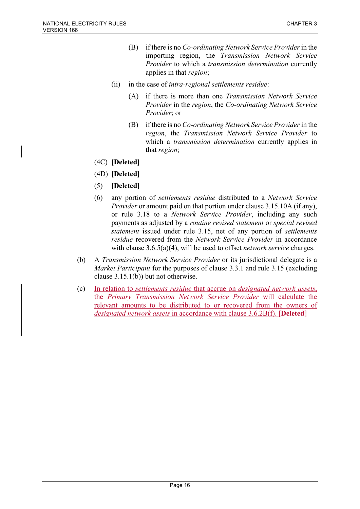- (B) if there is no *Co-ordinating Network Service Provider*in the importing region, the *Transmission Network Service Provider* to which a *transmission determination* currently applies in that *region*;
- (ii) in the case of *intra-regional settlements residue*:
	- (A) if there is more than one *Transmission Network Service Provider* in the *region*, the *Co-ordinating Network Service Provider*; or
	- (B) if there is no *Co-ordinating Network Service Provider*in the *region*, the *Transmission Network Service Provider* to which a *transmission determination* currently applies in that *region*;
- (4C) **[Deleted]**
- (4D) **[Deleted]**
- (5) **[Deleted]**
- (6) any portion of *settlements residue* distributed to a *Network Service Provider* or amount paid on that portion under clause 3.15.10A (if any), or rule 3.18 to a *Network Service Provider*, including any such payments as adjusted by a *routine revised statement* or *special revised statement* issued under rule 3.15, net of any portion of *settlements residue* recovered from the *Network Service Provider* in accordance with clause 3.6.5(a)(4), will be used to offset *network service* charges.
- (b) A *Transmission Network Service Provider* or its jurisdictional delegate is a *Market Participant* for the purposes of clause 3.3.1 and rule 3.15 (excluding clause 3.15.1(b)) but not otherwise.
- (c) In relation to *settlements residue* that accrue on *designated network assets*, the *Primary Transmission Network Service Provider* will calculate the relevant amounts to be distributed to or recovered from the owners of *designated network assets* in accordance with clause 3.6.2B(f). [**Deleted**]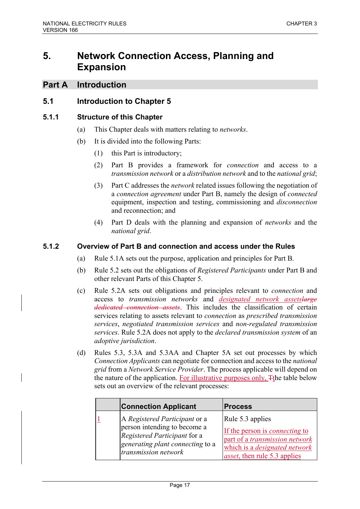# **5. Network Connection Access, Planning and Expansion**

## **Part A Introduction**

## **5.1 Introduction to Chapter 5**

### **5.1.1 Structure of this Chapter**

- (a) This Chapter deals with matters relating to *networks*.
- (b) It is divided into the following Parts:
	- (1) this Part is introductory;
	- (2) Part B provides a framework for *connection* and access to a *transmission network* or a *distribution network* and to the *national grid*;
	- (3) Part C addresses the *network* related issues following the negotiation of a *connection agreement* under Part B, namely the design of *connected* equipment, inspection and testing, commissioning and *disconnection* and reconnection; and
	- (4) Part D deals with the planning and expansion of *networks* and the *national grid*.

### **5.1.2 Overview of Part B and connection and access under the Rules**

- (a) Rule 5.1A sets out the purpose, application and principles for Part B.
- (b) Rule 5.2 sets out the obligations of *Registered Participants* under Part B and other relevant Parts of this Chapter 5.
- (c) Rule 5.2A sets out obligations and principles relevant to *connection* and access to *transmission networks* and *designated network assetslarge dedicated connection assets*. This includes the classification of certain services relating to assets relevant to *connection* as *prescribed transmission services*, *negotiated transmission services* and *non-regulated transmission services*. Rule 5.2A does not apply to the *declared transmission system* of an *adoptive jurisdiction*.
- (d) Rules 5.3, 5.3A and 5.3AA and Chapter 5A set out processes by which *Connection Applicants* can negotiate for connection and access to the *national grid* from a *Network Service Provider*. The process applicable will depend on the nature of the application. For illustrative purposes only, Tthe table below sets out an overview of the relevant processes:

| <b>Connection Applicant</b>                                                                                                                               | <b>Process</b>                                                                                                                                                              |
|-----------------------------------------------------------------------------------------------------------------------------------------------------------|-----------------------------------------------------------------------------------------------------------------------------------------------------------------------------|
| A Registered Participant or a<br>person intending to become a<br>Registered Participant for a<br>generating plant connecting to a<br>transmission network | Rule 5.3 applies<br>If the person is <i>connecting</i> to<br>part of a transmission network<br>which is a <i>designated network</i><br><i>asset</i> , then rule 5.3 applies |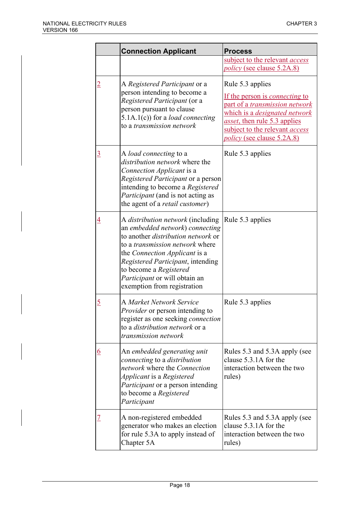|                | <b>Connection Applicant</b>                                                                                                                                                                                                                                                                                                        | <b>Process</b>                                                                                                                                                                                                                                           |
|----------------|------------------------------------------------------------------------------------------------------------------------------------------------------------------------------------------------------------------------------------------------------------------------------------------------------------------------------------|----------------------------------------------------------------------------------------------------------------------------------------------------------------------------------------------------------------------------------------------------------|
|                |                                                                                                                                                                                                                                                                                                                                    | subject to the relevant <i>access</i>                                                                                                                                                                                                                    |
|                |                                                                                                                                                                                                                                                                                                                                    | policy (see clause 5.2A.8)                                                                                                                                                                                                                               |
| <u>2</u>       | A Registered Participant or a<br>person intending to become a<br>Registered Participant (or a<br>person pursuant to clause<br>$5.1A.1(c)$ ) for a <i>load connecting</i><br>to a <i>transmission network</i>                                                                                                                       | Rule 5.3 applies<br>If the person is <i>connecting</i> to<br>part of a <i>transmission network</i><br>which is a <i>designated network</i><br>asset, then rule 5.3 applies<br>subject to the relevant <i>access</i><br><i>policy</i> (see clause 5.2A.8) |
| $\overline{3}$ | A load connecting to a<br><i>distribution network</i> where the<br>Connection Applicant is a<br>Registered Participant or a person<br>intending to become a Registered<br><i>Participant</i> (and is not acting as<br>the agent of a <i>retail customer</i> )                                                                      | Rule 5.3 applies                                                                                                                                                                                                                                         |
| $\overline{4}$ | A <i>distribution network</i> (including<br>an embedded network) connecting<br>to another <i>distribution network</i> or<br>to a <i>transmission network</i> where<br>the Connection Applicant is a<br>Registered Participant, intending<br>to become a Registered<br>Participant or will obtain an<br>exemption from registration | Rule 5.3 applies                                                                                                                                                                                                                                         |
| <u>5</u>       | A Market Network Service<br>Provider or person intending to<br>register as one seeking <i>connection</i><br>to a <i>distribution network</i> or a<br>transmission network                                                                                                                                                          | Rule 5.3 applies                                                                                                                                                                                                                                         |
|                | An embedded generating unit<br>connecting to a distribution<br>network where the Connection<br>Applicant is a Registered<br><i>Participant</i> or a person intending<br>to become a Registered<br>Participant                                                                                                                      | Rules 5.3 and 5.3A apply (see<br>clause 5.3.1A for the<br>interaction between the two<br>rules)                                                                                                                                                          |
|                | A non-registered embedded<br>generator who makes an election<br>for rule 5.3A to apply instead of<br>Chapter 5A                                                                                                                                                                                                                    | Rules 5.3 and 5.3A apply (see<br>clause 5.3.1A for the<br>interaction between the two<br>rules)                                                                                                                                                          |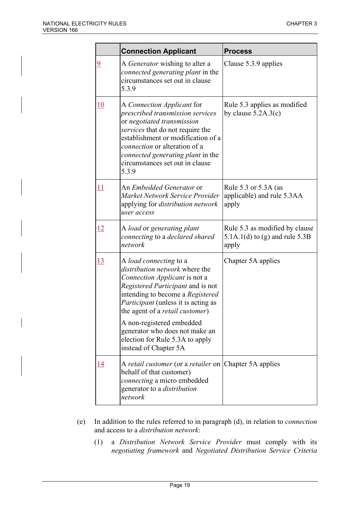|                | <b>Connection Applicant</b>                                                                                                                                                                                                                                                                                                                                  | <b>Process</b>                                                              |
|----------------|--------------------------------------------------------------------------------------------------------------------------------------------------------------------------------------------------------------------------------------------------------------------------------------------------------------------------------------------------------------|-----------------------------------------------------------------------------|
| $\overline{6}$ | A <i>Generator</i> wishing to alter a<br><i>connected generating plant in the</i><br>circumstances set out in clause<br>5.3.9                                                                                                                                                                                                                                | Clause 5.3.9 applies                                                        |
| 10             | Rule 5.3 applies as modified<br>A Connection Applicant for<br>prescribed transmission services<br>by clause $5.2A.3(c)$<br>or negotiated transmission<br>services that do not require the<br>establishment or modification of a<br>connection or alteration of a<br><i>connected generating plant in the</i><br>circumstances set out in clause<br>5.3.9     |                                                                             |
| 11             | An <i>Embedded Generator</i> or<br>Market Network Service Provider<br>applying for distribution network<br>user access                                                                                                                                                                                                                                       | Rule 5.3 or 5.3A (as<br>applicable) and rule 5.3AA<br>apply                 |
| <u>12</u>      | A load or generating plant<br>connecting to a declared shared<br>network                                                                                                                                                                                                                                                                                     | Rule 5.3 as modified by clause<br>5.1A.1(d) to (g) and rule $5.3B$<br>apply |
| <u>13</u>      | A load connecting to a<br><i>distribution network</i> where the<br>Connection Applicant is not a<br>Registered Participant and is not<br>intending to become a Registered<br><i>Participant</i> (unless it is acting as<br>the agent of a retail customer)<br>A non-registered embedded<br>generator who does not make an<br>election for Rule 5.3A to apply | Chapter 5A applies                                                          |
|                | instead of Chapter 5A                                                                                                                                                                                                                                                                                                                                        |                                                                             |
| 14             | A retail customer (or a retailer on<br>behalf of that customer)<br>connecting a micro embedded<br>generator to a <i>distribution</i><br>network                                                                                                                                                                                                              | Chapter 5A applies                                                          |

- (e) In addition to the rules referred to in paragraph (d), in relation to *connection* and access to a *distribution network*:
	- (1) a *Distribution Network Service Provider* must comply with its *negotiating framework* and *Negotiated Distribution Service Criteria*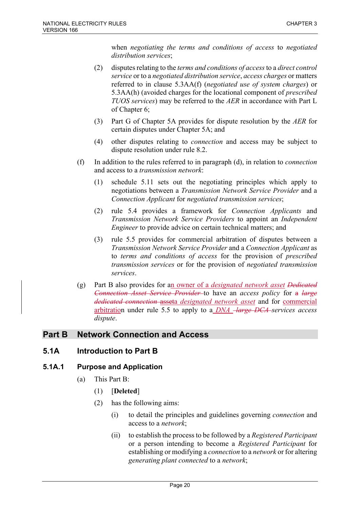when *negotiating the terms and conditions of access* to *negotiated distribution services*;

- (2) disputes relating to the *terms and conditions of access*to a *direct control service* or to a *negotiated distribution service*, *access charges* or matters referred to in clause 5.3AA(f) (*negotiated use of system charges*) or 5.3AA(h) (avoided charges for the locational component of *prescribed TUOS services*) may be referred to the *AER* in accordance with Part L of Chapter 6;
- (3) Part G of Chapter 5A provides for dispute resolution by the *AER* for certain disputes under Chapter 5A; and
- (4) other disputes relating to *connection* and access may be subject to dispute resolution under rule 8.2.
- (f) In addition to the rules referred to in paragraph (d), in relation to *connection* and access to a *transmission network*:
	- (1) schedule 5.11 sets out the negotiating principles which apply to negotiations between a *Transmission Network Service Provider* and a *Connection Applicant* for *negotiated transmission services*;
	- (2) rule 5.4 provides a framework for *Connection Applicants* and *Transmission Network Service Providers* to appoint an *Independent Engineer* to provide advice on certain technical matters; and
	- (3) rule 5.5 provides for commercial arbitration of disputes between a *Transmission Network Service Provider* and a *Connection Applicant* as to *terms and conditions of access* for the provision of *prescribed transmission services* or for the provision of *negotiated transmission services*.
- (g) Part B also provides for an owner of a *designated network asset Dedicated Connection Asset Service Provider* to have an *access policy* for a *large dedicated connection* asseta *designated network asset* and for commercial arbitration under rule 5.5 to apply to a *DNA large DCA services access dispute*.

# **Part B Network Connection and Access**

# **5.1A Introduction to Part B**

### **5.1A.1 Purpose and Application**

- (a) This Part B:
	- (1) [**Deleted**]
	- (2) has the following aims:
		- (i) to detail the principles and guidelines governing *connection* and access to a *network*;
		- (ii) to establish the process to be followed by a *Registered Participant* or a person intending to become a *Registered Participant* for establishing or modifying a *connection* to a *network* or for altering *generating plant connected* to a *network*;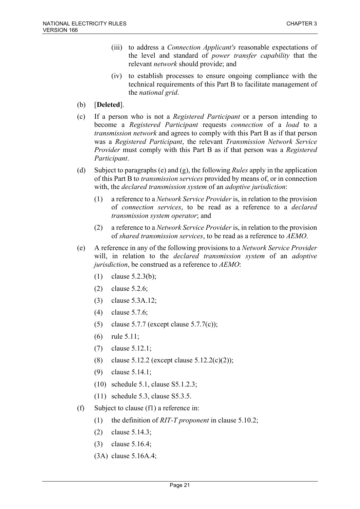- (iii) to address a *Connection Applicant's* reasonable expectations of the level and standard of *power transfer capability* that the relevant *network* should provide; and
- (iv) to establish processes to ensure ongoing compliance with the technical requirements of this Part B to facilitate management of the *national grid*.
- (b) [**Deleted**].
- (c) If a person who is not a *Registered Participant* or a person intending to become a *Registered Participant* requests *connection* of a *load* to a *transmission network* and agrees to comply with this Part B as if that person was a *Registered Participant*, the relevant *Transmission Network Service Provider* must comply with this Part B as if that person was a *Registered Participant*.
- (d) Subject to paragraphs (e) and (g), the following *Rules* apply in the application of this Part B to *transmission services* provided by means of, or in connection with, the *declared transmission system* of an *adoptive jurisdiction*:
	- (1) a reference to a *Network Service Provider* is, in relation to the provision of *connection services*, to be read as a reference to a *declared transmission system operator*; and
	- (2) a reference to a *Network Service Provider* is, in relation to the provision of *shared transmission services*, to be read as a reference to *AEMO*.
- (e) A reference in any of the following provisions to a *Network Service Provider* will, in relation to the *declared transmission system* of an *adoptive jurisdiction*, be construed as a reference to *AEMO*:
	- (1) clause 5.2.3(b);
	- (2) clause 5.2.6;
	- (3) clause 5.3A.12;
	- (4) clause 5.7.6;
	- (5) clause 5.7.7 (except clause 5.7.7(c));
	- (6) rule 5.11;
	- (7) clause 5.12.1;
	- (8) clause 5.12.2 (except clause 5.12.2(c)(2));
	- (9) clause 5.14.1;
	- (10) schedule 5.1, clause S5.1.2.3;
	- (11) schedule 5.3, clause S5.3.5.
- (f) Subject to clause (f1) a reference in:
	- (1) the definition of *RIT-T proponent* in clause 5.10.2;
	- (2) clause 5.14.3;
	- (3) clause 5.16.4;
	- (3A) clause 5.16A.4;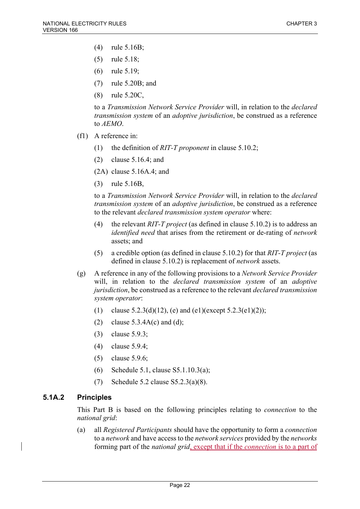- (4) rule 5.16B;
- (5) rule 5.18;
- (6) rule 5.19;
- (7) rule 5.20B; and
- (8) rule 5.20C,

to a *Transmission Network Service Provider* will, in relation to the *declared transmission system* of an *adoptive jurisdiction*, be construed as a reference to *AEMO*.

- (f1) A reference in:
	- (1) the definition of *RIT-T proponent* in clause 5.10.2;
	- (2) clause 5.16.4; and

(2A) clause 5.16A.4; and

(3) rule 5.16B,

to a *Transmission Network Service Provider* will, in relation to the *declared transmission system* of an *adoptive jurisdiction*, be construed as a reference to the relevant *declared transmission system operator* where:

- (4) the relevant *RIT-T project* (as defined in clause 5.10.2) is to address an *identified need* that arises from the retirement or de-rating of *network* assets; and
- (5) a credible option (as defined in clause 5.10.2) for that *RIT-T project* (as defined in clause 5.10.2) is replacement of *network* assets.
- (g) A reference in any of the following provisions to a *Network Service Provider* will, in relation to the *declared transmission system* of an *adoptive jurisdiction*, be construed as a reference to the relevant *declared transmission system operator*:
	- (1) clause  $5.2.3(d)(12)$ , (e) and (e1)(except  $5.2.3(e1)(2)$ );
	- (2) clause  $5.3.4A(c)$  and (d);
	- (3) clause 5.9.3;
	- (4) clause 5.9.4;
	- (5) clause 5.9.6;
	- (6) Schedule 5.1, clause S5.1.10.3(a);
	- (7) Schedule 5.2 clause S5.2.3(a)(8).

### **5.1A.2 Principles**

This Part B is based on the following principles relating to *connection* to the *national grid*:

(a) all *Registered Participants* should have the opportunity to form a *connection* to a *network* and have access to the *network services* provided by the *networks* forming part of the *national grid*, except that if the *connection* is to a part of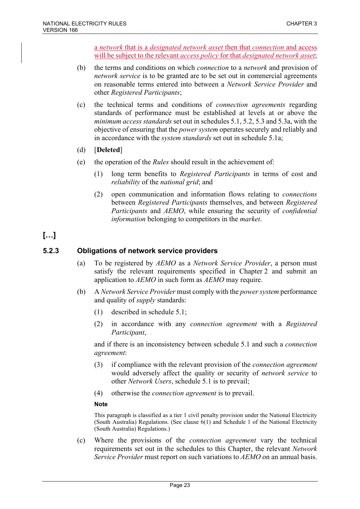a *network* that is a *designated network asset* then that *connection* and access will be subject to the relevant *access policy* for that *designated network asset*;

- (b) the terms and conditions on which *connection* to a *network* and provision of *network service* is to be granted are to be set out in commercial agreements on reasonable terms entered into between a *Network Service Provider* and other *Registered Participants*;
- (c) the technical terms and conditions of *connection agreements* regarding standards of performance must be established at levels at or above the *minimum access standards* set out in schedules 5.1, 5.2, 5.3 and 5.3a, with the objective of ensuring that the *power system* operates securely and reliably and in accordance with the *system standards* set out in schedule 5.1a;
- (d) [**Deleted**]
- (e) the operation of the *Rules* should result in the achievement of:
	- (1) long term benefits to *Registered Participants* in terms of cost and *reliability* of the *national grid*; and
	- (2) open communication and information flows relating to *connections* between *Registered Participants* themselves, and between *Registered Participants* and *AEMO*, while ensuring the security of *confidential information* belonging to competitors in the *market*.

# **[…]**

## **5.2.3 Obligations of network service providers**

- (a) To be registered by *AEMO* as a *Network Service Provider*, a person must satisfy the relevant requirements specified in Chapter 2 and submit an application to *AEMO* in such form as *AEMO* may require.
- (b) A *Network Service Provider* must comply with the *power system* performance and quality of *supply* standards:
	- (1) described in schedule 5.1;
	- (2) in accordance with any *connection agreement* with a *Registered Participant*,

and if there is an inconsistency between schedule 5.1 and such a *connection agreement*:

- (3) if compliance with the relevant provision of the *connection agreement* would adversely affect the quality or security of *network service* to other *Network Users*, schedule 5.1 is to prevail;
- (4) otherwise the *connection agreement* is to prevail.

### **Note**

This paragraph is classified as a tier 1 civil penalty provision under the National Electricity (South Australia) Regulations. (See clause 6(1) and Schedule 1 of the National Electricity (South Australia) Regulations.)

(c) Where the provisions of the *connection agreement* vary the technical requirements set out in the schedules to this Chapter, the relevant *Network Service Provider* must report on such variations to *AEMO* on an annual basis.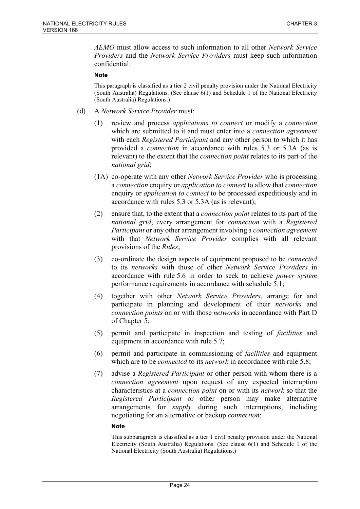*AEMO* must allow access to such information to all other *Network Service Providers* and the *Network Service Providers* must keep such information confidential.

#### **Note**

This paragraph is classified as a tier 2 civil penalty provision under the National Electricity (South Australia) Regulations. (See clause 6(1) and Schedule 1 of the National Electricity (South Australia) Regulations.)

- (d) A *Network Service Provider* must:
	- (1) review and process *applications to connect* or modify a *connection* which are submitted to it and must enter into a *connection agreement* with each *Registered Participant* and any other person to which it has provided a *connection* in accordance with rules 5.3 or 5.3A (as is relevant) to the extent that the *connection point* relates to its part of the *national grid*;
	- (1A) co-operate with any other *Network Service Provider* who is processing a *connection* enquiry or *application to connect* to allow that *connection* enquiry or *application to connect* to be processed expeditiously and in accordance with rules 5.3 or 5.3A (as is relevant);
	- (2) ensure that, to the extent that a *connection point* relates to its part of the *national grid*, every arrangement for *connection* with a *Registered Participant* or any other arrangement involving a *connection agreement* with that *Network Service Provider* complies with all relevant provisions of the *Rules*;
	- (3) co-ordinate the design aspects of equipment proposed to be *connected* to its *networks* with those of other *Network Service Providers* in accordance with rule 5.6 in order to seek to achieve *power system* performance requirements in accordance with schedule 5.1;
	- (4) together with other *Network Service Providers*, arrange for and participate in planning and development of their *networks* and *connection points* on or with those *networks* in accordance with Part D of Chapter 5;
	- (5) permit and participate in inspection and testing of *facilities* and equipment in accordance with rule 5.7;
	- (6) permit and participate in commissioning of *facilities* and equipment which are to be *connected* to its *network* in accordance with rule 5.8;
	- (7) advise a *Registered Participant* or other person with whom there is a *connection agreement* upon request of any expected interruption characteristics at a *connection point* on or with its *network* so that the *Registered Participant* or other person may make alternative arrangements for *supply* during such interruptions, including negotiating for an alternative or backup *connection*;

#### **Note**

This subparagraph is classified as a tier 1 civil penalty provision under the National Electricity (South Australia) Regulations. (See clause 6(1) and Schedule 1 of the National Electricity (South Australia) Regulations.)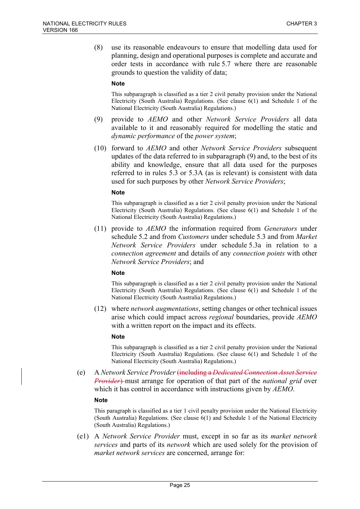(8) use its reasonable endeavours to ensure that modelling data used for planning, design and operational purposes is complete and accurate and order tests in accordance with rule 5.7 where there are reasonable grounds to question the validity of data;

#### **Note**

This subparagraph is classified as a tier 2 civil penalty provision under the National Electricity (South Australia) Regulations. (See clause 6(1) and Schedule 1 of the National Electricity (South Australia) Regulations.)

- (9) provide to *AEMO* and other *Network Service Providers* all data available to it and reasonably required for modelling the static and *dynamic performance* of the *power system*;
- (10) forward to *AEMO* and other *Network Service Providers* subsequent updates of the data referred to in subparagraph (9) and, to the best of its ability and knowledge, ensure that all data used for the purposes referred to in rules 5.3 or 5.3A (as is relevant) is consistent with data used for such purposes by other *Network Service Providers*;

#### **Note**

This subparagraph is classified as a tier 2 civil penalty provision under the National Electricity (South Australia) Regulations. (See clause 6(1) and Schedule 1 of the National Electricity (South Australia) Regulations.)

(11) provide to *AEMO* the information required from *Generators* under schedule 5.2 and from *Customers* under schedule 5.3 and from *Market Network Service Providers* under schedule 5.3a in relation to a *connection agreement* and details of any *connection points* with other *Network Service Providers*; and

#### **Note**

This subparagraph is classified as a tier 2 civil penalty provision under the National Electricity (South Australia) Regulations. (See clause 6(1) and Schedule 1 of the National Electricity (South Australia) Regulations.)

(12) where *network augmentations*, setting changes or other technical issues arise which could impact across *regional* boundaries, provide *AEMO* with a written report on the impact and its effects.

#### **Note**

This subparagraph is classified as a tier 2 civil penalty provision under the National Electricity (South Australia) Regulations. (See clause 6(1) and Schedule 1 of the National Electricity (South Australia) Regulations.)

(e) A *Network Service Provider* (including a *Dedicated Connection Asset Service Provider*) must arrange for operation of that part of the *national grid* over which it has control in accordance with instructions given by *AEMO*.

#### **Note**

This paragraph is classified as a tier 1 civil penalty provision under the National Electricity (South Australia) Regulations. (See clause 6(1) and Schedule 1 of the National Electricity (South Australia) Regulations.)

(e1) A *Network Service Provider* must, except in so far as its *market network services* and parts of its *network* which are used solely for the provision of *market network services* are concerned, arrange for: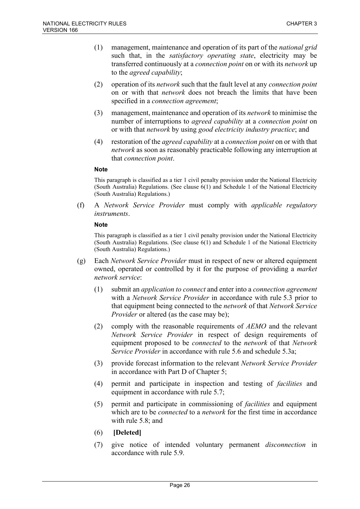- (1) management, maintenance and operation of its part of the *national grid* such that, in the *satisfactory operating state*, electricity may be transferred continuously at a *connection point* on or with its *network* up to the *agreed capability*;
- (2) operation of its *network* such that the fault level at any *connection point* on or with that *network* does not breach the limits that have been specified in a *connection agreement*;
- (3) management, maintenance and operation of its *network* to minimise the number of interruptions to *agreed capability* at a *connection point* on or with that *network* by using *good electricity industry practice*; and
- (4) restoration of the *agreed capability* at a *connection point* on or with that *network* as soon as reasonably practicable following any interruption at that *connection point*.

This paragraph is classified as a tier 1 civil penalty provision under the National Electricity (South Australia) Regulations. (See clause 6(1) and Schedule 1 of the National Electricity (South Australia) Regulations.)

(f) A *Network Service Provider* must comply with *applicable regulatory instruments*.

#### **Note**

This paragraph is classified as a tier 1 civil penalty provision under the National Electricity (South Australia) Regulations. (See clause 6(1) and Schedule 1 of the National Electricity (South Australia) Regulations.)

- (g) Each *Network Service Provider* must in respect of new or altered equipment owned, operated or controlled by it for the purpose of providing a *market network service*:
	- (1) submit an *application to connect* and enter into a *connection agreement* with a *Network Service Provider* in accordance with rule 5.3 prior to that equipment being connected to the *network* of that *Network Service Provider* or altered (as the case may be);
	- (2) comply with the reasonable requirements of *AEMO* and the relevant *Network Service Provider* in respect of design requirements of equipment proposed to be *connected* to the *network* of that *Network Service Provider* in accordance with rule 5.6 and schedule 5.3a;
	- (3) provide forecast information to the relevant *Network Service Provider* in accordance with Part D of Chapter 5;
	- (4) permit and participate in inspection and testing of *facilities* and equipment in accordance with rule 5.7;
	- (5) permit and participate in commissioning of *facilities* and equipment which are to be *connected* to a *network* for the first time in accordance with rule 5.8; and
	- (6) **[Deleted]**
	- (7) give notice of intended voluntary permanent *disconnection* in accordance with rule 5.9.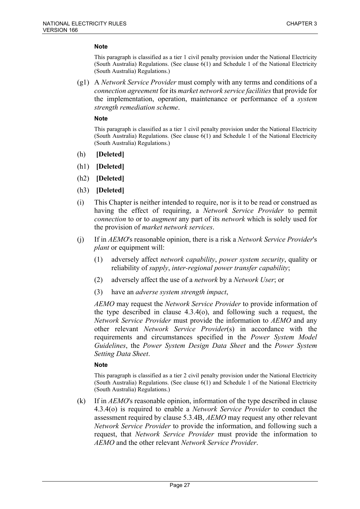This paragraph is classified as a tier 1 civil penalty provision under the National Electricity (South Australia) Regulations. (See clause 6(1) and Schedule 1 of the National Electricity (South Australia) Regulations.)

(g1) A *Network Service Provider* must comply with any terms and conditions of a *connection agreement* for its *market network service facilities* that provide for the implementation, operation, maintenance or performance of a *system strength remediation scheme*.

#### **Note**

This paragraph is classified as a tier 1 civil penalty provision under the National Electricity (South Australia) Regulations. (See clause 6(1) and Schedule 1 of the National Electricity (South Australia) Regulations.)

- (h) **[Deleted]**
- (h1) **[Deleted]**
- (h2) **[Deleted]**
- (h3) **[Deleted]**
- (i) This Chapter is neither intended to require, nor is it to be read or construed as having the effect of requiring, a *Network Service Provider* to permit *connection* to or to *augment* any part of its *network* which is solely used for the provision of *market network services*.
- (j) If in *AEMO*'s reasonable opinion, there is a risk a *Network Service Provider*'s *plant* or equipment will:
	- (1) adversely affect *network capability*, *power system security*, quality or reliability of *supply*, *inter-regional power transfer capability*;
	- (2) adversely affect the use of a *network* by a *Network User*; or
	- (3) have an *adverse system strength impact*,

*AEMO* may request the *Network Service Provider* to provide information of the type described in clause 4.3.4(o), and following such a request, the *Network Service Provider* must provide the information to *AEMO* and any other relevant *Network Service Provider*(s) in accordance with the requirements and circumstances specified in the *Power System Model Guidelines*, the *Power System Design Data Sheet* and the *Power System Setting Data Sheet*.

#### **Note**

This paragraph is classified as a tier 2 civil penalty provision under the National Electricity (South Australia) Regulations. (See clause 6(1) and Schedule 1 of the National Electricity (South Australia) Regulations.)

(k) If in *AEMO*'s reasonable opinion, information of the type described in clause 4.3.4(o) is required to enable a *Network Service Provider* to conduct the assessment required by clause 5.3.4B, *AEMO* may request any other relevant *Network Service Provider* to provide the information, and following such a request, that *Network Service Provider* must provide the information to *AEMO* and the other relevant *Network Service Provider*.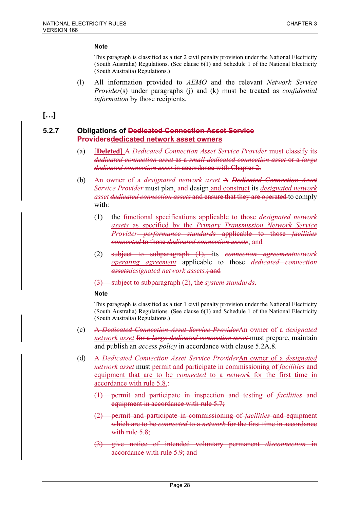This paragraph is classified as a tier 2 civil penalty provision under the National Electricity (South Australia) Regulations. (See clause 6(1) and Schedule 1 of the National Electricity (South Australia) Regulations.)

(l) All information provided to *AEMO* and the relevant *Network Service Provider*(s) under paragraphs (j) and (k) must be treated as *confidential information* by those recipients.

# **[…]**

### **5.2.7 Obligations of Dedicated Connection Asset Service Providersdedicated network asset owners**

- (a) [**Deleted**] A *Dedicated Connection Asset Service Provider* must classify its *dedicated connection asset* as a *small dedicated connection asset* or a *large dedicated connection asset* in accordance with Chapter 2.
- (b) An owner of a *designated network asset* A *Dedicated Connection Asset Service Provider* must plan, and design and construct its *designated network asset dedicated connection assets* and ensure that they are operated to comply with:
	- (1) the functional specifications applicable to those *designated network assets* as specified by the *Primary Transmission Network Service Provider performance standards* applicable to those *facilities connected* to those *dedicated connection assets*; and
	- (2) subject to subparagraph (1), its *connection agreementnetwork operating agreement* applicable to those *dedicated connection assetsdesignated network assets.*; and
	- (3) subject to subparagraph (2), the *system standards*.

#### **Note**

This paragraph is classified as a tier 1 civil penalty provision under the National Electricity (South Australia) Regulations. (See clause 6(1) and Schedule 1 of the National Electricity (South Australia) Regulations.)

- (c) A *Dedicated Connection Asset Service Provider*An owner of a *designated network asset* for a *large dedicated connection asset* must prepare, maintain and publish an *access policy* in accordance with clause 5.2A.8.
- (d) A *Dedicated Connection Asset Service Provider*An owner of a *designated network asset* must permit and participate in commissioning of *facilities* and equipment that are to be *connected* to a *network* for the first time in accordance with rule 5.8.:
	- (1) permit and participate in inspection and testing of *facilities* and equipment in accordance with rule 5.7;
	- (2) permit and participate in commissioning of *facilities* and equipment which are to be *connected* to a *network* for the first time in accordance with rule 5.8;
	- (3) give notice of intended voluntary permanent *disconnection* in accordance with rule 5.9; and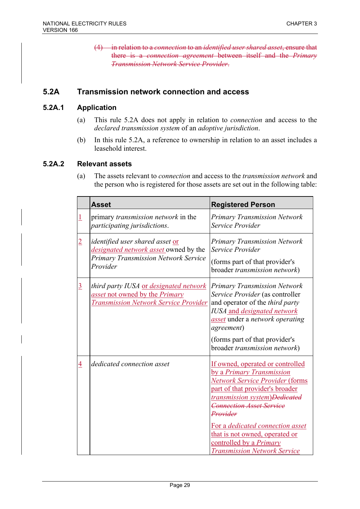(4) in relation to a *connection* to an *identified user shared asset*, ensure that there is a *connection agreement* between itself and the *Primary Transmission Network Service Provider*.

# **5.2A Transmission network connection and access**

### **5.2A.1 Application**

- (a) This rule 5.2A does not apply in relation to *connection* and access to the *declared transmission system* of an *adoptive jurisdiction*.
- (b) In this rule 5.2A, a reference to ownership in relation to an asset includes a leasehold interest.

### **5.2A.2 Relevant assets**

(a) The assets relevant to *connection* and access to the *transmission network* and the person who is registered for those assets are set out in the following table:

|                | <b>Asset</b>                                                                                                                 | <b>Registered Person</b>                                                                                                                                                                                                                                                                                                                                                   |
|----------------|------------------------------------------------------------------------------------------------------------------------------|----------------------------------------------------------------------------------------------------------------------------------------------------------------------------------------------------------------------------------------------------------------------------------------------------------------------------------------------------------------------------|
|                | primary <i>transmission network</i> in the<br>participating jurisdictions.                                                   | Primary Transmission Network<br>Service Provider                                                                                                                                                                                                                                                                                                                           |
| $\overline{2}$ | identified user shared asset or<br>designated network asset owned by the<br>Primary Transmission Network Service<br>Provider | <b>Primary Transmission Network</b><br>Service Provider<br>(forms part of that provider's<br>broader transmission network)                                                                                                                                                                                                                                                 |
| $\overline{3}$ | third party IUSA or designated network<br>asset not owned by the Primary<br><b>Transmission Network Service Provider</b>     | <b>Primary Transmission Network</b><br>Service Provider (as controller<br>and operator of the <i>third party</i><br><b>IUSA</b> and <i>designated network</i><br>asset under a network operating<br><i>agreement</i> )<br>(forms part of that provider's<br>broader transmission network)                                                                                  |
| $\overline{4}$ | dedicated connection asset                                                                                                   | If owned, operated or controlled<br>by a Primary Transmission<br><b>Network Service Provider (forms</b><br>part of that provider's broader<br><b>transmission system</b> )Dedicated<br><b>Connection Asset Service</b><br>Provider<br>For a dedicated connection asset<br>that is not owned, operated or<br>controlled by a Primary<br><b>Transmission Network Service</b> |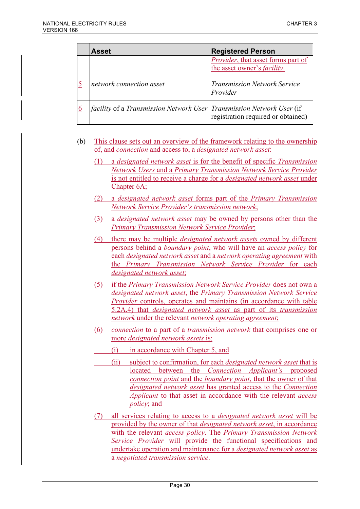| <b>Asset</b>                                                                          | <b>Registered Person</b>                                                  |
|---------------------------------------------------------------------------------------|---------------------------------------------------------------------------|
|                                                                                       | Provider, that asset forms part of<br>the asset owner's <i>facility</i> . |
| network connection asset                                                              | <b>Transmission Network Service</b><br>Provider                           |
| <i>facility</i> of a <i>Transmission Network User</i>   Transmission Network User (if | registration required or obtained)                                        |

(b) This clause sets out an overview of the framework relating to the ownership of, and *connection* and access to, a *designated network asset*:

- (1) a *designated network asset* is for the benefit of specific *Transmission Network Users* and a *Primary Transmission Network Service Provider* is not entitled to receive a charge for a *designated network asset* under Chapter 6A;
- (2) a *designated network asset* forms part of the *Primary Transmission Network Service Provider's transmission network*;
- (3) a *designated network asset* may be owned by persons other than the *Primary Transmission Network Service Provider*;
- (4) there may be multiple *designated network assets* owned by different persons behind a *boundary point*, who will have an *access policy* for each *designated network asset* and a *network operating agreement* with the *Primary Transmission Network Service Provider* for each *designated network asset*;
- (5) if the *Primary Transmission Network Service Provider* does not own a *designated network asset*, the *Primary Transmission Network Service Provider* controls, operates and maintains (in accordance with table 5.2A.4) that *designated network asset* as part of its *transmission network* under the relevant *network operating agreement*;
- (6) *connection* to a part of a *transmission network* that comprises one or more *designated network assets* is:
- (i) in accordance with Chapter 5, and
- (ii) subject to confirmation, for each *designated network asset* that is located between the *Connection Applicant's* proposed *connection point* and the *boundary point*, that the owner of that *designated network asset* has granted access to the *Connection Applicant* to that asset in accordance with the relevant *access policy*; and
- (7) all services relating to access to a *designated network asset* will be provided by the owner of that *designated network asset*, in accordance with the relevant *access policy*. The *Primary Transmission Network Service Provider* will provide the functional specifications and undertake operation and maintenance for a *designated network asset* as a *negotiated transmission service*.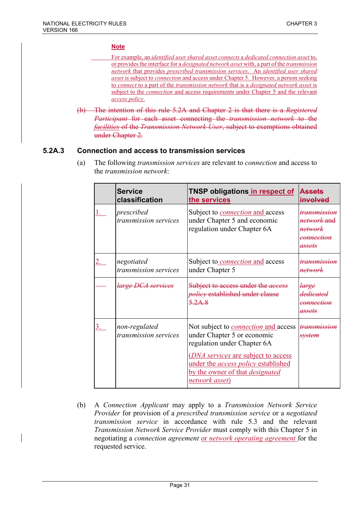- For example, an *identified user shared asset connects* a *dedicated connection asset* to, or provides the interface for a *designated network asset* with, a part of the *transmission network* that provides *prescribed transmission services*. An *identified user shared asset* is subject to *connection* and access under Chapter 5. However, a person seeking to *connect* to a part of the *transmission network* that is a *designated network asset* is subject to the *connection* and access requirements under Chapter 5 and the relevant *access policy*.
- (b) The intention of this rule 5.2A and Chapter 2 is that there is a *Registered Participant* for each asset connecting the *transmission network* to the *facilities* of the *Transmission Network User*, subject to exemptions obtained under Chapter 2.

### **5.2A.3 Connection and access to transmission services**

(a) The following *transmission services* are relevant to *connection* and access to the *transmission network*:

| <b>Service</b><br>classification       | TNSP obligations <u> in respect of</u><br>the services                                                                                                                                                                                                             | <b>Assets</b><br>involved                                                                   |
|----------------------------------------|--------------------------------------------------------------------------------------------------------------------------------------------------------------------------------------------------------------------------------------------------------------------|---------------------------------------------------------------------------------------------|
| prescribed<br>transmission services    | Subject to <i>connection</i> and access<br>under Chapter 5 and economic<br>regulation under Chapter 6A                                                                                                                                                             | <del>transmission</del><br><i>network</i> and<br><del>network</del><br>connection<br>assets |
| negotiated<br>transmission services    | Subject to <i>connection</i> and access<br>under Chapter 5                                                                                                                                                                                                         | <del>transmission</del><br>network                                                          |
| <i>large DCA services</i>              | Subject to access under the <i>access</i><br>policy established under clause<br>$5.2A$ 8                                                                                                                                                                           | large<br>dedicated<br><del>connection</del><br>assets                                       |
| non-regulated<br>transmission services | Not subject to <i>connection</i> and access<br>under Chapter 5 or economic<br>regulation under Chapter 6A<br>( <i>DNA services</i> are subject to access<br>under the <i>access policy</i> established<br>by the owner of that <i>designated</i><br>network asset) | <del>transmission</del><br><del>svstem</del>                                                |

(b) A *Connection Applicant* may apply to a *Transmission Network Service Provider* for provision of a *prescribed transmission service* or a *negotiated transmission service* in accordance with rule 5.3 and the relevant *Transmission Network Service Provider* must comply with this Chapter 5 in negotiating a *connection agreement* or *network operating agreement* for the requested service.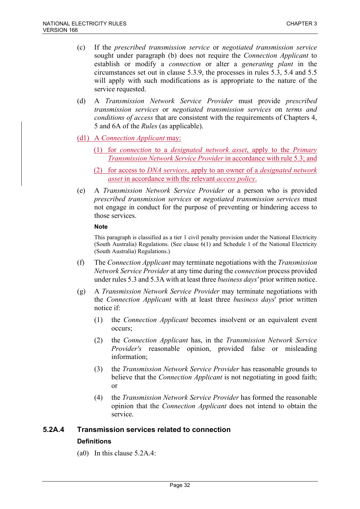- (c) If the *prescribed transmission service* or *negotiated transmission service* sought under paragraph (b) does not require the *Connection Applicant* to establish or modify a *connection* or alter a *generating plant* in the circumstances set out in clause 5.3.9, the processes in rules 5.3, 5.4 and 5.5 will apply with such modifications as is appropriate to the nature of the service requested.
- (d) A *Transmission Network Service Provider* must provide *prescribed transmission services* or *negotiated transmission services* on *terms and conditions of access* that are consistent with the requirements of Chapters 4, 5 and 6A of the *Rules* (as applicable).
- (d1) A *Connection Applicant* may:
	- (1) for *connection* to a *designated network asset*, apply to the *Primary Transmission Network Service Provider* in accordance with rule 5.3; and
	- (2) for access to *DNA services*, apply to an owner of a *designated network asset* in accordance with the relevant *access policy*.
- (e) A *Transmission Network Service Provider* or a person who is provided *prescribed transmission services* or *negotiated transmission services* must not engage in conduct for the purpose of preventing or hindering access to those services.

This paragraph is classified as a tier 1 civil penalty provision under the National Electricity (South Australia) Regulations. (See clause 6(1) and Schedule 1 of the National Electricity (South Australia) Regulations.)

- (f) The *Connection Applicant* may terminate negotiations with the *Transmission Network Service Provider* at any time during the *connection* process provided under rules 5.3 and 5.3A with at least three *business days'* prior written notice.
- (g) A *Transmission Network Service Provider* may terminate negotiations with the *Connection Applicant* with at least three *business days*' prior written notice if:
	- (1) the *Connection Applicant* becomes insolvent or an equivalent event occurs;
	- (2) the *Connection Applicant* has, in the *Transmission Network Service Provider's* reasonable opinion, provided false or misleading information;
	- (3) the *Transmission Network Service Provider* has reasonable grounds to believe that the *Connection Applicant* is not negotiating in good faith; or
	- (4) the *Transmission Network Service Provider* has formed the reasonable opinion that the *Connection Applicant* does not intend to obtain the service.

# **5.2A.4 Transmission services related to connection Definitions**

(a0) In this clause 5.2A.4: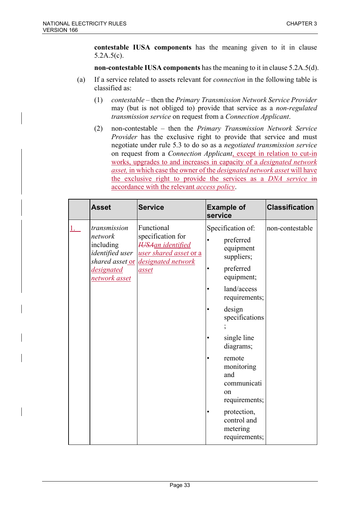**contestable IUSA components** has the meaning given to it in clause 5.2A.5(c).

**non-contestable IUSA components** has the meaning to it in clause 5.2A.5(d).

- (a) If a service related to assets relevant for *connection* in the following table is classified as:
	- (1) *contestable* then the *Primary Transmission Network Service Provider* may (but is not obliged to) provide that service as a *non-regulated transmission service* on request from a *Connection Applicant*.
	- (2) non-contestable then the *Primary Transmission Network Service Provider* has the exclusive right to provide that service and must negotiate under rule 5.3 to do so as a *negotiated transmission service* on request from a *Connection Applicant*, except in relation to cut-in works, upgrades to and increases in capacity of a *designated network asset,* in which case the owner of the *designated network asset* will have the exclusive right to provide the services as a *DNA service* in accordance with the relevant *access policy*.

| <b>Asset</b>                                                                                                     | <b>Service</b>                                                                                                      | <b>Example of</b><br>service                                                                                                                                                                                                                                                                                            | <b>Classification</b> |
|------------------------------------------------------------------------------------------------------------------|---------------------------------------------------------------------------------------------------------------------|-------------------------------------------------------------------------------------------------------------------------------------------------------------------------------------------------------------------------------------------------------------------------------------------------------------------------|-----------------------|
| transmission<br>network<br>including<br><i>identified</i> user<br>shared asset or<br>designated<br>network asset | Functional<br>specification for<br><b>HSAan</b> identified<br>user shared asset or a<br>designated network<br>asset | Specification of:<br>preferred<br>equipment<br>suppliers;<br>preferred<br>equipment;<br>land/access<br>requirements;<br>design<br>specifications<br>single line<br>diagrams;<br>remote<br>monitoring<br>and<br>communicati<br><sub>on</sub><br>requirements;<br>protection,<br>control and<br>metering<br>requirements; | non-contestable       |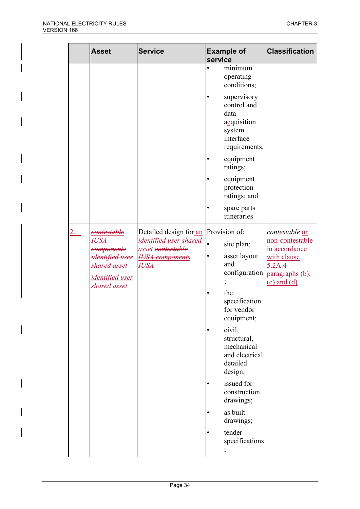| <b>Asset</b> |                                                                                                                              | <b>Service</b>                                                                                                 | <b>Example of</b><br>service                                                                                                                                                                                                                                                                                         | <b>Classification</b>                                                                                                    |
|--------------|------------------------------------------------------------------------------------------------------------------------------|----------------------------------------------------------------------------------------------------------------|----------------------------------------------------------------------------------------------------------------------------------------------------------------------------------------------------------------------------------------------------------------------------------------------------------------------|--------------------------------------------------------------------------------------------------------------------------|
|              |                                                                                                                              |                                                                                                                | minimum<br>operating<br>conditions;<br>supervisory<br>control and<br>data<br>acquisition<br>system<br>interface<br>requirements;<br>equipment                                                                                                                                                                        |                                                                                                                          |
|              |                                                                                                                              |                                                                                                                | ratings;<br>equipment<br>protection<br>ratings; and<br>spare parts<br>itineraries                                                                                                                                                                                                                                    |                                                                                                                          |
| <i>IUSA</i>  | <del>contestable</del><br>components<br><del>identified user</del><br>shared asset<br><i>identified user</i><br>shared asset | Detailed design for an<br>identified user shared<br>asset contestable<br><b>HJSA</b> components<br><b>HJSA</b> | Provision of:<br>$\bullet$<br>site plan;<br>asset layout<br>and<br>configuration<br>the<br>specification<br>for vendor<br>equipment;<br>civil,<br>structural,<br>mechanical<br>and electrical<br>detailed<br>design;<br>issued for<br>construction<br>drawings;<br>as built<br>drawings;<br>tender<br>specifications | <i>contestable</i> or<br>non-contestable<br>in accordance<br>with clause<br>5.2A.4<br>paragraphs (b),<br>$(c)$ and $(d)$ |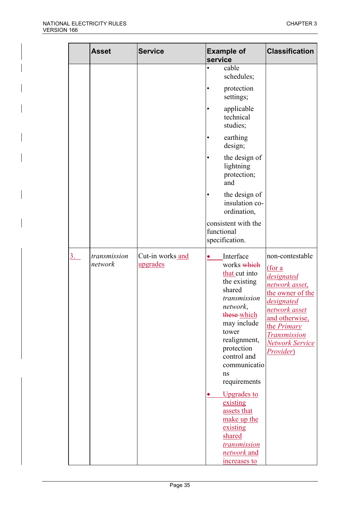|    | <b>Asset</b>            | <b>Service</b>               | <b>Example of</b><br>service                                                                                                                                                                                                                                                                                                                                        | <b>Classification</b>                                                                                                                                                                                                     |
|----|-------------------------|------------------------------|---------------------------------------------------------------------------------------------------------------------------------------------------------------------------------------------------------------------------------------------------------------------------------------------------------------------------------------------------------------------|---------------------------------------------------------------------------------------------------------------------------------------------------------------------------------------------------------------------------|
|    |                         |                              | cable<br>schedules;<br>protection<br>settings;<br>applicable<br>technical<br>studies;<br>earthing<br>design;<br>the design of<br>lightning<br>protection;<br>and<br>the design of<br>insulation co-<br>ordination,<br>consistent with the<br>functional<br>specification.                                                                                           |                                                                                                                                                                                                                           |
| 3. | transmission<br>network | Cut-in works and<br>upgrades | Interface<br>works which<br>that cut into<br>the existing<br>shared<br>transmission<br>network,<br>these which<br>may include<br>tower<br>realignment,<br>protection<br>control and<br>communicatio<br>ns<br>requirements<br><b>Upgrades to</b><br>O<br>existing<br>assets that<br>make up the<br>existing<br>shared<br>transmission<br>network and<br>increases to | non-contestable<br><u>(for a</u><br>designated<br>network asset,<br>the owner of the<br>designated<br><u>network asset</u><br>and otherwise,<br>the <i>Primary</i><br><b>Transmission</b><br>Network Service<br>Provider) |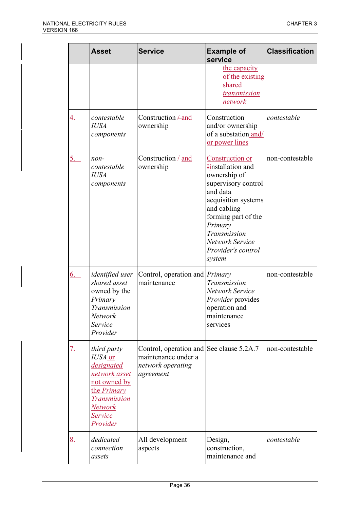|            | <b>Asset</b>                                                                                                                                         | <b>Service</b>                                                                                    | <b>Example of</b><br>service                                                                                                                                                                                                              | <b>Classification</b> |
|------------|------------------------------------------------------------------------------------------------------------------------------------------------------|---------------------------------------------------------------------------------------------------|-------------------------------------------------------------------------------------------------------------------------------------------------------------------------------------------------------------------------------------------|-----------------------|
|            |                                                                                                                                                      |                                                                                                   | the capacity<br>of the existing<br>shared<br>transmission<br>network                                                                                                                                                                      |                       |
| 4.         | contestable<br><b>IUSA</b><br>components                                                                                                             | Construction $\pm$ and<br>ownership                                                               | Construction<br>and/or ownership<br>of a substation and/<br>or power lines                                                                                                                                                                | contestable           |
| <u>5.</u>  | non-<br>contestable<br><b>IUSA</b><br>components                                                                                                     | Construction $\pm$ and<br>ownership                                                               | Construction or<br><b>Hinstallation</b> and<br>ownership of<br>supervisory control<br>and data<br>acquisition systems<br>and cabling<br>forming part of the<br>Primary<br>Transmission<br>Network Service<br>Provider's control<br>system | non-contestable       |
| <u>6.</u>  | <i>identified</i> user<br>shared asset<br>owned by the<br>Primary<br><b>Transmission</b><br>Network<br>Service<br>Provider                           | Control, operation and <i>Primary</i><br>maintenance                                              | Transmission<br>Network Service<br><i>Provider</i> provides<br>operation and<br>maintenance<br>services                                                                                                                                   | non-contestable       |
| <u>7. </u> | third party<br>IUSA or<br>designated<br>network asset<br>not owned by<br>the <i>Primary</i><br><b>Transmission</b><br>Network<br>Service<br>Provider | Control, operation and See clause 5.2A.7<br>maintenance under a<br>network operating<br>agreement |                                                                                                                                                                                                                                           | non-contestable       |
| 8.         | dedicated<br>connection<br>assets                                                                                                                    | All development<br>aspects                                                                        | Design,<br>construction,<br>maintenance and                                                                                                                                                                                               | contestable           |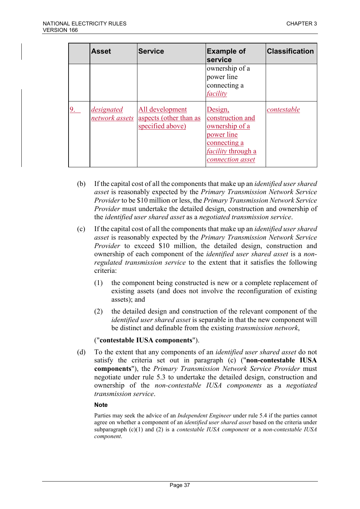| <b>Asset</b>                 | <b>Service</b>                                                | <b>Example of</b><br>service                                                                                                 | <b>Classification</b> |
|------------------------------|---------------------------------------------------------------|------------------------------------------------------------------------------------------------------------------------------|-----------------------|
|                              |                                                               | ownership of a<br>power line<br>connecting a<br>facility                                                                     |                       |
| designated<br>network assets | All development<br>aspects (other than as<br>specified above) | Design,<br>construction and<br>ownership of a<br>power line<br>connecting a<br><i>facility</i> through a<br>connection asset | contestable           |

- (b) If the capital cost of all the components that make up an *identified user shared asset* is reasonably expected by the *Primary Transmission Network Service Provider* to be \$10 million or less, the *Primary Transmission Network Service Provider* must undertake the detailed design, construction and ownership of the *identified user shared asset* as a *negotiated transmission service*.
- (c) If the capital cost of all the components that make up an *identified user shared asset* is reasonably expected by the *Primary Transmission Network Service Provider* to exceed \$10 million, the detailed design, construction and ownership of each component of the *identified user shared asset* is a *nonregulated transmission service* to the extent that it satisfies the following criteria:
	- (1) the component being constructed is new or a complete replacement of existing assets (and does not involve the reconfiguration of existing assets); and
	- (2) the detailed design and construction of the relevant component of the *identified user shared asset* is separable in that the new component will be distinct and definable from the existing *transmission network*,

### ("**contestable IUSA components**").

(d) To the extent that any components of an *identified user shared asset* do not satisfy the criteria set out in paragraph (c) ("**non-contestable IUSA components**"), the *Primary Transmission Network Service Provider* must negotiate under rule 5.3 to undertake the detailed design, construction and ownership of the *non-contestable IUSA components* as a *negotiated transmission service*.

### **Note**

Parties may seek the advice of an *Independent Engineer* under rule 5.4 if the parties cannot agree on whether a component of an *identified user shared asset* based on the criteria under subparagraph (c)(1) and (2) is a *contestable IUSA component* or a *non-contestable IUSA component*.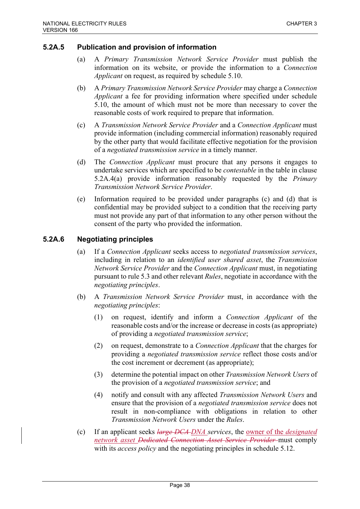## **5.2A.5 Publication and provision of information**

- (a) A *Primary Transmission Network Service Provider* must publish the information on its website, or provide the information to a *Connection Applicant* on request, as required by schedule 5.10.
- (b) A *Primary Transmission Network Service Provider* may charge a *Connection Applicant* a fee for providing information where specified under schedule 5.10, the amount of which must not be more than necessary to cover the reasonable costs of work required to prepare that information.
- (c) A *Transmission Network Service Provider* and a *Connection Applicant* must provide information (including commercial information) reasonably required by the other party that would facilitate effective negotiation for the provision of a *negotiated transmission service* in a timely manner.
- (d) The *Connection Applicant* must procure that any persons it engages to undertake services which are specified to be *contestable* in the table in clause 5.2A.4(a) provide information reasonably requested by the *Primary Transmission Network Service Provider*.
- (e) Information required to be provided under paragraphs (c) and (d) that is confidential may be provided subject to a condition that the receiving party must not provide any part of that information to any other person without the consent of the party who provided the information.

# **5.2A.6 Negotiating principles**

- (a) If a *Connection Applicant* seeks access to *negotiated transmission services*, including in relation to an *identified user shared asset*, the *Transmission Network Service Provider* and the *Connection Applicant* must, in negotiating pursuant to rule 5.3 and other relevant *Rules*, negotiate in accordance with the *negotiating principles*.
- (b) A *Transmission Network Service Provider* must, in accordance with the *negotiating principles*:
	- (1) on request, identify and inform a *Connection Applicant* of the reasonable costs and/or the increase or decrease in costs (as appropriate) of providing a *negotiated transmission service*;
	- (2) on request, demonstrate to a *Connection Applicant* that the charges for providing a *negotiated transmission service* reflect those costs and/or the cost increment or decrement (as appropriate);
	- (3) determine the potential impact on other *Transmission Network Users* of the provision of a *negotiated transmission service*; and
	- (4) notify and consult with any affected *Transmission Network Users* and ensure that the provision of a *negotiated transmission service* does not result in non-compliance with obligations in relation to other *Transmission Network Users* under the *Rules*.
- (c) If an applicant seeks *large DCA DNA services*, the owner of the *designated network asset Dedicated Connection Asset Service Provider* must comply with its *access policy* and the negotiating principles in schedule 5.12.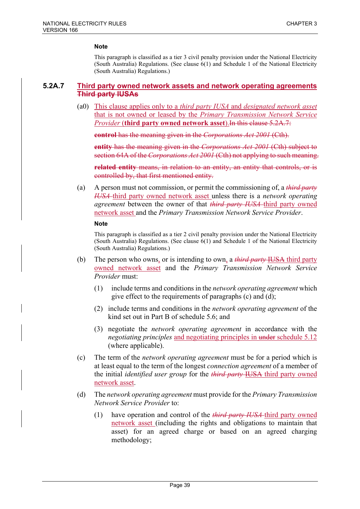This paragraph is classified as a tier 3 civil penalty provision under the National Electricity (South Australia) Regulations. (See clause 6(1) and Schedule 1 of the National Electricity (South Australia) Regulations.)

### **5.2A.7 Third party owned network assets and network operating agreements Third party IUSAs**

(a0) This clause applies only to a *third party IUSA* and *designated network asset* that is not owned or leased by the *Primary Transmission Network Service Provider* (**third party owned network asset**).In this clause 5.2A.7:

**control** has the meaning given in the *Corporations Act 2001* (Cth).

**entity** has the meaning given in the *Corporations Act 2001* (Cth) subject to section 64A of the *Corporations Act 2001* (Cth) not applying to such meaning.

**related entity** means, in relation to an entity, an entity that controls, or is controlled by, that first mentioned entity.

(a) A person must not commission, or permit the commissioning of, a *third party IUSA* third party owned network asset unless there is a *network operating agreement* between the owner of that *third party IUSA* third party owned network asset and the *Primary Transmission Network Service Provider*.

#### **Note**

- (b) The person who owns, or is intending to own, a *third party* IUSA third party owned network asset and the *Primary Transmission Network Service Provider* must:
	- (1) include terms and conditions in the *network operating agreement* which give effect to the requirements of paragraphs (c) and (d);
	- (2) include terms and conditions in the *network operating agreement* of the kind set out in Part B of schedule 5.6; and
	- (3) negotiate the *network operating agreement* in accordance with the *negotiating principles* and negotiating principles in under schedule 5.12 (where applicable).
- (c) The term of the *network operating agreement* must be for a period which is at least equal to the term of the longest *connection agreement* of a member of the initial *identified user group* for the *third party* IUSA third party owned network asset.
- (d) The *network operating agreement* must provide for the *Primary Transmission Network Service Provider* to:
	- (1) have operation and control of the *third party IUSA* third party owned network asset (including the rights and obligations to maintain that asset) for an agreed charge or based on an agreed charging methodology;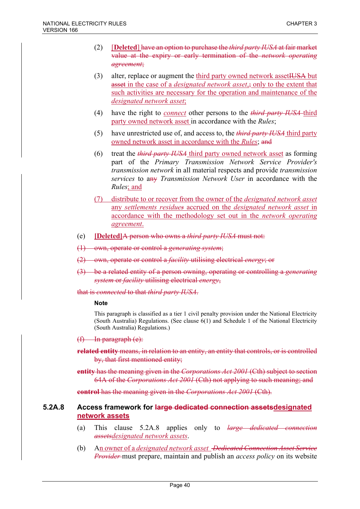- (2) [**Deleted**] have an option to purchase the *third party IUSA* at fair market value at the expiry or early termination of the *network operating agreement*;
- (3) alter, replace or augment the third party owned network asset HUSA but asset in the case of a *designated network asset*, inly to the extent that such activities are necessary for the operation and maintenance of the *designated network asset*;
- (4) have the right to *connect* other persons to the *third party IUSA* third party owned network asset in accordance with the *Rules*;
- (5) have unrestricted use of, and access to, the *third party IUSA* third party owned network asset in accordance with the *Rules*; and
- (6) treat the *third party IUSA* third party owned network asset as forming part of the *Primary Transmission Network Service Provider's transmission network* in all material respects and provide *transmission services* to any *Transmission Network User* in accordance with the *Rules*; and
- (7) distribute to or recover from the owner of the *designated network asset* any *settlements residues* accrued on the *designated network asset* in accordance with the methodology set out in the *network operating agreement*.
- (e) **[Deleted]**A person who owns a *third party IUSA* must not:
- (1) own, operate or control a *generating system*;
- (2) own, operate or control a *facility* utilising electrical *energy*; or
- (3) be a related entity of a person owning, operating or controlling a *generating system* or *facility* utilising electrical *energy*,

that is *connected* to that *third party IUSA*.

#### **Note**

This paragraph is classified as a tier 1 civil penalty provision under the National Electricity (South Australia) Regulations. (See clause 6(1) and Schedule 1 of the National Electricity (South Australia) Regulations.)

 $(f)$  In paragraph  $(e)$ :

**related entity** means, in relation to an entity, an entity that controls, or is controlled by, that first mentioned entity;

**entity** has the meaning given in the *Corporations Act 2001* (Cth) subject to section 64A of the *Corporations Act 2001* (Cth) not applying to such meaning; and

**control** has the meaning given in the *Corporations Act 2001* (Cth).

### **5.2A.8 Access framework for large dedicated connection assetsdesignated network assets**

- (a) This clause 5.2A.8 applies only to *large dedicated connection assetsdesignated network assets*.
- (b) An owner of a *designated network asset Dedicated Connection Asset Service Provider* must prepare, maintain and publish an *access policy* on its website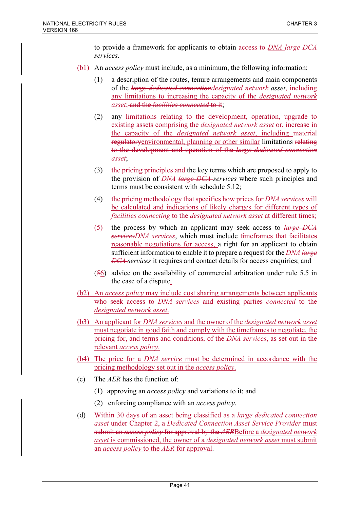to provide a framework for applicants to obtain access to *DNA large DCA services*.

- (b1) An *access policy* must include, as a minimum, the following information:
	- (1) a description of the routes, tenure arrangements and main components of the *large dedicated connectiondesignated network asset*, including any limitations to increasing the capacity of the *designated network asset*; and the *facilities connected* to it;
	- (2) any limitations relating to the development, operation, upgrade to existing assets comprising the *designated network asset* or, increase in the capacity of the *designated network asset*, including material regulatoryenvironmental, planning or other similar limitations relating to the development and operation of the *large dedicated connection asset*;
	- (3) the pricing principles and the key terms which are proposed to apply to the provision of *DNA large DCA services* where such principles and terms must be consistent with schedule 5.12;
	- (4) the pricing methodology that specifies how prices for *DNA services* will be calculated and indications of likely charges for different types of *facilities connecting* to the *designated network asset* at different times;
	- (5) the process by which an applicant may seek access to *large DCA servicesDNA services*, which must include timeframes that facilitates reasonable negotiations for access, a right for an applicant to obtain sufficient information to enable it to prepare a request for the *DNA large DCA services* it requires and contact details for access enquiries; and
	- (56) advice on the availability of commercial arbitration under rule 5.5 in the case of a dispute.
- (b2) An *access policy* may include cost sharing arrangements between applicants who seek access to *DNA services* and existing parties *connected* to the *designated network asset*.
- (b3) An applicant for *DNA services* and the owner of the *designated network asset* must negotiate in good faith and comply with the timeframes to negotiate, the pricing for, and terms and conditions, of the *DNA services*, as set out in the relevant *access policy*.
- (b4) The price for a *DNA service* must be determined in accordance with the pricing methodology set out in the *access policy*.
- (c) The *AER* has the function of:
	- (1) approving an *access policy* and variations to it; and
	- (2) enforcing compliance with an *access policy*.
- (d) Within 30 days of an asset being classified as a *large dedicated connection asset* under Chapter 2, a *Dedicated Connection Asset Service Provider* must submit an *access policy* for approval by the *AER*Before a *designated network asset* is commissioned, the owner of a *designated network asset* must submit an *access policy* to the *AER* for approval.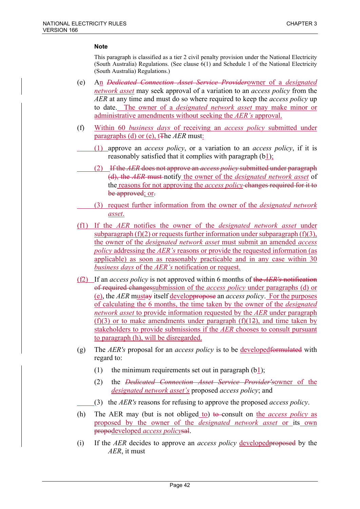- (e) An *Dedicated Connection Asset Service Provider*owner of a *designated network asset* may seek approval of a variation to an *access policy* from the *AER* at any time and must do so where required to keep the *access policy* up to date. The owner of a *designated network asset* may make minor or administrative amendments without seeking the *AER's* approval.
- (f) Within 60 *business days* of receiving an *access policy* submitted under paragraphs (d) or (e), tThe *AER* must:
	- (1) approve an *access policy*, or a variation to an *access policy*, if it is reasonably satisfied that it complies with paragraph (b1);
	- (2) If the *AER* does not approve an *access policy* submitted under paragraph (d), the *AER* must notify the owner of the *designated network asset* of the reasons for not approving the *access policy* changes required for it to be approved; or.
	- (3) request further information from the owner of the *designated network asset*.
- (f1) If the *AER* notifies the owner of the *designated network asset* under subparagraph  $(f)(2)$  or requests further information under subparagraph  $(f)(3)$ , the owner of the *designated network asset* must submit an amended *access policy* addressing the *AER's* reasons or provide the requested information (as applicable) as soon as reasonably practicable and in any case within 30 *business days* of the *AER's* notification or request.
- (f2) If an *access policy* is not approved within 6 months of the *AER's* notification of required changessubmission of the *access policy* under paragraphs (d) or (e), the *AER* mustay itself developpropose an *access policy*. For the purposes of calculating the 6 months, the time taken by the owner of the *designated network asset* to provide information requested by the *AER* under paragraph  $(f)(3)$  or to make amendments under paragraph  $(f)(12)$ , and time taken by stakeholders to provide submissions if the *AER* chooses to consult pursuant to paragraph (h), will be disregarded.
- (g) The *AER's* proposal for an *access policy* is to be developedformulated with regard to:
	- (1) the minimum requirements set out in paragraph  $(b1)$ ;
	- (2) the *Dedicated Connection Asset Service Provider's*owner of the *designated network asset's* proposed *access policy*; and
	- (3) the *AER's* reasons for refusing to approve the proposed *access policy*.
- (h) The AER may (but is not obliged to) to consult on the *access policy* as proposed by the owner of the *designated network asset* or its own propodeveloped *access policy*sal.
- (i) If the *AER* decides to approve an *access policy* developedproposed by the *AER*, it must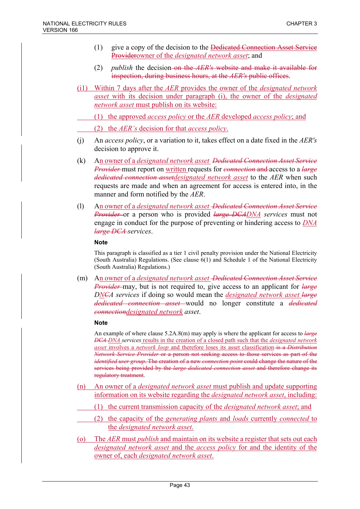- $(1)$  give a copy of the decision to the <del>Dedicated Connection Asset Service</del> Providerowner of the *designated network asset*; and
- (2) *publish* the decision on the *AER's* website and make it available for inspection, during business hours, at the *AER's* public offices.
- (i1) Within 7 days after the *AER* provides the owner of the *designated network asset* with its decision under paragraph (i), the owner of the *designated network asset* must publish on its website:
	- (1) the approved *access policy* or the *AER* developed *access policy*; and
		- (2) the *AER's* decision for that *access policy*.
- (j) An *access policy*, or a variation to it, takes effect on a date fixed in the *AER's* decision to approve it.
- (k) An owner of a *designated network asset Dedicated Connection Asset Service Provider* must report on written requests for *connection* and access to a *large dedicated connection assetdesignated network asset* to the *AER* when such requests are made and when an agreement for access is entered into, in the manner and form notified by the *AER*.
- (l) An owner of a *designated network asset Dedicated Connection Asset Service Provider* or a person who is provided *large DCADNA services* must not engage in conduct for the purpose of preventing or hindering access to *DNA large DCA services*.

This paragraph is classified as a tier 1 civil penalty provision under the National Electricity (South Australia) Regulations. (See clause 6(1) and Schedule 1 of the National Electricity (South Australia) Regulations.)

(m) An owner of a *designated network asset Dedicated Connection Asset Service Provider* may, but is not required to, give access to an applicant for *large DNCA services* if doing so would mean the *designated network asset large dedicated connection asset* would no longer constitute a *dedicated connectiondesignated network asset*.

### **Note**

An example of where clause 5.2A.8(m) may apply is where the applicant for access to *large DCA DNA services* results in the creation of a closed path such that the *designated network asset* involves a *network loop* and therefore loses its asset classification is a *Distribution Network Service Provider* or a person not seeking access to those services as part of the *identified user group*. The creation of a new *connection point* could change the nature of the services being provided by the *large dedicated connection asset* and therefore change its regulatory treatment.

- (n) An owner of a *designated network asset* must publish and update supporting information on its website regarding the *designated network asset*, including:
	- (1) the current transmission capacity of the *designated network asset*; and
	- (2) the capacity of the *generating plants* and *loads* currently *connected* to the *designated network asset*.
- (o) The *AER* must *publish* and maintain on its website a register that sets out each *designated network asset* and the *access policy* for and the identity of the owner of, each *designated network asset*.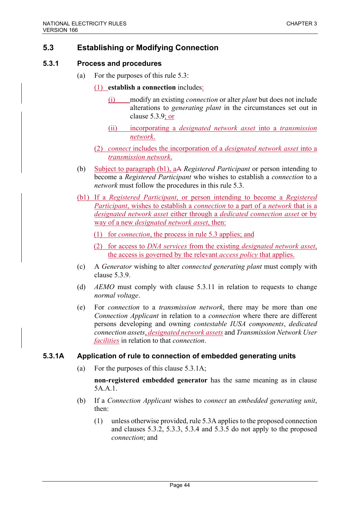# **5.3 Establishing or Modifying Connection**

### **5.3.1 Process and procedures**

- (a) For the purposes of this rule 5.3:
	- (1) **establish a connection** includes:
		- (i) modify an existing *connection* or alter *plant* but does not include alterations to *generating plant* in the circumstances set out in clause 5.3.9; or
		- (ii) incorporating a *designated network asset* into a *transmission network*.
	- (2) *connect* includes the incorporation of a *designated network asset* into a *transmission network*.
- (b) Subject to paragraph (b1), aA *Registered Participant* or person intending to become a *Registered Participant* who wishes to establish a *connection* to a *network* must follow the procedures in this rule 5.3.
- (b1) If a *Registered Participant*, or person intending to become a *Registered Participant*, wishes to establish a *connection* to a part of a *network* that is a *designated network asset* either through a *dedicated connection asset* or by way of a new *designated network asset*, then:
	- (1) for *connection*, the process in rule 5.3 applies; and
	- (2) for access to *DNA services* from the existing *designated network asset*, the access is governed by the relevant *access policy* that applies.
- (c) A *Generator* wishing to alter *connected generating plant* must comply with clause 5.3.9.
- (d) *AEMO* must comply with clause 5.3.11 in relation to requests to change *normal voltage*.
- (e) For *connection* to a *transmission network*, there may be more than one *Connection Applicant* in relation to a *connection* where there are different persons developing and owning *contestable IUSA components*, *dedicated connection assets*, *designated network assets* and *Transmission Network User facilities* in relation to that *connection*.

### **5.3.1A Application of rule to connection of embedded generating units**

(a) For the purposes of this clause 5.3.1A;

**non-registered embedded generator** has the same meaning as in clause 5A.A.1.

- (b) If a *Connection Applicant* wishes to *connect* an *embedded generating unit*, then:
	- (1) unless otherwise provided, rule 5.3A applies to the proposed connection and clauses 5.3.2, 5.3.3, 5.3.4 and 5.3.5 do not apply to the proposed *connection*; and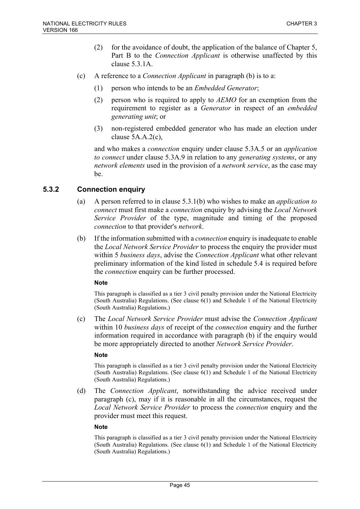- (2) for the avoidance of doubt, the application of the balance of Chapter 5, Part B to the *Connection Applicant* is otherwise unaffected by this clause 5.3.1A.
- (c) A reference to a *Connection Applicant* in paragraph (b) is to a:
	- (1) person who intends to be an *Embedded Generator*;
	- (2) person who is required to apply to *AEMO* for an exemption from the requirement to register as a *Generator* in respect of an *embedded generating unit*; or
	- (3) non-registered embedded generator who has made an election under clause 5A.A.2(c),

and who makes a *connection* enquiry under clause 5.3A.5 or an *application to connect* under clause 5.3A.9 in relation to any *generating systems*, or any *network elements* used in the provision of a *network service*, as the case may be.

# **5.3.2 Connection enquiry**

- (a) A person referred to in clause 5.3.1(b) who wishes to make an *application to connect* must first make a *connection* enquiry by advising the *Local Network Service Provider* of the type, magnitude and timing of the proposed *connection* to that provider's *network*.
- (b) If the information submitted with a *connection* enquiry is inadequate to enable the *Local Network Service Provider* to process the enquiry the provider must within 5 *business days*, advise the *Connection Applicant* what other relevant preliminary information of the kind listed in schedule 5.4 is required before the *connection* enquiry can be further processed.

### **Note**

This paragraph is classified as a tier 3 civil penalty provision under the National Electricity (South Australia) Regulations. (See clause 6(1) and Schedule 1 of the National Electricity (South Australia) Regulations.)

(c) The *Local Network Service Provider* must advise the *Connection Applicant* within 10 *business days* of receipt of the *connection* enquiry and the further information required in accordance with paragraph (b) if the enquiry would be more appropriately directed to another *Network Service Provider*.

### **Note**

This paragraph is classified as a tier 3 civil penalty provision under the National Electricity (South Australia) Regulations. (See clause 6(1) and Schedule 1 of the National Electricity (South Australia) Regulations.)

(d) The *Connection Applicant*, notwithstanding the advice received under paragraph (c), may if it is reasonable in all the circumstances, request the *Local Network Service Provider* to process the *connection* enquiry and the provider must meet this request.

### **Note**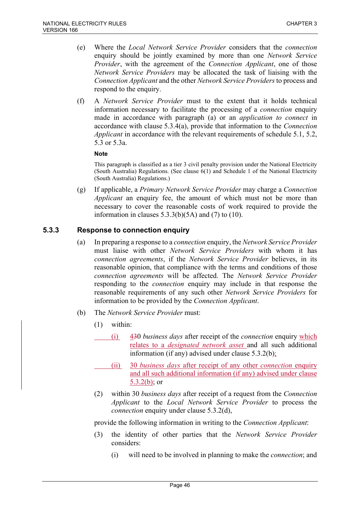- (e) Where the *Local Network Service Provider* considers that the *connection* enquiry should be jointly examined by more than one *Network Service Provider*, with the agreement of the *Connection Applicant*, one of those *Network Service Providers* may be allocated the task of liaising with the *Connection Applicant* and the other *Network Service Providers* to process and respond to the enquiry.
- (f) A *Network Service Provider* must to the extent that it holds technical information necessary to facilitate the processing of a *connection* enquiry made in accordance with paragraph (a) or an *application to connect* in accordance with clause 5.3.4(a), provide that information to the *Connection Applicant* in accordance with the relevant requirements of schedule 5.1, 5.2, 5.3 or 5.3a.

This paragraph is classified as a tier 3 civil penalty provision under the National Electricity (South Australia) Regulations. (See clause 6(1) and Schedule 1 of the National Electricity (South Australia) Regulations.)

(g) If applicable, a *Primary Network Service Provider* may charge a *Connection Applicant* an enquiry fee, the amount of which must not be more than necessary to cover the reasonable costs of work required to provide the information in clauses  $5.3.3(b)(5A)$  and  $(7)$  to  $(10)$ .

# **5.3.3 Response to connection enquiry**

- (a) In preparing a response to a *connection* enquiry, the *Network Service Provider* must liaise with other *Network Service Providers* with whom it has *connection agreements*, if the *Network Service Provider* believes, in its reasonable opinion, that compliance with the terms and conditions of those *connection agreements* will be affected. The *Network Service Provider* responding to the *connection* enquiry may include in that response the reasonable requirements of any such other *Network Service Providers* for information to be provided by the *Connection Applicant*.
- (b) The *Network Service Provider* must:
	- (1) within:
		- (i) 430 *business days* after receipt of the *connection* enquiry which relates to a *designated network asset* and all such additional information (if any) advised under clause 5.3.2(b);
		- (ii) 30 *business days* after receipt of any other *connection* enquiry and all such additional information (if any) advised under clause 5.3.2(b); or
	- (2) within 30 *business days* after receipt of a request from the *Connection Applicant* to the *Local Network Service Provider* to process the *connection* enquiry under clause 5.3.2(d),

provide the following information in writing to the *Connection Applicant*:

- (3) the identity of other parties that the *Network Service Provider* considers:
	- (i) will need to be involved in planning to make the *connection*; and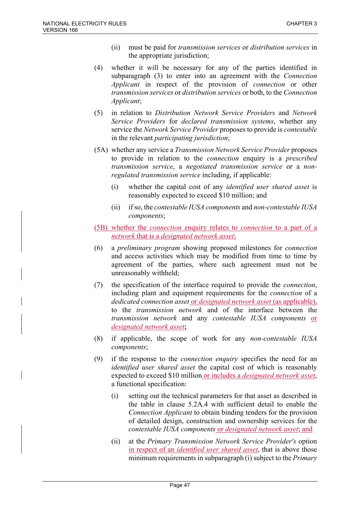- (ii) must be paid for *transmission services* or *distribution services* in the appropriate jurisdiction;
- (4) whether it will be necessary for any of the parties identified in subparagraph (3) to enter into an agreement with the *Connection Applicant* in respect of the provision of *connection* or other *transmission services* or *distribution services* or both, to the *Connection Applicant*;
- (5) in relation to *Distribution Network Service Providers* and *Network Service Providers* for *declared transmission systems*, whether any service the *Network Service Provider* proposes to provide is *contestable* in the relevant *participating jurisdiction*;
- (5A) whether any service a *Transmission Network Service Provider* proposes to provide in relation to the *connection* enquiry is a *prescribed transmission service*, a *negotiated transmission service* or a *nonregulated transmission service* including, if applicable:
	- (i) whether the capital cost of any *identified user shared asset* is reasonably expected to exceed \$10 million; and
	- (ii) if so, the *contestable IUSA components* and *non-contestable IUSA components*;
- (5B) whether the *connection* enquiry relates to *connection* to a part of a *network* that is a *designated network asset*;
- (6) a *preliminary program* showing proposed milestones for *connection* and access activities which may be modified from time to time by agreement of the parties, where such agreement must not be unreasonably withheld;
- (7) the specification of the interface required to provide the *connection*, including plant and equipment requirements for the *connection* of a *dedicated connection asset* or *designated network asset* (as applicable), to the *transmission network* and of the interface between the *transmission network* and any *contestable IUSA components* or *designated network asset***;**
- (8) if applicable, the scope of work for any *non-contestable IUSA components*;
- (9) if the response to the *connection enquiry* specifies the need for an *identified user shared asset* the capital cost of which is reasonably expected to exceed \$10 million or includes a *designated network asset*, a functional specification:
	- (i) setting out the technical parameters for that asset as described in the table in clause 5.2A.4 with sufficient detail to enable the *Connection Applicant* to obtain binding tenders for the provision of detailed design, construction and ownership services for the *contestable IUSA components* or *designated network asset*; and
	- (ii) at the *Primary Transmission Network Service Provider's* option in respect of an *identified user shared asset*, that is above those minimum requirements in subparagraph (i) subject to the *Primary*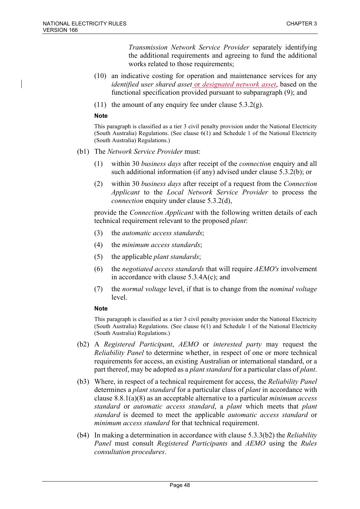*Transmission Network Service Provider* separately identifying the additional requirements and agreeing to fund the additional works related to those requirements;

- (10) an indicative costing for operation and maintenance services for any *identified user shared asset* or *designated network asset*, based on the functional specification provided pursuant to subparagraph (9); and
- (11) the amount of any enquiry fee under clause  $5.3.2(g)$ .

#### **Note**

This paragraph is classified as a tier 3 civil penalty provision under the National Electricity (South Australia) Regulations. (See clause 6(1) and Schedule 1 of the National Electricity (South Australia) Regulations.)

- (b1) The *Network Service Provider* must:
	- (1) within 30 *business days* after receipt of the *connection* enquiry and all such additional information (if any) advised under clause 5.3.2(b); or
	- (2) within 30 *business days* after receipt of a request from the *Connection Applicant* to the *Local Network Service Provider* to process the *connection* enquiry under clause 5.3.2(d),

provide the *Connection Applicant* with the following written details of each technical requirement relevant to the proposed *plant*:

- (3) the *automatic access standards*;
- (4) the *minimum access standards*;
- (5) the applicable *plant standards*;
- (6) the *negotiated access standards* that will require *AEMO's* involvement in accordance with clause 5.3.4A(c); and
- (7) the *normal voltage* level, if that is to change from the *nominal voltage* level.

#### **Note**

- (b2) A *Registered Participant*, *AEMO* or *interested party* may request the *Reliability Panel* to determine whether, in respect of one or more technical requirements for access, an existing Australian or international standard, or a part thereof, may be adopted as a *plant standard* for a particular class of *plant*.
- (b3) Where, in respect of a technical requirement for access, the *Reliability Panel* determines a *plant standard* for a particular class of *plant* in accordance with clause 8.8.1(a)(8) as an acceptable alternative to a particular *minimum access standard* or *automatic access standard*, a *plant* which meets that *plant standard* is deemed to meet the applicable *automatic access standard* or *minimum access standard* for that technical requirement.
- (b4) In making a determination in accordance with clause 5.3.3(b2) the *Reliability Panel* must consult *Registered Participants* and *AEMO* using the *Rules consultation procedures*.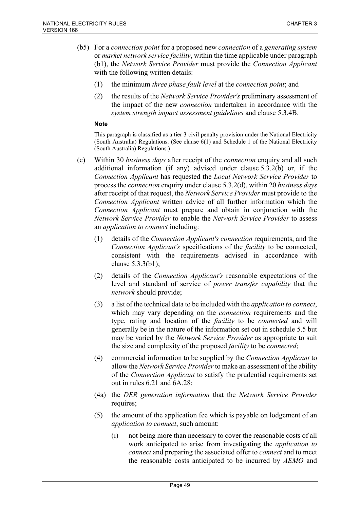- (b5) For a *connection point* for a proposed new *connection* of a *generating system* or *market network service facility*, within the time applicable under paragraph (b1), the *Network Service Provider* must provide the *Connection Applicant* with the following written details:
	- (1) the minimum *three phase fault level* at the *connection point*; and
	- (2) the results of the *Network Service Provider's* preliminary assessment of the impact of the new *connection* undertaken in accordance with the *system strength impact assessment guidelines* and clause 5.3.4B.

- (c) Within 30 *business days* after receipt of the *connection* enquiry and all such additional information (if any) advised under clause 5.3.2(b) or, if the *Connection Applicant* has requested the *Local Network Service Provider* to process the *connection* enquiry under clause 5.3.2(d), within 20 *business days* after receipt of that request, the *Network Service Provider* must provide to the *Connection Applicant* written advice of all further information which the *Connection Applicant* must prepare and obtain in conjunction with the *Network Service Provider* to enable the *Network Service Provider* to assess an *application to connect* including:
	- (1) details of the *Connection Applicant's connection* requirements, and the *Connection Applicant's* specifications of the *facility* to be connected, consistent with the requirements advised in accordance with clause 5.3.3(b1);
	- (2) details of the *Connection Applicant's* reasonable expectations of the level and standard of service of *power transfer capability* that the *network* should provide;
	- (3) a list of the technical data to be included with the *application to connect*, which may vary depending on the *connection* requirements and the type, rating and location of the *facility* to be *connected* and will generally be in the nature of the information set out in schedule 5.5 but may be varied by the *Network Service Provider* as appropriate to suit the size and complexity of the proposed *facility* to be *connected*;
	- (4) commercial information to be supplied by the *Connection Applicant* to allow the *Network Service Provider*to make an assessment of the ability of the *Connection Applicant* to satisfy the prudential requirements set out in rules 6.21 and 6A.28;
	- (4a) the *DER generation information* that the *Network Service Provider* requires;
	- (5) the amount of the application fee which is payable on lodgement of an *application to connect*, such amount:
		- (i) not being more than necessary to cover the reasonable costs of all work anticipated to arise from investigating the *application to connect* and preparing the associated offer to *connect* and to meet the reasonable costs anticipated to be incurred by *AEMO* and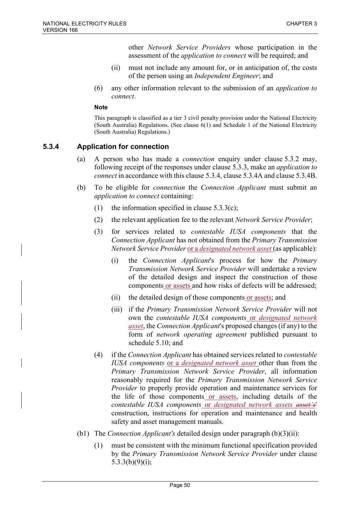other *Network Service Providers* whose participation in the assessment of the *application to connect* will be required; and

- (ii) must not include any amount for, or in anticipation of, the costs of the person using an *Independent Engineer*; and
- (6) any other information relevant to the submission of an *application to connect*.

#### **Note**

This paragraph is classified as a tier 3 civil penalty provision under the National Electricity (South Australia) Regulations. (See clause 6(1) and Schedule 1 of the National Electricity (South Australia) Regulations.)

## **5.3.4 Application for connection**

- (a) A person who has made a *connection* enquiry under clause 5.3.2 may, following receipt of the responses under clause 5.3.3, make an *application to connect* in accordance with this clause 5.3.4, clause 5.3.4A and clause 5.3.4B.
- (b) To be eligible for *connection* the *Connection Applicant* must submit an *application to connect* containing:
	- (1) the information specified in clause  $5.3.3(c)$ ;
	- (2) the relevant application fee to the relevant *Network Service Provider*;
	- (3) for services related to *contestable IUSA components* that the *Connection Applicant* has not obtained from the *Primary Transmission Network Service Provider* or a *designated network asset* (as applicable):
		- (i) the *Connection Applicant*'s process for how the *Primary Transmission Network Service Provider* will undertake a review of the detailed design and inspect the construction of those components or assets and how risks of defects will be addressed;
		- (ii) the detailed design of those components or assets; and
		- (iii) if the *Primary Transmission Network Service Provider* will not own the *contestable IUSA components* or *designated network asset*, the *Connection Applicant*'s proposed changes (if any) to the form of *network operating agreement* published pursuant to schedule 5.10; and
	- (4) if the *Connection Applicant* has obtained services related to *contestable IUSA components* or a *designated network asset* other than from the *Primary Transmission Network Service Provider*, all information reasonably required for the *Primary Transmission Network Service Provider* to properly provide operation and maintenance services for the life of those components or assets, including details of the *contestable IUSA components* or *designated network assets asset's*' construction, instructions for operation and maintenance and health safety and asset management manuals.
- (b1) The *Connection Applicant's* detailed design under paragraph (b)(3)(ii):
	- (1) must be consistent with the minimum functional specification provided by the *Primary Transmission Network Service Provider* under clause 5.3.3(b)(9)(i);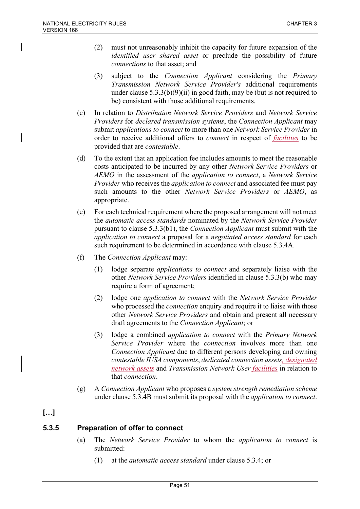- (2) must not unreasonably inhibit the capacity for future expansion of the *identified user shared asset* or preclude the possibility of future *connections* to that asset; and
- (3) subject to the *Connection Applicant* considering the *Primary Transmission Network Service Provider's* additional requirements under clause 5.3.3(b)(9)(ii) in good faith, may be (but is not required to be) consistent with those additional requirements.
- (c) In relation to *Distribution Network Service Providers* and *Network Service Providers* for *declared transmission systems*, the *Connection Applicant* may submit *applications to connect* to more than one *Network Service Provider* in order to receive additional offers to *connect* in respect of *facilities* to be provided that are *contestable*.
- (d) To the extent that an application fee includes amounts to meet the reasonable costs anticipated to be incurred by any other *Network Service Providers* or *AEMO* in the assessment of the *application to connect*, a *Network Service Provider* who receives the *application to connect* and associated fee must pay such amounts to the other *Network Service Providers* or *AEMO*, as appropriate.
- (e) For each technical requirement where the proposed arrangement will not meet the *automatic access standards* nominated by the *Network Service Provider* pursuant to clause 5.3.3(b1), the *Connection Applicant* must submit with the *application to connect* a proposal for a *negotiated access standard* for each such requirement to be determined in accordance with clause 5.3.4A.
- (f) The *Connection Applicant* may:
	- (1) lodge separate *applications to connect* and separately liaise with the other *Network Service Providers* identified in clause 5.3.3(b) who may require a form of agreement;
	- (2) lodge one *application to connect* with the *Network Service Provider* who processed the *connection* enquiry and require it to liaise with those other *Network Service Providers* and obtain and present all necessary draft agreements to the *Connection Applicant*; or
	- (3) lodge a combined *application to connect* with the *Primary Network Service Provider* where the *connection* involves more than one *Connection Applicant* due to different persons developing and owning *contestable IUSA components*, *dedicated connection assets, designated network assets* and *Transmission Network User facilities* in relation to that *connection*.
- (g) A *Connection Applicant* who proposes a *system strength remediation scheme* under clause 5.3.4B must submit its proposal with the *application to connect*.

# **[…]**

## **5.3.5 Preparation of offer to connect**

- (a) The *Network Service Provider* to whom the *application to connect* is submitted:
	- (1) at the *automatic access standard* under clause 5.3.4; or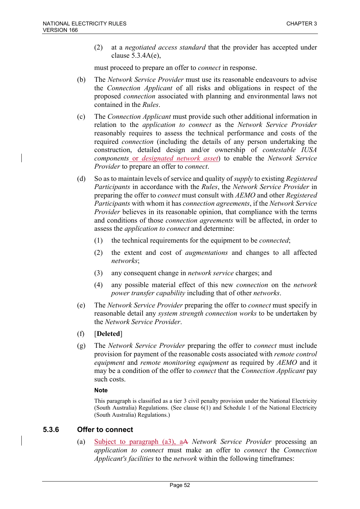(2) at a *negotiated access standard* that the provider has accepted under clause 5.3.4A(e),

must proceed to prepare an offer to *connect* in response.

- (b) The *Network Service Provider* must use its reasonable endeavours to advise the *Connection Applicant* of all risks and obligations in respect of the proposed *connection* associated with planning and environmental laws not contained in the *Rules*.
- (c) The *Connection Applicant* must provide such other additional information in relation to the *application to connect* as the *Network Service Provider* reasonably requires to assess the technical performance and costs of the required *connection* (including the details of any person undertaking the construction, detailed design and/or ownership of *contestable IUSA components* or *designated network asset*) to enable the *Network Service Provider* to prepare an offer to *connect*.
- (d) So as to maintain levels of service and quality of *supply* to existing *Registered Participants* in accordance with the *Rules*, the *Network Service Provider* in preparing the offer to *connect* must consult with *AEMO* and other *Registered Participants* with whom it has *connection agreements*, if the *Network Service Provider* believes in its reasonable opinion, that compliance with the terms and conditions of those *connection agreements* will be affected, in order to assess the *application to connect* and determine:
	- (1) the technical requirements for the equipment to be *connected*;
	- (2) the extent and cost of *augmentations* and changes to all affected *networks*;
	- (3) any consequent change in *network service* charges; and
	- (4) any possible material effect of this new *connection* on the *network power transfer capability* including that of other *networks*.
- (e) The *Network Service Provider* preparing the offer to *connect* must specify in reasonable detail any *system strength connection works* to be undertaken by the *Network Service Provider*.
- (f) [**Deleted**]
- (g) The *Network Service Provider* preparing the offer to *connect* must include provision for payment of the reasonable costs associated with *remote control equipment* and *remote monitoring equipment* as required by *AEMO* and it may be a condition of the offer to *connect* that the *Connection Applicant* pay such costs.

### **Note**

This paragraph is classified as a tier 3 civil penalty provision under the National Electricity (South Australia) Regulations. (See clause 6(1) and Schedule 1 of the National Electricity (South Australia) Regulations.)

## **5.3.6 Offer to connect**

(a) Subject to paragraph (a3), aA *Network Service Provider* processing an *application to connect* must make an offer to *connect* the *Connection Applicant's facilities* to the *network* within the following timeframes: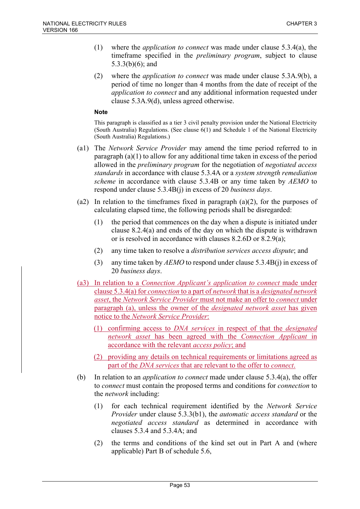- (1) where the *application to connect* was made under clause 5.3.4(a), the timeframe specified in the *preliminary program*, subject to clause 5.3.3(b)(6); and
- (2) where the *application to connect* was made under clause 5.3A.9(b), a period of time no longer than 4 months from the date of receipt of the *application to connect* and any additional information requested under clause 5.3A.9(d), unless agreed otherwise.

- (a1) The *Network Service Provider* may amend the time period referred to in paragraph (a)(1) to allow for any additional time taken in excess of the period allowed in the *preliminary program* for the negotiation of *negotiated access standards* in accordance with clause 5.3.4A or a *system strength remediation scheme* in accordance with clause 5.3.4B or any time taken by *AEMO* to respond under clause 5.3.4B(j) in excess of 20 *business days*.
- (a2) In relation to the timeframes fixed in paragraph  $(a)(2)$ , for the purposes of calculating elapsed time, the following periods shall be disregarded:
	- (1) the period that commences on the day when a dispute is initiated under clause 8.2.4(a) and ends of the day on which the dispute is withdrawn or is resolved in accordance with clauses 8.2.6D or 8.2.9(a);
	- (2) any time taken to resolve a *distribution services access dispute*; and
	- (3) any time taken by *AEMO* to respond under clause 5.3.4B(j) in excess of 20 *business days*.
- (a3) In relation to a *Connection Applicant's application to connect* made under clause 5.3.4(a) for *connection* to a part of *network* that is a *designated network asset*, the *Network Service Provider* must not make an offer to *connect* under paragraph (a), unless the owner of the *designated network asset* has given notice to the *Network Service Provider*:
	- (1) confirming access to *DNA services* in respect of that the *designated network asset* has been agreed with the *Connection Applicant* in accordance with the relevant *access policy*; and
	- (2) providing any details on technical requirements or limitations agreed as part of the *DNA services* that are relevant to the offer to *connect*.
- (b) In relation to an *application to connect* made under clause 5.3.4(a), the offer to *connect* must contain the proposed terms and conditions for *connection* to the *network* including:
	- (1) for each technical requirement identified by the *Network Service Provider* under clause 5.3.3(b1), the *automatic access standard* or the *negotiated access standard* as determined in accordance with clauses 5.3.4 and 5.3.4A; and
	- (2) the terms and conditions of the kind set out in Part A and (where applicable) Part B of schedule 5.6,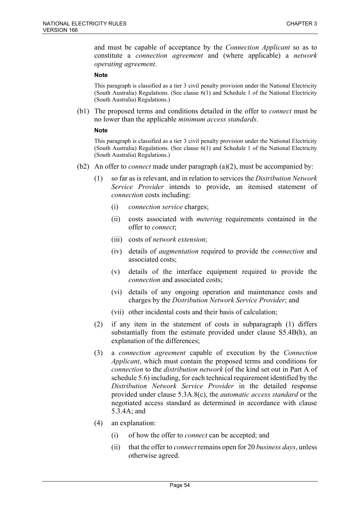and must be capable of acceptance by the *Connection Applicant* so as to constitute a *connection agreement* and (where applicable) a *network operating agreement*.

#### **Note**

This paragraph is classified as a tier 3 civil penalty provision under the National Electricity (South Australia) Regulations. (See clause 6(1) and Schedule 1 of the National Electricity (South Australia) Regulations.)

(b1) The proposed terms and conditions detailed in the offer to *connect* must be no lower than the applicable *minimum access standards*.

#### **Note**

- (b2) An offer to *connect* made under paragraph (a)(2), must be accompanied by:
	- (1) so far as is relevant, and in relation to services the *Distribution Network Service Provider* intends to provide, an itemised statement of *connection* costs including:
		- (i) *connection service* charges;
		- (ii) costs associated with *metering* requirements contained in the offer to *connect*;
		- (iii) costs of *network extension*;
		- (iv) details of *augmentation* required to provide the *connection* and associated costs;
		- (v) details of the interface equipment required to provide the *connection* and associated costs;
		- (vi) details of any ongoing operation and maintenance costs and charges by the *Distribution Network Service Provider*; and
		- (vii) other incidental costs and their basis of calculation;
	- (2) if any item in the statement of costs in subparagraph (1) differs substantially from the estimate provided under clause S5.4B(h), an explanation of the differences;
	- (3) a *connection agreement* capable of execution by the *Connection Applicant*, which must contain the proposed terms and conditions for *connection* to the *distribution network* (of the kind set out in Part A of schedule 5.6) including, for each technical requirement identified by the *Distribution Network Service Provider* in the detailed response provided under clause 5.3A.8(c), the *automatic access standard* or the negotiated access standard as determined in accordance with clause 5.3.4A; and
	- (4) an explanation:
		- (i) of how the offer to *connect* can be accepted; and
		- (ii) that the offer to *connect* remains open for 20 *business days*, unless otherwise agreed.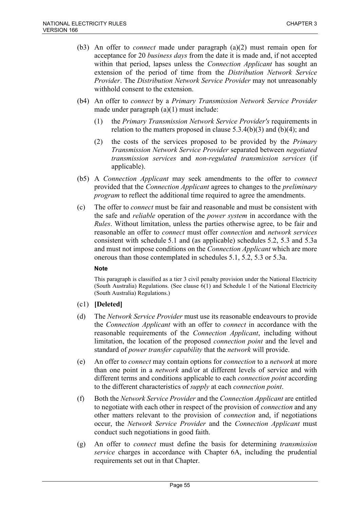- (b3) An offer to *connect* made under paragraph (a)(2) must remain open for acceptance for 20 *business days* from the date it is made and, if not accepted within that period, lapses unless the *Connection Applicant* has sought an extension of the period of time from the *Distribution Network Service Provider*. The *Distribution Network Service Provider* may not unreasonably withhold consent to the extension.
- (b4) An offer to *connect* by a *Primary Transmission Network Service Provider* made under paragraph (a)(1) must include:
	- (1) the *Primary Transmission Network Service Provider's* requirements in relation to the matters proposed in clause  $5.3.4(b)(3)$  and  $(b)(4)$ ; and
	- (2) the costs of the services proposed to be provided by the *Primary Transmission Network Service Provider* separated between *negotiated transmission services* and *non-regulated transmission services* (if applicable).
- (b5) A *Connection Applicant* may seek amendments to the offer to *connect* provided that the *Connection Applicant* agrees to changes to the *preliminary program* to reflect the additional time required to agree the amendments.
- (c) The offer to *connect* must be fair and reasonable and must be consistent with the safe and *reliable* operation of the *power system* in accordance with the *Rules*. Without limitation, unless the parties otherwise agree, to be fair and reasonable an offer to *connect* must offer *connection* and *network services* consistent with schedule 5.1 and (as applicable) schedules 5.2, 5.3 and 5.3a and must not impose conditions on the *Connection Applicant* which are more onerous than those contemplated in schedules 5.1, 5.2, 5.3 or 5.3a.

- (c1) **[Deleted]**
- (d) The *Network Service Provider* must use its reasonable endeavours to provide the *Connection Applicant* with an offer to *connect* in accordance with the reasonable requirements of the *Connection Applicant*, including without limitation, the location of the proposed *connection point* and the level and standard of *power transfer capability* that the *network* will provide.
- (e) An offer to *connect* may contain options for *connection* to a *network* at more than one point in a *network* and/or at different levels of service and with different terms and conditions applicable to each *connection point* according to the different characteristics of *supply* at each *connection point*.
- (f) Both the *Network Service Provider* and the *Connection Applicant* are entitled to negotiate with each other in respect of the provision of *connection* and any other matters relevant to the provision of *connection* and, if negotiations occur, the *Network Service Provider* and the *Connection Applicant* must conduct such negotiations in good faith.
- (g) An offer to *connect* must define the basis for determining *transmission service* charges in accordance with Chapter 6A, including the prudential requirements set out in that Chapter.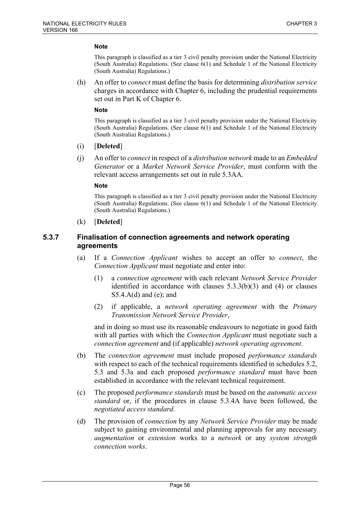This paragraph is classified as a tier 3 civil penalty provision under the National Electricity (South Australia) Regulations. (See clause  $6(1)$  and Schedule 1 of the National Electricity (South Australia) Regulations.)

(h) An offer to *connect* must define the basis for determining *distribution service* charges in accordance with Chapter 6, including the prudential requirements set out in Part K of Chapter 6.

#### **Note**

This paragraph is classified as a tier 3 civil penalty provision under the National Electricity (South Australia) Regulations. (See clause 6(1) and Schedule 1 of the National Electricity (South Australia) Regulations.)

- (i) [**Deleted**]
- (j) An offer to *connect* in respect of a *distribution network* made to an *Embedded Generator* or a *Market Network Service Provider*, must conform with the relevant access arrangements set out in rule 5.3AA.

#### **Note**

This paragraph is classified as a tier 3 civil penalty provision under the National Electricity (South Australia) Regulations. (See clause 6(1) and Schedule 1 of the National Electricity (South Australia) Regulations.)

(k) [**Deleted**]

### **5.3.7 Finalisation of connection agreements and network operating agreements**

- (a) If a *Connection Applicant* wishes to accept an offer to *connect*, the *Connection Applicant* must negotiate and enter into:
	- (1) a *connection agreement* with each relevant *Network Service Provider* identified in accordance with clauses 5.3.3(b)(3) and (4) or clauses  $S5.4.A(d)$  and (e); and
	- (2) if applicable, a *network operating agreement* with the *Primary Transmission Network Service Provider*,

and in doing so must use its reasonable endeavours to negotiate in good faith with all parties with which the *Connection Applicant* must negotiate such a *connection agreement* and (if applicable) *network operating agreement*.

- (b) The *connection agreement* must include proposed *performance standards* with respect to each of the technical requirements identified in schedules 5.2, 5.3 and 5.3a and each proposed *performance standard* must have been established in accordance with the relevant technical requirement.
- (c) The proposed *performance standards* must be based on the *automatic access standard* or, if the procedures in clause 5.3.4A have been followed, the *negotiated access standard*.
- (d) The provision of *connection* by any *Network Service Provider* may be made subject to gaining environmental and planning approvals for any necessary *augmentation* or *extension* works to a *network* or any *system strength connection works*.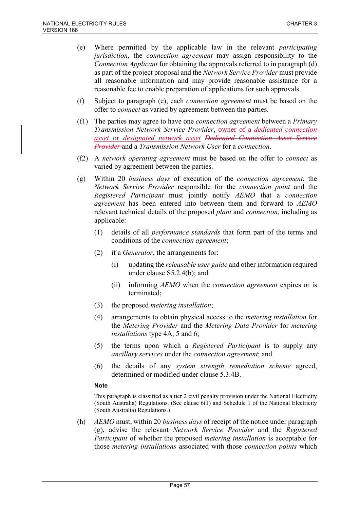- (e) Where permitted by the applicable law in the relevant *participating jurisdiction*, the *connection agreement* may assign responsibility to the *Connection Applicant* for obtaining the approvals referred to in paragraph (d) as part of the project proposal and the *Network Service Provider* must provide all reasonable information and may provide reasonable assistance for a reasonable fee to enable preparation of applications for such approvals.
- (f) Subject to paragraph (e), each *connection agreement* must be based on the offer to *connect* as varied by agreement between the parties.
- (f1) The parties may agree to have one *connection agreement* between a *Primary Transmission Network Service Provider*, owner of a *dedicated connection asset* or *designated network asset Dedicated Connection Asset Service Provider* and a *Transmission Network User* for a *connection*.
- (f2) A *network operating agreement* must be based on the offer to *connect* as varied by agreement between the parties.
- (g) Within 20 *business days* of execution of the *connection agreement*, the *Network Service Provider* responsible for the *connection point* and the *Registered Participant* must jointly notify *AEMO* that a *connection agreement* has been entered into between them and forward to *AEMO* relevant technical details of the proposed *plant* and *connection*, including as applicable:
	- (1) details of all *performance standards* that form part of the terms and conditions of the *connection agreement*;
	- (2) if a *Generator*, the arrangements for:
		- (i) updating the *releasable user guide* and other information required under clause S5.2.4(b); and
		- (ii) informing *AEMO* when the *connection agreement* expires or is terminated;
	- (3) the proposed *metering installation*;
	- (4) arrangements to obtain physical access to the *metering installation* for the *Metering Provider* and the *Metering Data Provider* for *metering installations* type 4A, 5 and 6;
	- (5) the terms upon which a *Registered Participant* is to supply any *ancillary services* under the *connection agreement*; and
	- (6) the details of any *system strength remediation scheme* agreed, determined or modified under clause 5.3.4B.

This paragraph is classified as a tier 2 civil penalty provision under the National Electricity (South Australia) Regulations. (See clause  $6(1)$  and Schedule 1 of the National Electricity (South Australia) Regulations.)

(h) *AEMO* must, within 20 *business days* of receipt of the notice under paragraph (g), advise the relevant *Network Service Provider* and the *Registered Participant* of whether the proposed *metering installation* is acceptable for those *metering installations* associated with those *connection points* which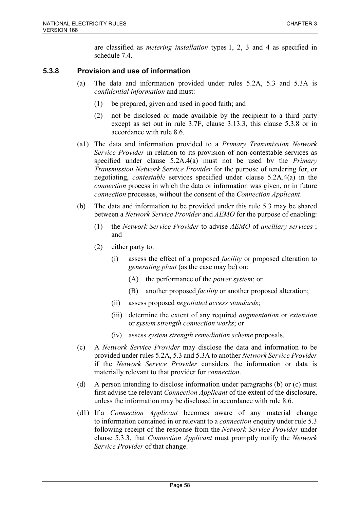are classified as *metering installation* types 1, 2, 3 and 4 as specified in schedule 7.4.

# **5.3.8 Provision and use of information**

- (a) The data and information provided under rules 5.2A, 5.3 and 5.3A is *confidential information* and must:
	- (1) be prepared, given and used in good faith; and
	- (2) not be disclosed or made available by the recipient to a third party except as set out in rule 3.7F, clause 3.13.3, this clause 5.3.8 or in accordance with rule 8.6.
- (a1) The data and information provided to a *Primary Transmission Network Service Provider* in relation to its provision of non-contestable services as specified under clause 5.2A.4(a) must not be used by the *Primary Transmission Network Service Provider* for the purpose of tendering for, or negotiating, *contestable* services specified under clause 5.2A.4(a) in the *connection* process in which the data or information was given, or in future *connection* processes, without the consent of the *Connection Applicant*.
- (b) The data and information to be provided under this rule 5.3 may be shared between a *Network Service Provider* and *AEMO* for the purpose of enabling:
	- (1) the *Network Service Provider* to advise *AEMO* of *ancillary services* ; and
	- (2) either party to:
		- (i) assess the effect of a proposed *facility* or proposed alteration to *generating plant* (as the case may be) on:
			- (A) the performance of the *power system*; or
			- (B) another proposed *facility* or another proposed alteration;
		- (ii) assess proposed *negotiated access standards*;
		- (iii) determine the extent of any required *augmentation* or *extension* or *system strength connection works*; or
		- (iv) assess *system strength remediation scheme* proposals.
- (c) A *Network Service Provider* may disclose the data and information to be provided under rules 5.2A, 5.3 and 5.3A to another *Network Service Provider* if the *Network Service Provider* considers the information or data is materially relevant to that provider for *connection*.
- (d) A person intending to disclose information under paragraphs (b) or (c) must first advise the relevant *Connection Applicant* of the extent of the disclosure, unless the information may be disclosed in accordance with rule 8.6.
- (d1) If a *Connection Applicant* becomes aware of any material change to information contained in or relevant to a *connection* enquiry under rule 5.3 following receipt of the response from the *Network Service Provider* under clause 5.3.3, that *Connection Applicant* must promptly notify the *Network Service Provider* of that change.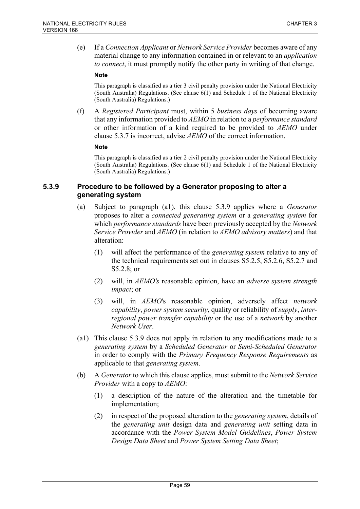(e) If a *Connection Applicant* or *Network Service Provider* becomes aware of any material change to any information contained in or relevant to an *application to connect*, it must promptly notify the other party in writing of that change.

#### **Note**

This paragraph is classified as a tier 3 civil penalty provision under the National Electricity (South Australia) Regulations. (See clause 6(1) and Schedule 1 of the National Electricity (South Australia) Regulations.)

(f) A *Registered Participant* must, within 5 *business days* of becoming aware that any information provided to *AEMO* in relation to a *performance standard* or other information of a kind required to be provided to *AEMO* under clause 5.3.7 is incorrect, advise *AEMO* of the correct information.

#### **Note**

This paragraph is classified as a tier 2 civil penalty provision under the National Electricity (South Australia) Regulations. (See clause 6(1) and Schedule 1 of the National Electricity (South Australia) Regulations.)

## **5.3.9 Procedure to be followed by a Generator proposing to alter a generating system**

- (a) Subject to paragraph (a1), this clause 5.3.9 applies where a *Generator* proposes to alter a *connected generating system* or a *generating system* for which *performance standards* have been previously accepted by the *Network Service Provider* and *AEMO* (in relation to *AEMO advisory matters*) and that alteration:
	- (1) will affect the performance of the *generating system* relative to any of the technical requirements set out in clauses S5.2.5, S5.2.6, S5.2.7 and S5.2.8; or
	- (2) will, in *AEMO's* reasonable opinion, have an *adverse system strength impact*; or
	- (3) will, in *AEMO*'s reasonable opinion, adversely affect *network capability*, *power system security*, quality or reliability of *supply*, *interregional power transfer capability* or the use of a *network* by another *Network User*.
- (a1) This clause 5.3.9 does not apply in relation to any modifications made to a *generating system* by a *Scheduled Generator* or *Semi-Scheduled Generator*  in order to comply with the *Primary Frequency Response Requirements* as applicable to that *generating system*.
- (b) A *Generator* to which this clause applies, must submit to the *Network Service Provider* with a copy to *AEMO*:
	- (1) a description of the nature of the alteration and the timetable for implementation;
	- (2) in respect of the proposed alteration to the *generating system*, details of the *generating unit* design data and *generating unit* setting data in accordance with the *Power System Model Guidelines*, *Power System Design Data Sheet* and *Power System Setting Data Sheet*;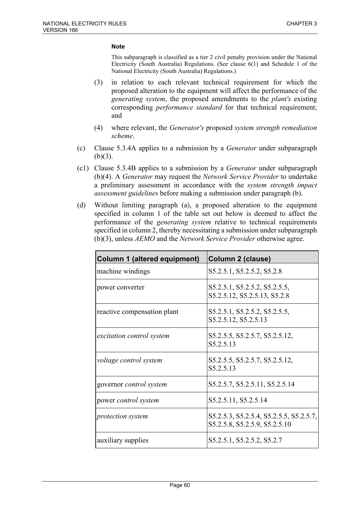- (3) in relation to each relevant technical requirement for which the proposed alteration to the equipment will affect the performance of the *generating system*, the proposed amendments to the *plant's* existing corresponding *performance standard* for that technical requirement; and
- (4) where relevant, the *Generator's* proposed *system strength remediation scheme*.
- (c) Clause 5.3.4A applies to a submission by a *Generator* under subparagraph  $(b)(3)$ .
- (c1) Clause 5.3.4B applies to a submission by a *Generator* under subparagraph (b)(4). A *Generator* may request the *Network Service Provider* to undertake a preliminary assessment in accordance with the *system strength impact assessment guidelines* before making a submission under paragraph (b).
- (d) Without limiting paragraph (a), a proposed alteration to the equipment specified in column 1 of the table set out below is deemed to affect the performance of the *generating system* relative to technical requirements specified in column 2, thereby necessitating a submission under subparagraph (b)(3), unless *AEMO* and the *Network Service Provider* otherwise agree.

| <b>Column 1 (altered equipment)</b> | <b>Column 2 (clause)</b>                                                 |
|-------------------------------------|--------------------------------------------------------------------------|
| machine windings                    | S5.2.5.1, S5.2.5.2, S5.2.8                                               |
| power converter                     | S5.2.5.1, S5.2.5.2, S5.2.5.5,<br>S5.2.5.12, S5.2.5.13, S5.2.8            |
| reactive compensation plant         | S5.2.5.1, S5.2.5.2, S5.2.5.5,<br>S5.2.5.12, S5.2.5.13                    |
| excitation control system           | S5.2.5.5, S5.2.5.7, S5.2.5.12,<br>S5.2.5.13                              |
| voltage control system              | S5.2.5.5, S5.2.5.7, S5.2.5.12,<br>S5.2.5.13                              |
| governor <i>control</i> system      | S5.2.5.7, S5.2.5.11, S5.2.5.14                                           |
| power control system                | S5.2.5.11, S5.2.5.14                                                     |
| <i>protection system</i>            | S5.2.5.3, S5.2.5.4, S5.2.5.5, S5.2.5.7,<br>S5.2.5.8, S5.2.5.9, S5.2.5.10 |
| auxiliary supplies                  | S5.2.5.1, S5.2.5.2, S5.2.7                                               |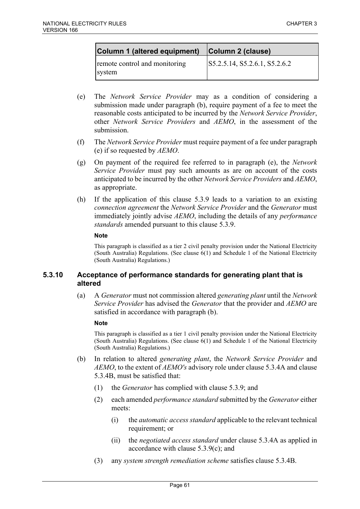| Column 1 (altered equipment)            | Column 2 (clause)             |
|-----------------------------------------|-------------------------------|
| remote control and monitoring<br>system | S5.2.5.14, S5.2.6.1, S5.2.6.2 |

- (e) The *Network Service Provider* may as a condition of considering a submission made under paragraph (b), require payment of a fee to meet the reasonable costs anticipated to be incurred by the *Network Service Provider*, other *Network Service Providers* and *AEMO*, in the assessment of the submission.
- (f) The *Network Service Provider* must require payment of a fee under paragraph (e) if so requested by *AEMO*.
- (g) On payment of the required fee referred to in paragraph (e), the *Network Service Provider* must pay such amounts as are on account of the costs anticipated to be incurred by the other *Network Service Providers* and *AEMO*, as appropriate.
- (h) If the application of this clause 5.3.9 leads to a variation to an existing *connection agreement* the *Network Service Provider* and the *Generator* must immediately jointly advise *AEMO*, including the details of any *performance standards* amended pursuant to this clause 5.3.9.

This paragraph is classified as a tier 2 civil penalty provision under the National Electricity (South Australia) Regulations. (See clause 6(1) and Schedule 1 of the National Electricity (South Australia) Regulations.)

### **5.3.10 Acceptance of performance standards for generating plant that is altered**

(a) A *Generator* must not commission altered *generating plant* until the *Network Service Provider* has advised the *Generator* that the provider and *AEMO* are satisfied in accordance with paragraph (b).

### **Note**

- (b) In relation to altered *generating plant*, the *Network Service Provider* and *AEMO*, to the extent of *AEMO's* advisory role under clause 5.3.4A and clause 5.3.4B, must be satisfied that:
	- (1) the *Generator* has complied with clause 5.3.9; and
	- (2) each amended *performance standard* submitted by the *Generator* either meets:
		- (i) the *automatic access standard* applicable to the relevant technical requirement; or
		- (ii) the *negotiated access standard* under clause 5.3.4A as applied in accordance with clause 5.3.9(c); and
	- (3) any *system strength remediation scheme* satisfies clause 5.3.4B.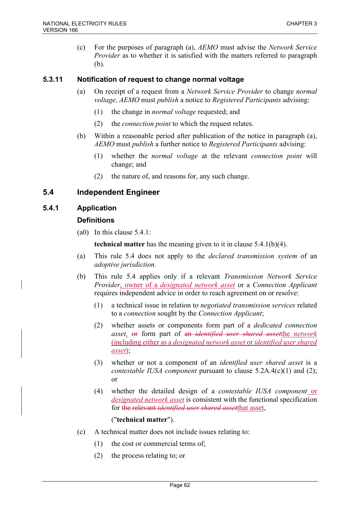(c) For the purposes of paragraph (a), *AEMO* must advise the *Network Service Provider* as to whether it is satisfied with the matters referred to paragraph (b).

## **5.3.11 Notification of request to change normal voltage**

- (a) On receipt of a request from a *Network Service Provider* to change *normal voltage, AEMO* must *publish* a notice to *Registered Participants* advising:
	- (1) the change in *normal voltage* requested; and
	- (2) the *connection point* to which the request relates.
- (b) Within a reasonable period after publication of the notice in paragraph (a), *AEMO* must *publish* a further notice to *Registered Participants* advising:
	- (1) whether the *normal voltage* at the relevant *connection point* will change; and
	- (2) the nature of, and reasons for, any such change.

# **5.4 Independent Engineer**

## **5.4.1 Application**

## **Definitions**

(a0) In this clause 5.4.1:

**technical matter** has the meaning given to it in clause 5.4.1(b)(4).

- (a) This rule 5.4 does not apply to the *declared transmission system* of an *adoptive jurisdiction*.
- (b) This rule 5.4 applies only if a relevant *Transmission Network Service Provider*, owner of a *designated network asset* or a *Connection Applicant* requires independent advice in order to reach agreement on or resolve:
	- (1) a technical issue in relation to *negotiated transmission services* related to a *connection* sought by the *Connection Applicant*;
	- (2) whether assets or components form part of a *dedicated connection asset,* or form part of an *identified user shared asset*the *network*  (including either as a *designated network asset* or *identified user shared asset*);
	- (3) whether or not a component of an *identified user shared asset* is a *contestable IUSA component* pursuant to clause 5.2A.4(c)(1) and (2); or
	- (4) whether the detailed design of a *contestable IUSA component* or *designated network asset* is consistent with the functional specification for the relevant *identified user shared asset*that asset,

## ("**technical matter**").

- (c) A technical matter does not include issues relating to:
	- (1) the cost or commercial terms of;
	- (2) the process relating to; or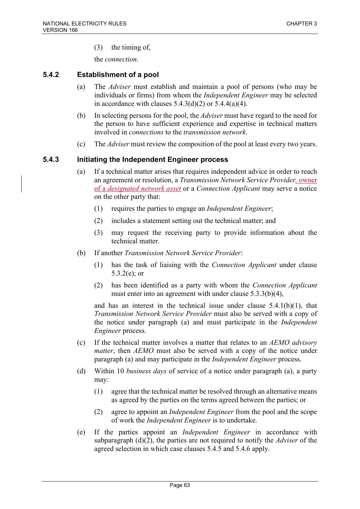(3) the timing of,

the *connection*.

### **5.4.2 Establishment of a pool**

- (a) The *Adviser* must establish and maintain a pool of persons (who may be individuals or firms) from whom the *Independent Engineer* may be selected in accordance with clauses  $5.4.3(d)(2)$  or  $5.4.4(a)(4)$ .
- (b) In selecting persons for the pool, the *Adviser* must have regard to the need for the person to have sufficient experience and expertise in technical matters involved in *connections* to the *transmission network*.
- (c) The *Adviser* must review the composition of the pool at least every two years.

### **5.4.3 Initiating the Independent Engineer process**

- (a) If a technical matter arises that requires independent advice in order to reach an agreement or resolution, a *Transmission Network Service Provider,* owner of a *designated network asset* or a *Connection Applicant* may serve a notice on the other party that:
	- (1) requires the parties to engage an *Independent Engineer*;
	- (2) includes a statement setting out the technical matter; and
	- (3) may request the receiving party to provide information about the technical matter.
- (b) If another *Transmission Network Service Provider*:
	- (1) has the task of liaising with the *Connection Applicant* under clause 5.3.2(e); or
	- (2) has been identified as a party with whom the *Connection Applicant* must enter into an agreement with under clause 5.3.3(b)(4),

and has an interest in the technical issue under clause  $5.4.1(b)(1)$ , that *Transmission Network Service Provider* must also be served with a copy of the notice under paragraph (a) and must participate in the *Independent Engineer* process.

- (c) If the technical matter involves a matter that relates to an *AEMO advisory matter*, then *AEMO* must also be served with a copy of the notice under paragraph (a) and may participate in the *Independent Engineer* process.
- (d) Within 10 *business days* of service of a notice under paragraph (a), a party may:
	- (1) agree that the technical matter be resolved through an alternative means as agreed by the parties on the terms agreed between the parties; or
	- (2) agree to appoint an *Independent Engineer* from the pool and the scope of work the *Independent Engineer* is to undertake.
- (e) If the parties appoint an *Independent Engineer* in accordance with subparagraph (d)(2), the parties are not required to notify the *Adviser* of the agreed selection in which case clauses 5.4.5 and 5.4.6 apply.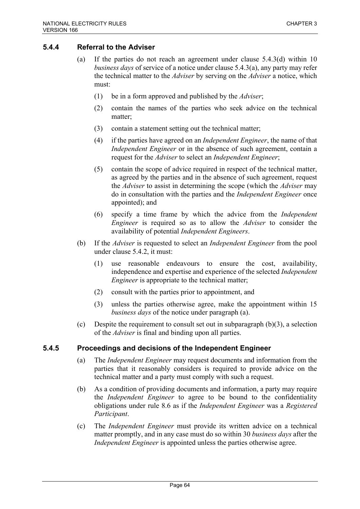# **5.4.4 Referral to the Adviser**

- (a) If the parties do not reach an agreement under clause 5.4.3(d) within 10 *business days* of service of a notice under clause 5.4.3(a), any party may refer the technical matter to the *Adviser* by serving on the *Adviser* a notice, which must:
	- (1) be in a form approved and published by the *Adviser*;
	- (2) contain the names of the parties who seek advice on the technical matter;
	- (3) contain a statement setting out the technical matter;
	- (4) if the parties have agreed on an *Independent Engineer*, the name of that *Independent Engineer* or in the absence of such agreement, contain a request for the *Adviser* to select an *Independent Engineer*;
	- (5) contain the scope of advice required in respect of the technical matter, as agreed by the parties and in the absence of such agreement, request the *Adviser* to assist in determining the scope (which the *Adviser* may do in consultation with the parties and the *Independent Engineer* once appointed); and
	- (6) specify a time frame by which the advice from the *Independent Engineer* is required so as to allow the *Adviser* to consider the availability of potential *Independent Engineers*.
- (b) If the *Adviser* is requested to select an *Independent Engineer* from the pool under clause 5.4.2, it must:
	- (1) use reasonable endeavours to ensure the cost, availability, independence and expertise and experience of the selected *Independent Engineer* is appropriate to the technical matter;
	- (2) consult with the parties prior to appointment, and
	- (3) unless the parties otherwise agree, make the appointment within 15 *business days* of the notice under paragraph (a).
- (c) Despite the requirement to consult set out in subparagraph  $(b)(3)$ , a selection of the *Adviser* is final and binding upon all parties.

## **5.4.5 Proceedings and decisions of the Independent Engineer**

- (a) The *Independent Engineer* may request documents and information from the parties that it reasonably considers is required to provide advice on the technical matter and a party must comply with such a request.
- (b) As a condition of providing documents and information, a party may require the *Independent Engineer* to agree to be bound to the confidentiality obligations under rule 8.6 as if the *Independent Engineer* was a *Registered Participant*.
- (c) The *Independent Engineer* must provide its written advice on a technical matter promptly, and in any case must do so within 30 *business days* after the *Independent Engineer* is appointed unless the parties otherwise agree.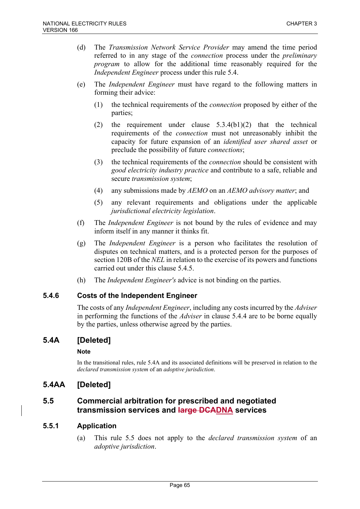- (d) The *Transmission Network Service Provider* may amend the time period referred to in any stage of the *connection* process under the *preliminary program* to allow for the additional time reasonably required for the *Independent Engineer* process under this rule 5.4.
- (e) The *Independent Engineer* must have regard to the following matters in forming their advice:
	- (1) the technical requirements of the *connection* proposed by either of the parties;
	- (2) the requirement under clause 5.3.4(b1)(2) that the technical requirements of the *connection* must not unreasonably inhibit the capacity for future expansion of an *identified user shared asset* or preclude the possibility of future *connections*;
	- (3) the technical requirements of the *connection* should be consistent with *good electricity industry practice* and contribute to a safe, reliable and secure *transmission system*;
	- (4) any submissions made by *AEMO* on an *AEMO advisory matter*; and
	- (5) any relevant requirements and obligations under the applicable *jurisdictional electricity legislation*.
- (f) The *Independent Engineer* is not bound by the rules of evidence and may inform itself in any manner it thinks fit.
- (g) The *Independent Engineer* is a person who facilitates the resolution of disputes on technical matters, and is a protected person for the purposes of section 120B of the *NEL* in relation to the exercise of its powers and functions carried out under this clause 5.4.5.
- (h) The *Independent Engineer's* advice is not binding on the parties.

## **5.4.6 Costs of the Independent Engineer**

The costs of any *Independent Engineer*, including any costs incurred by the *Adviser* in performing the functions of the *Adviser* in clause 5.4.4 are to be borne equally by the parties, unless otherwise agreed by the parties.

# **5.4A [Deleted]**

### **Note**

In the transitional rules, rule 5.4A and its associated definitions will be preserved in relation to the *declared transmission system* of an *adoptive jurisdiction*.

# **5.4AA [Deleted]**

# **5.5 Commercial arbitration for prescribed and negotiated transmission services and large DCADNA services**

## **5.5.1 Application**

(a) This rule 5.5 does not apply to the *declared transmission system* of an *adoptive jurisdiction*.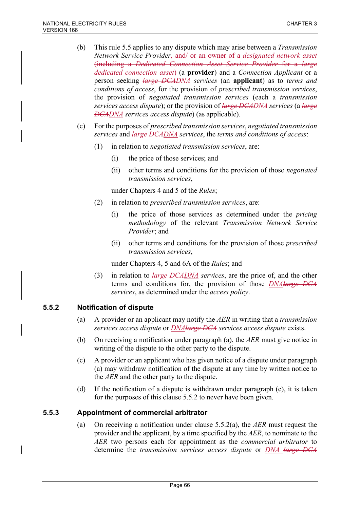- (b) This rule 5.5 applies to any dispute which may arise between a *Transmission Network Service Provider, and/-or an owner of a <i>designated network asset* (including a *Dedicated Connection Asset Service Provider* for a *large dedicated connection asset*) (a **provider**) and a *Connection Applicant* or a person seeking *large DCADNA services* (an **applicant**) as to *terms and conditions of access*, for the provision of *prescribed transmission services*, the provision of *negotiated transmission services* (each a *transmission services access dispute*); or the provision of *large DCADNA services* (a *large DCADNA services access dispute*) (as applicable).
- (c) For the purposes of *prescribed transmission services*, *negotiated transmission services* and *large DCADNA services*, the *terms and conditions of access*:
	- (1) in relation to *negotiated transmission services*, are:
		- (i) the price of those services; and
		- (ii) other terms and conditions for the provision of those *negotiated transmission services*,

under Chapters 4 and 5 of the *Rules*;

- (2) in relation to *prescribed transmission services*, are:
	- (i) the price of those services as determined under the *pricing methodology* of the relevant *Transmission Network Service Provider*; and
	- (ii) other terms and conditions for the provision of those *prescribed transmission services*,

under Chapters 4, 5 and 6A of the *Rules*; and

(3) in relation to *large DCADNA services*, are the price of, and the other terms and conditions for, the provision of those *DNAlarge DCA services*, as determined under the *access policy*.

## **5.5.2 Notification of dispute**

- (a) A provider or an applicant may notify the *AER* in writing that a *transmission services access dispute* or *DNAlarge DCA services access dispute* exists.
- (b) On receiving a notification under paragraph (a), the *AER* must give notice in writing of the dispute to the other party to the dispute.
- (c) A provider or an applicant who has given notice of a dispute under paragraph (a) may withdraw notification of the dispute at any time by written notice to the *AER* and the other party to the dispute.
- (d) If the notification of a dispute is withdrawn under paragraph (c), it is taken for the purposes of this clause 5.5.2 to never have been given.

## **5.5.3 Appointment of commercial arbitrator**

(a) On receiving a notification under clause 5.5.2(a), the *AER* must request the provider and the applicant, by a time specified by the *AER*, to nominate to the *AER* two persons each for appointment as the *commercial arbitrator* to determine the *transmission services access dispute* or *DNA large DCA*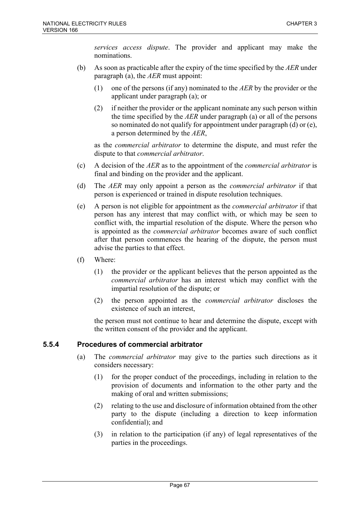*services access dispute*. The provider and applicant may make the nominations.

- (b) As soon as practicable after the expiry of the time specified by the *AER* under paragraph (a), the *AER* must appoint:
	- (1) one of the persons (if any) nominated to the *AER* by the provider or the applicant under paragraph (a); or
	- (2) if neither the provider or the applicant nominate any such person within the time specified by the *AER* under paragraph (a) or all of the persons so nominated do not qualify for appointment under paragraph (d) or (e), a person determined by the *AER*,

as the *commercial arbitrator* to determine the dispute, and must refer the dispute to that *commercial arbitrator*.

- (c) A decision of the *AER* as to the appointment of the *commercial arbitrator* is final and binding on the provider and the applicant.
- (d) The *AER* may only appoint a person as the *commercial arbitrator* if that person is experienced or trained in dispute resolution techniques.
- (e) A person is not eligible for appointment as the *commercial arbitrator* if that person has any interest that may conflict with, or which may be seen to conflict with, the impartial resolution of the dispute. Where the person who is appointed as the *commercial arbitrator* becomes aware of such conflict after that person commences the hearing of the dispute, the person must advise the parties to that effect.
- (f) Where:
	- (1) the provider or the applicant believes that the person appointed as the *commercial arbitrator* has an interest which may conflict with the impartial resolution of the dispute; or
	- (2) the person appointed as the *commercial arbitrator* discloses the existence of such an interest,

the person must not continue to hear and determine the dispute, except with the written consent of the provider and the applicant.

## **5.5.4 Procedures of commercial arbitrator**

- (a) The *commercial arbitrator* may give to the parties such directions as it considers necessary:
	- (1) for the proper conduct of the proceedings, including in relation to the provision of documents and information to the other party and the making of oral and written submissions;
	- (2) relating to the use and disclosure of information obtained from the other party to the dispute (including a direction to keep information confidential); and
	- (3) in relation to the participation (if any) of legal representatives of the parties in the proceedings.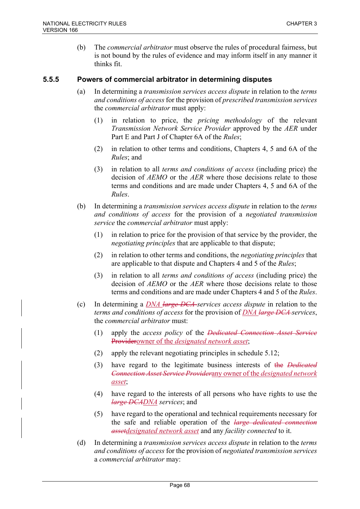(b) The *commercial arbitrator* must observe the rules of procedural fairness, but is not bound by the rules of evidence and may inform itself in any manner it thinks fit.

## **5.5.5 Powers of commercial arbitrator in determining disputes**

- (a) In determining a *transmission services access dispute* in relation to the *terms and conditions of access* for the provision of *prescribed transmission services* the *commercial arbitrator* must apply:
	- (1) in relation to price, the *pricing methodology* of the relevant *Transmission Network Service Provider* approved by the *AER* under Part E and Part J of Chapter 6A of the *Rules*;
	- (2) in relation to other terms and conditions, Chapters 4, 5 and 6A of the *Rules*; and
	- (3) in relation to all *terms and conditions of access* (including price) the decision of *AEMO* or the *AER* where those decisions relate to those terms and conditions and are made under Chapters 4, 5 and 6A of the *Rules*.
- (b) In determining a *transmission services access dispute* in relation to the *terms and conditions of access* for the provision of a *negotiated transmission service* the *commercial arbitrator* must apply:
	- (1) in relation to price for the provision of that service by the provider, the *negotiating principles* that are applicable to that dispute;
	- (2) in relation to other terms and conditions, the *negotiating principles* that are applicable to that dispute and Chapters 4 and 5 of the *Rules*;
	- (3) in relation to all *terms and conditions of access* (including price) the decision of *AEMO* or the *AER* where those decisions relate to those terms and conditions and are made under Chapters 4 and 5 of the *Rules*.
- (c) In determining a *DNA large DCA services access dispute* in relation to the *terms and conditions of access* for the provision of *DNA large DCA services*, the *commercial arbitrator* must:
	- (1) apply the *access policy* of the *Dedicated Connection Asset Service*  Providerowner of the *designated network asset*;
	- (2) apply the relevant negotiating principles in schedule 5.12;
	- (3) have regard to the legitimate business interests of the *Dedicated Connection Asset Service Provider*any owner of the *designated network asset*;
	- (4) have regard to the interests of all persons who have rights to use the *large DCADNA services*; and
	- (5) have regard to the operational and technical requirements necessary for the safe and reliable operation of the *large dedicated connection assetdesignated network asset* and any *facility connected* to it.
- (d) In determining a *transmission services access dispute* in relation to the *terms and conditions of access* for the provision of *negotiated transmission services* a *commercial arbitrator* may: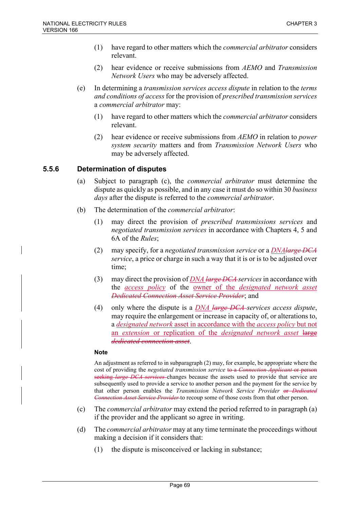- (1) have regard to other matters which the *commercial arbitrator* considers relevant.
- (2) hear evidence or receive submissions from *AEMO* and *Transmission Network Users* who may be adversely affected.
- (e) In determining a *transmission services access dispute* in relation to the *terms and conditions of access* for the provision of *prescribed transmission services* a *commercial arbitrator* may:
	- (1) have regard to other matters which the *commercial arbitrator* considers relevant.
	- (2) hear evidence or receive submissions from *AEMO* in relation to *power system security* matters and from *Transmission Network Users* who may be adversely affected.

# **5.5.6 Determination of disputes**

- (a) Subject to paragraph (c), the *commercial arbitrator* must determine the dispute as quickly as possible, and in any case it must do so within 30 *business days* after the dispute is referred to the *commercial arbitrator*.
- (b) The determination of the *commercial arbitrator*:
	- (1) may direct the provision of *prescribed transmissions services* and *negotiated transmission services* in accordance with Chapters 4, 5 and 6A of the *Rules*;
	- (2) may specify, for a *negotiated transmission service* or a *DNAlarge DCA service*, a price or charge in such a way that it is or is to be adjusted over time;
	- (3) may direct the provision of *DNA large DCA services* in accordance with the *access policy* of the owner of the *designated network asset Dedicated Connection Asset Service Provider*; and
	- (4) only where the dispute is a *DNA large DCA services access dispute*, may require the enlargement or increase in capacity of, or alterations to, a *designated network* asset in accordance with the *access policy* but not an *extension* or replication of the *designated network asset* large *dedicated connection asset*.

### **Note**

An adjustment as referred to in subparagraph (2) may, for example, be appropriate where the cost of providing the *negotiated transmission service* to a *Connection Applicant* or person seeking *large DCA services* changes because the assets used to provide that service are subsequently used to provide a service to another person and the payment for the service by that other person enables the *Transmission Network Service Provider* or *Dedicated Connection Asset Service Provider* to recoup some of those costs from that other person.

- (c) The *commercial arbitrator* may extend the period referred to in paragraph (a) if the provider and the applicant so agree in writing.
- (d) The *commercial arbitrator* may at any time terminate the proceedings without making a decision if it considers that:
	- (1) the dispute is misconceived or lacking in substance;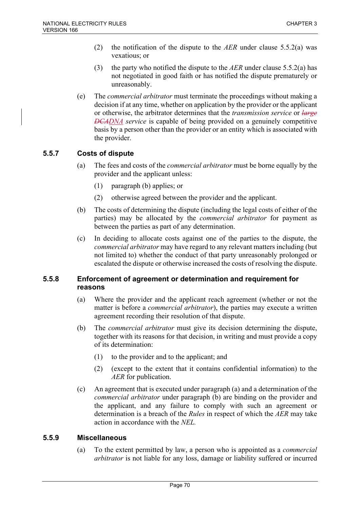- (2) the notification of the dispute to the *AER* under clause 5.5.2(a) was vexatious; or
- (3) the party who notified the dispute to the *AER* under clause 5.5.2(a) has not negotiated in good faith or has notified the dispute prematurely or unreasonably.
- (e) The *commercial arbitrator* must terminate the proceedings without making a decision if at any time, whether on application by the provider or the applicant or otherwise, the arbitrator determines that the *transmission service* or *large DCADNA service* is capable of being provided on a genuinely competitive basis by a person other than the provider or an entity which is associated with the provider.

# **5.5.7 Costs of dispute**

- (a) The fees and costs of the *commercial arbitrator* must be borne equally by the provider and the applicant unless:
	- (1) paragraph (b) applies; or
	- (2) otherwise agreed between the provider and the applicant.
- (b) The costs of determining the dispute (including the legal costs of either of the parties) may be allocated by the *commercial arbitrator* for payment as between the parties as part of any determination.
- (c) In deciding to allocate costs against one of the parties to the dispute, the *commercial arbitrator* may have regard to any relevant matters including (but not limited to) whether the conduct of that party unreasonably prolonged or escalated the dispute or otherwise increased the costs of resolving the dispute.

## **5.5.8 Enforcement of agreement or determination and requirement for reasons**

- (a) Where the provider and the applicant reach agreement (whether or not the matter is before a *commercial arbitrator*), the parties may execute a written agreement recording their resolution of that dispute.
- (b) The *commercial arbitrator* must give its decision determining the dispute, together with its reasons for that decision, in writing and must provide a copy of its determination:
	- (1) to the provider and to the applicant; and
	- (2) (except to the extent that it contains confidential information) to the *AER* for publication.
- (c) An agreement that is executed under paragraph (a) and a determination of the *commercial arbitrator* under paragraph (b) are binding on the provider and the applicant, and any failure to comply with such an agreement or determination is a breach of the *Rules* in respect of which the *AER* may take action in accordance with the *NEL.*

## **5.5.9 Miscellaneous**

(a) To the extent permitted by law, a person who is appointed as a *commercial arbitrator* is not liable for any loss, damage or liability suffered or incurred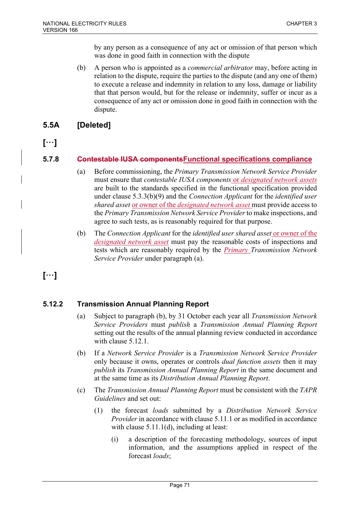by any person as a consequence of any act or omission of that person which was done in good faith in connection with the dispute

(b) A person who is appointed as a *commercial arbitrator* may, before acting in relation to the dispute, require the parties to the dispute (and any one of them) to execute a release and indemnity in relation to any loss, damage or liability that that person would, but for the release or indemnity, suffer or incur as a consequence of any act or omission done in good faith in connection with the dispute.

# **5.5A [Deleted]**

**[**…**]**

# **5.7.8 Contestable IUSA componentsFunctional specifications compliance**

- (a) Before commissioning, the *Primary Transmission Network Service Provider* must ensure that *contestable IUSA components* or *designated network assets* are built to the standards specified in the functional specification provided under clause 5.3.3(b)(9) and the *Connection Applicant* for the *identified user shared asset* or owner of the *designated network asset* must provide access to the *Primary Transmission Network Service Provider* to make inspections, and agree to such tests, as is reasonably required for that purpose.
- (b) The *Connection Applicant* for the *identified user shared asset* or owner of the *designated network asset* must pay the reasonable costs of inspections and tests which are reasonably required by the *Primary Transmission Network Service Provider* under paragraph (a).

**[**…**]**

# **5.12.2 Transmission Annual Planning Report**

- (a) Subject to paragraph (b), by 31 October each year all *Transmission Network Service Providers* must *publish* a *Transmission Annual Planning Report* setting out the results of the annual planning review conducted in accordance with clause 5.12.1.
- (b) If a *Network Service Provider* is a *Transmission Network Service Provider* only because it owns, operates or controls *dual function assets* then it may *publish* its *Transmission Annual Planning Report* in the same document and at the same time as its *Distribution Annual Planning Report*.
- (c) The *Transmission Annual Planning Report* must be consistent with the *TAPR Guidelines* and set out:
	- (1) the forecast *loads* submitted by a *Distribution Network Service Provider* in accordance with clause 5.11.1 or as modified in accordance with clause 5.11.1(d), including at least:
		- (i) a description of the forecasting methodology, sources of input information, and the assumptions applied in respect of the forecast *loads*;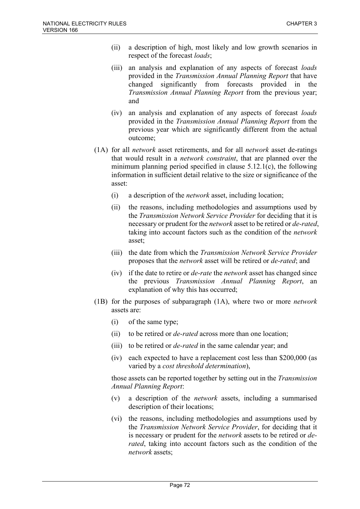- (ii) a description of high, most likely and low growth scenarios in respect of the forecast *loads*;
- (iii) an analysis and explanation of any aspects of forecast *loads* provided in the *Transmission Annual Planning Report* that have changed significantly from forecasts provided in the *Transmission Annual Planning Report* from the previous year; and
- (iv) an analysis and explanation of any aspects of forecast *loads* provided in the *Transmission Annual Planning Report* from the previous year which are significantly different from the actual outcome;
- (1A) for all *network* asset retirements, and for all *network* asset de-ratings that would result in a *network constraint*, that are planned over the minimum planning period specified in clause 5.12.1(c), the following information in sufficient detail relative to the size or significance of the asset:
	- (i) a description of the *network* asset, including location;
	- (ii) the reasons, including methodologies and assumptions used by the *Transmission Network Service Provider* for deciding that it is necessary or prudent for the *network* asset to be retired or *de-rated*, taking into account factors such as the condition of the *network* asset;
	- (iii) the date from which the *Transmission Network Service Provider* proposes that the *network* asset will be retired or *de-rated*; and
	- (iv) if the date to retire or *de-rate* the *network* asset has changed since the previous *Transmission Annual Planning Report*, an explanation of why this has occurred;
- (1B) for the purposes of subparagraph (1A), where two or more *network* assets are:
	- (i) of the same type;
	- (ii) to be retired or *de-rated* across more than one location;
	- (iii) to be retired or *de-rated* in the same calendar year; and
	- (iv) each expected to have a replacement cost less than \$200,000 (as varied by a *cost threshold determination*),

those assets can be reported together by setting out in the *Transmission Annual Planning Report*:

- (v) a description of the *network* assets, including a summarised description of their locations;
- (vi) the reasons, including methodologies and assumptions used by the *Transmission Network Service Provider*, for deciding that it is necessary or prudent for the *network* assets to be retired or *derated*, taking into account factors such as the condition of the *network* assets;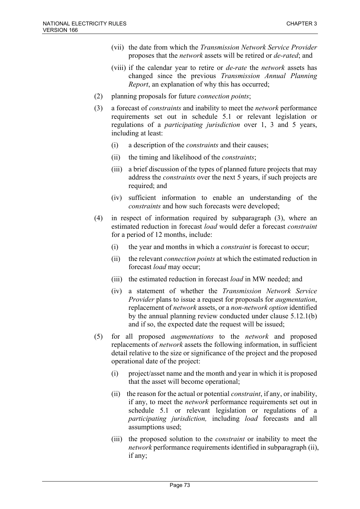- (vii) the date from which the *Transmission Network Service Provider* proposes that the *network* assets will be retired or *de-rated*; and
- (viii) if the calendar year to retire or *de-rate* the *network* assets has changed since the previous *Transmission Annual Planning Report*, an explanation of why this has occurred;
- (2) planning proposals for future *connection points*;
- (3) a forecast of *constraints* and inability to meet the *network* performance requirements set out in schedule 5.1 or relevant legislation or regulations of a *participating jurisdiction* over 1, 3 and 5 years, including at least:
	- (i) a description of the *constraints* and their causes;
	- (ii) the timing and likelihood of the *constraints*;
	- (iii) a brief discussion of the types of planned future projects that may address the *constraints* over the next 5 years, if such projects are required; and
	- (iv) sufficient information to enable an understanding of the *constraints* and how such forecasts were developed;
- (4) in respect of information required by subparagraph (3), where an estimated reduction in forecast *load* would defer a forecast *constraint* for a period of 12 months, include:
	- (i) the year and months in which a *constraint* is forecast to occur;
	- (ii) the relevant *connection points* at which the estimated reduction in forecast *load* may occur;
	- (iii) the estimated reduction in forecast *load* in MW needed; and
	- (iv) a statement of whether the *Transmission Network Service Provider* plans to issue a request for proposals for *augmentation*, replacement of *network* assets, or a *non-network option* identified by the annual planning review conducted under clause 5.12.1(b) and if so, the expected date the request will be issued;
- (5) for all proposed *augmentations* to the *network* and proposed replacements of *network* assets the following information, in sufficient detail relative to the size or significance of the project and the proposed operational date of the project:
	- (i) project/asset name and the month and year in which it is proposed that the asset will become operational;
	- (ii) the reason for the actual or potential *constraint*, if any, or inability, if any, to meet the *network* performance requirements set out in schedule 5.1 or relevant legislation or regulations of a *participating jurisdiction,* including *load* forecasts and all assumptions used;
	- (iii) the proposed solution to the *constraint* or inability to meet the *network* performance requirements identified in subparagraph (ii), if any;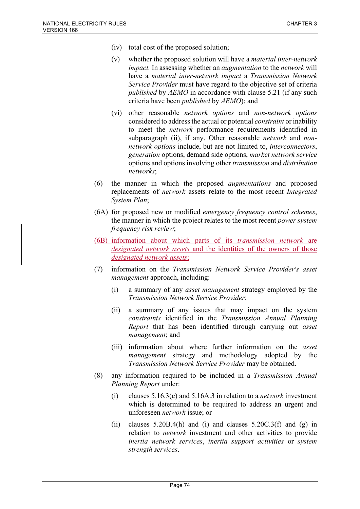- (iv) total cost of the proposed solution;
- (v) whether the proposed solution will have a *material inter-network impact.* In assessing whether an *augmentation* to the *network* will have a *material inter-network impact* a *Transmission Network Service Provider* must have regard to the objective set of criteria *published* by *AEMO* in accordance with clause 5.21 (if any such criteria have been *published* by *AEMO*); and
- (vi) other reasonable *network options* and *non-network options* considered to address the actual or potential *constraint* or inability to meet the *network* performance requirements identified in subparagraph (ii), if any. Other reasonable *network* and *nonnetwork options* include, but are not limited to, *interconnectors*, *generation* options, demand side options, *market network service* options and options involving other *transmission* and *distribution networks*;
- (6) the manner in which the proposed *augmentations* and proposed replacements of *network* assets relate to the most recent *Integrated System Plan*;
- (6A) for proposed new or modified *emergency frequency control schemes*, the manner in which the project relates to the most recent *power system frequency risk review*;
- (6B) information about which parts of its *transmission network* are *designated network assets* and the identities of the owners of those *designated network assets*;
- (7) information on the *Transmission Network Service Provider's asset management* approach, including:
	- (i) a summary of any *asset management* strategy employed by the *Transmission Network Service Provider*;
	- (ii) a summary of any issues that may impact on the system *constraints* identified in the *Transmission Annual Planning Report* that has been identified through carrying out *asset management*; and
	- (iii) information about where further information on the *asset management* strategy and methodology adopted by the *Transmission Network Service Provider* may be obtained.
- (8) any information required to be included in a *Transmission Annual Planning Report* under:
	- (i) clauses 5.16.3(c) and 5.16A.3 in relation to a *network* investment which is determined to be required to address an urgent and unforeseen *network* issue; or
	- (ii) clauses  $5.20B.4(h)$  and (i) and clauses  $5.20C.3(f)$  and (g) in relation to *network* investment and other activities to provide *inertia network services*, *inertia support activities* or *system strength services*.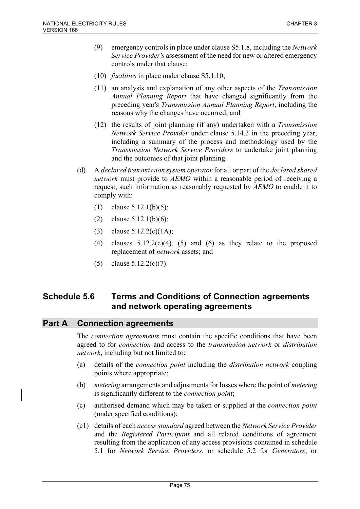- (9) emergency controls in place under clause S5.1.8, including the *Network Service Provider's* assessment of the need for new or altered emergency controls under that clause;
- (10) *facilities* in place under clause S5.1.10;
- (11) an analysis and explanation of any other aspects of the *Transmission Annual Planning Report* that have changed significantly from the preceding year's *Transmission Annual Planning Report*, including the reasons why the changes have occurred; and
- (12) the results of joint planning (if any) undertaken with a *Transmission Network Service Provider* under clause 5.14.3 in the preceding year, including a summary of the process and methodology used by the *Transmission Network Service Providers* to undertake joint planning and the outcomes of that joint planning.
- (d) A *declared transmission system operator* for all or part of the *declared shared network* must provide to *AEMO* within a reasonable period of receiving a request, such information as reasonably requested by *AEMO* to enable it to comply with:
	- (1) clause 5.12.1(b)(5);
	- (2) clause  $5.12.1(b)(6)$ ;
	- (3) clause  $5.12.2(c)(1A);$
	- (4) clauses  $5.12.2(c)(4)$ ,  $(5)$  and  $(6)$  as they relate to the proposed replacement of *network* assets; and
	- (5) clause 5.12.2(c)(7).

# **Schedule 5.6 Terms and Conditions of Connection agreements and network operating agreements**

# **Part A Connection agreements**

The *connection agreements* must contain the specific conditions that have been agreed to for *connection* and access to the *transmission network* or *distribution network*, including but not limited to:

- (a) details of the *connection point* including the *distribution network* coupling points where appropriate;
- (b) *metering* arrangements and adjustments for losses where the point of *metering* is significantly different to the *connection point*;
- (c) authorised demand which may be taken or supplied at the *connection point* (under specified conditions);
- (c1) details of each *access standard* agreed between the *Network Service Provider* and the *Registered Participant* and all related conditions of agreement resulting from the application of any access provisions contained in schedule 5.1 for *Network Service Providers*, or schedule 5.2 for *Generators*, or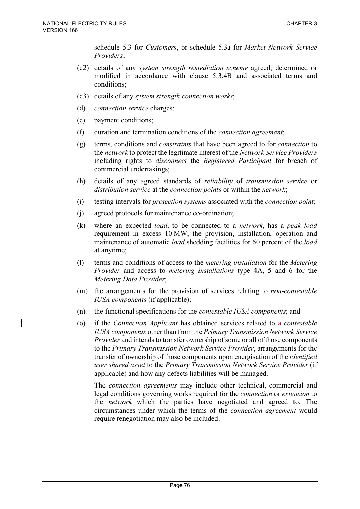schedule 5.3 for *Customers*, or schedule 5.3a for *Market Network Service Providers*;

- (c2) details of any *system strength remediation scheme* agreed, determined or modified in accordance with clause 5.3.4B and associated terms and conditions;
- (c3) details of any *system strength connection works*;
- (d) *connection service* charges;
- (e) payment conditions;
- (f) duration and termination conditions of the *connection agreement*;
- (g) terms, conditions and *constraints* that have been agreed to for *connection* to the *network* to protect the legitimate interest of the *Network Service Providers* including rights to *disconnect* the *Registered Participant* for breach of commercial undertakings;
- (h) details of any agreed standards of *reliability* of *transmission service* or *distribution service* at the *connection points* or within the *network*;
- (i) testing intervals for *protection systems* associated with the *connection point*;
- (j) agreed protocols for maintenance co-ordination;
- (k) where an expected *load*, to be connected to a *network*, has a *peak load* requirement in excess 10 MW, the provision, installation, operation and maintenance of automatic *load* shedding facilities for 60 percent of the *load* at anytime;
- (l) terms and conditions of access to the *metering installation* for the *Metering Provider* and access to *metering installations* type 4A, 5 and 6 for the *Metering Data Provider*;
- (m) the arrangements for the provision of services relating to *non-contestable IUSA components* (if applicable);
- (n) the functional specifications for the *contestable IUSA components*; and
- (o) if the *Connection Applicant* has obtained services related to a *contestable IUSA components* other than from the *Primary Transmission Network Service Provider* and intends to transfer ownership of some or all of those components to the *Primary Transmission Network Service Provider*, arrangements for the transfer of ownership of those components upon energisation of the *identified user shared asset* to the *Primary Transmission Network Service Provider* (if applicable) and how any defects liabilities will be managed.

The *connection agreements* may include other technical, commercial and legal conditions governing works required for the *connection* or *extension* to the *network* which the parties have negotiated and agreed to. The circumstances under which the terms of the *connection agreement* would require renegotiation may also be included.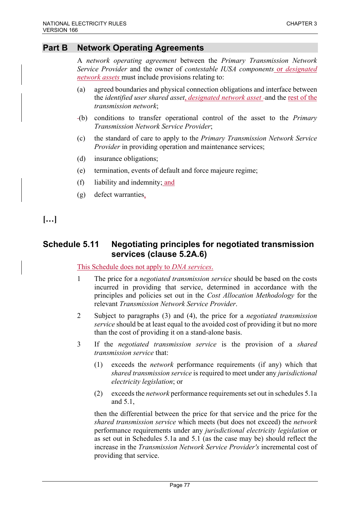# **Part B Network Operating Agreements**

A *network operating agreement* between the *Primary Transmission Network Service Provider* and the owner of *contestable IUSA components* or *designated network assets* must include provisions relating to:

- (a) agreed boundaries and physical connection obligations and interface between the *identified user shared asset*, *designated network asset* and the rest of the *transmission network*;
- (b) conditions to transfer operational control of the asset to the *Primary Transmission Network Service Provider*;
- (c) the standard of care to apply to the *Primary Transmission Network Service Provider* in providing operation and maintenance services;
- (d) insurance obligations;
- (e) termination, events of default and force majeure regime;
- (f) liability and indemnity; and
- (g) defect warranties.

**[…]**

# **Schedule 5.11 Negotiating principles for negotiated transmission services (clause 5.2A.6)**

### This Schedule does not apply to *DNA services*.

- 1 The price for a *negotiated transmission service* should be based on the costs incurred in providing that service, determined in accordance with the principles and policies set out in the *Cost Allocation Methodology* for the relevant *Transmission Network Service Provider*.
- 2 Subject to paragraphs (3) and (4), the price for a *negotiated transmission service* should be at least equal to the avoided cost of providing it but no more than the cost of providing it on a stand-alone basis.
- 3 If the *negotiated transmission service* is the provision of a *shared transmission service* that:
	- (1) exceeds the *network* performance requirements (if any) which that *shared transmission service* is required to meet under any *jurisdictional electricity legislation*; or
	- (2) exceeds the *network* performance requirements set out in schedules 5.1a and 5.1,

then the differential between the price for that service and the price for the *shared transmission service* which meets (but does not exceed) the *network* performance requirements under any *jurisdictional electricity legislation* or as set out in Schedules 5.1a and 5.1 (as the case may be) should reflect the increase in the *Transmission Network Service Provider's* incremental cost of providing that service.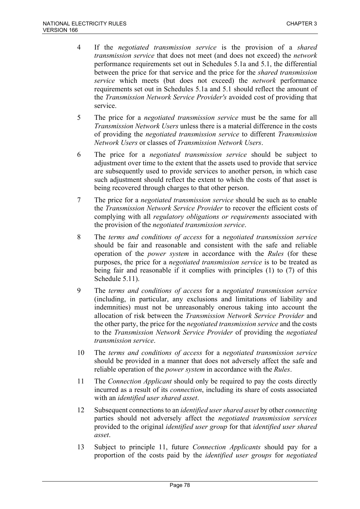- 4 If the *negotiated transmission service* is the provision of a *shared transmission service* that does not meet (and does not exceed) the *network* performance requirements set out in Schedules 5.1a and 5.1, the differential between the price for that service and the price for the *shared transmission service* which meets (but does not exceed) the *network* performance requirements set out in Schedules 5.1a and 5.1 should reflect the amount of the *Transmission Network Service Provider's* avoided cost of providing that service.
- 5 The price for a *negotiated transmission service* must be the same for all *Transmission Network Users* unless there is a material difference in the costs of providing the *negotiated transmission service* to different *Transmission Network Users* or classes of *Transmission Network Users*.
- 6 The price for a *negotiated transmission service* should be subject to adjustment over time to the extent that the assets used to provide that service are subsequently used to provide services to another person, in which case such adjustment should reflect the extent to which the costs of that asset is being recovered through charges to that other person.
- 7 The price for a *negotiated transmission service* should be such as to enable the *Transmission Network Service Provider* to recover the efficient costs of complying with all *regulatory obligations or requirements* associated with the provision of the *negotiated transmission service*.
- 8 The *terms and conditions of access* for a *negotiated transmission service* should be fair and reasonable and consistent with the safe and reliable operation of the *power system* in accordance with the *Rules* (for these purposes, the price for a *negotiated transmission service* is to be treated as being fair and reasonable if it complies with principles (1) to (7) of this Schedule 5.11).
- 9 The *terms and conditions of access* for a *negotiated transmission service* (including, in particular, any exclusions and limitations of liability and indemnities) must not be unreasonably onerous taking into account the allocation of risk between the *Transmission Network Service Provider* and the other party, the price for the *negotiated transmission service* and the costs to the *Transmission Network Service Provider* of providing the *negotiated transmission service*.
- 10 The *terms and conditions of access* for a *negotiated transmission service* should be provided in a manner that does not adversely affect the safe and reliable operation of the *power system* in accordance with the *Rules*.
- 11 The *Connection Applicant* should only be required to pay the costs directly incurred as a result of its *connection*, including its share of costs associated with an *identified user shared asset*.
- 12 Subsequent connections to an *identified user shared asset* by other *connecting* parties should not adversely affect the *negotiated transmission services* provided to the original *identified user group* for that *identified user shared asset*.
- 13 Subject to principle 11, future *Connection Applicants* should pay for a proportion of the costs paid by the *identified user groups* for *negotiated*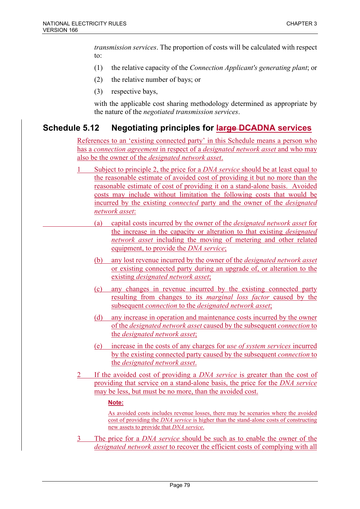*transmission services*. The proportion of costs will be calculated with respect to:

- (1) the relative capacity of the *Connection Applicant's generating plant*; or
- (2) the relative number of bays; or
- (3) respective bays,

with the applicable cost sharing methodology determined as appropriate by the nature of the *negotiated transmission services*.

# **Schedule 5.12 Negotiating principles for large DCADNA services**

References to an 'existing connected party' in this Schedule means a person who has a *connection agreement* in respect of a *designated network asset* and who may also be the owner of the *designated network asset*.

- 1 Subject to principle 2, the price for a *DNA service* should be at least equal to the reasonable estimate of avoided cost of providing it but no more than the reasonable estimate of cost of providing it on a stand-alone basis. Avoided costs may include without limitation the following costs that would be incurred by the existing *connected* party and the owner of the *designated network asset*:
	- (a) capital costs incurred by the owner of the *designated network asset* for the increase in the capacity or alteration to that existing *designated network asset* including the moving of metering and other related equipment, to provide the *DNA service*;
	- (b) any lost revenue incurred by the owner of the *designated network asset*  or existing connected party during an upgrade of, or alteration to the existing *designated network asset*;
	- (c) any changes in revenue incurred by the existing connected party resulting from changes to its *marginal loss factor* caused by the subsequent *connection* to the *designated network asset*;
	- (d) any increase in operation and maintenance costs incurred by the owner of the *designated network asset* caused by the subsequent *connection* to the *designated network asset*;
	- (e) increase in the costs of any charges for *use of system services* incurred by the existing connected party caused by the subsequent *connection* to the *designated network asset*.
- 2 If the avoided cost of providing a *DNA service* is greater than the cost of providing that service on a stand-alone basis, the price for the *DNA service* may be less, but must be no more, than the avoided cost.

### **Note:**

As avoided costs includes revenue losses, there may be scenarios where the avoided cost of providing the *DNA service* is higher than the stand-alone costs of constructing new assets to provide that *DNA service*.

3 The price for a *DNA service* should be such as to enable the owner of the *designated network asset* to recover the efficient costs of complying with all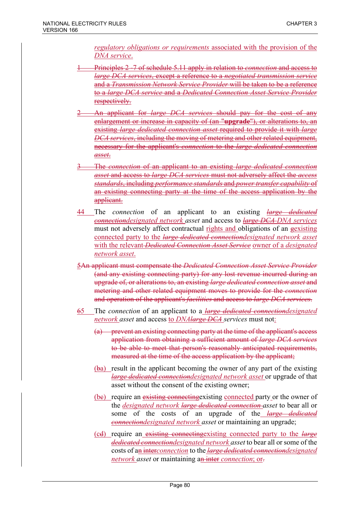*regulatory obligations or requirements* associated with the provision of the *DNA service*.

- 1 Principles 2 -7 of schedule 5.11 apply in relation to *connection* and access to *large DCA services*, except a reference to a *negotiated transmission service* and a *Transmission Network Service Provider* will be taken to be a reference to a *large DCA service* and a *Dedicated Connection Asset Service Provider* respectively.
- 2 An applicant for *large DCA services* should pay for the cost of any enlargement or increase in capacity of (an "**upgrade**"), or alterations to, an existing *large dedicated connection asset* required to provide it with *large DCA services*, including the moving of metering and other related equipment, necessary for the applicant's *connection* to the *large dedicated connection asset*.
- 3 The *connection* of an applicant to an existing *large dedicated connection asset* and access to *large DCA services* must not adversely affect the *access standards*, including *performance standards* and *power transfer capability* of an existing connecting party at the time of the access application by the applicant.
- 44 The *connection* of an applicant to an existing *large dedicated connectiondesignated network asset* and access to *large DCA DNA services* must not adversely affect contractual rights and obligations of an gexisting connected party to the *large dedicated connectiondesignated network asset* with the relevant *Dedicated Connection Asset Service* owner of a *designated network asset*.
- 5An applicant must compensate the *Dedicated Connection Asset Service Provider* (and any existing connecting party) for any lost revenue incurred during an upgrade of, or alterations to, an existing *large dedicated connection asset* and metering and other related equipment moves to provide for the *connection* and operation of the applicant's *facilities* and access to *large DCA services*.
- 65 The *connection* of an applicant to a *large dedicated connectiondesignated network asset* and access to *DNAlarge DCA services* must not:
	- (a) prevent an existing connecting party at the time of the applicant's access application from obtaining a sufficient amount of *large DCA services* to be able to meet that person's reasonably anticipated requirements, measured at the time of the access application by the applicant;
	- (ba) result in the applicant becoming the owner of any part of the existing *large dedicated connectiondesignated network asset* or upgrade of that asset without the consent of the existing owner;
	- (be) require an existing connecting existing connected party or the owner of the *designated network large dedicated connection asset* to bear all or some of the costs of an upgrade of the *large dedicated connectiondesignated network asset* or maintaining an upgrade;
	- (cd) require an existing connectingexisting connected party to the *large dedicated connectiondesignated network asset* to bear all or some of the costs of an inter*connection* to the *large dedicated connectiondesignated network asset* or maintaining an inter *connection*; or-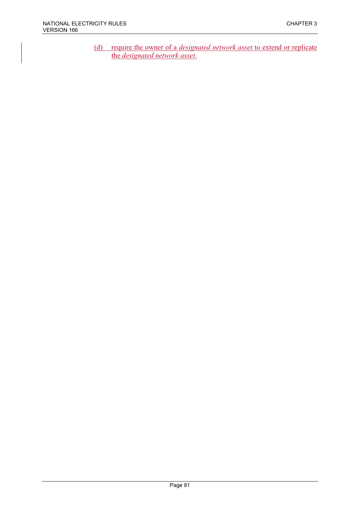(d) require the owner of a *designated network asset* to extend or replicate the *designated network asset*.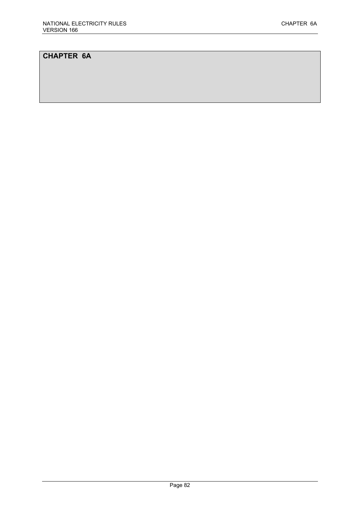# **CHAPTER 6A**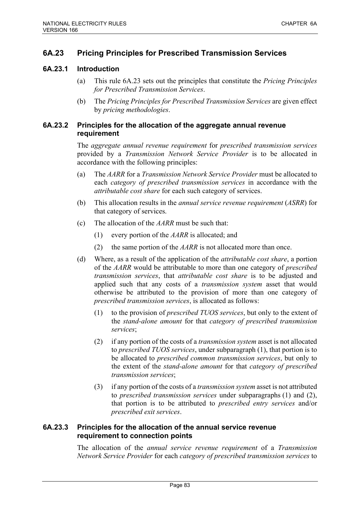# **6A.23 Pricing Principles for Prescribed Transmission Services**

### **6A.23.1 Introduction**

- (a) This rule 6A.23 sets out the principles that constitute the *Pricing Principles for Prescribed Transmission Services*.
- (b) The *Pricing Principles for Prescribed Transmission Services* are given effect by *pricing methodologies*.

### **6A.23.2 Principles for the allocation of the aggregate annual revenue requirement**

The *aggregate annual revenue requirement* for *prescribed transmission services* provided by a *Transmission Network Service Provider* is to be allocated in accordance with the following principles:

- (a) The *AARR* for a *Transmission Network Service Provider* must be allocated to each *category of prescribed transmission services* in accordance with the *attributable cost share* for each such category of services.
- (b) This allocation results in the *annual service revenue requirement* (*ASRR*) for that category of services.
- (c) The allocation of the *AARR* must be such that:
	- (1) every portion of the *AARR* is allocated; and
	- (2) the same portion of the *AARR* is not allocated more than once.
- (d) Where, as a result of the application of the *attributable cost share*, a portion of the *AARR* would be attributable to more than one category of *prescribed transmission services*, that *attributable cost share* is to be adjusted and applied such that any costs of a *transmission system* asset that would otherwise be attributed to the provision of more than one category of *prescribed transmission services*, is allocated as follows:
	- (1) to the provision of *prescribed TUOS services*, but only to the extent of the *stand-alone amount* for that *category of prescribed transmission services*;
	- (2) if any portion of the costs of a *transmission system* asset is not allocated to *prescribed TUOS services*, under subparagraph (1), that portion is to be allocated to *prescribed common transmission services*, but only to the extent of the *stand-alone amount* for that *category of prescribed transmission services*;
	- (3) if any portion of the costs of a *transmission system* asset is not attributed to *prescribed transmission services* under subparagraphs (1) and (2), that portion is to be attributed to *prescribed entry services* and/or *prescribed exit services*.

## **6A.23.3 Principles for the allocation of the annual service revenue requirement to connection points**

The allocation of the *annual service revenue requirement* of a *Transmission Network Service Provider* for each *category of prescribed transmission services* to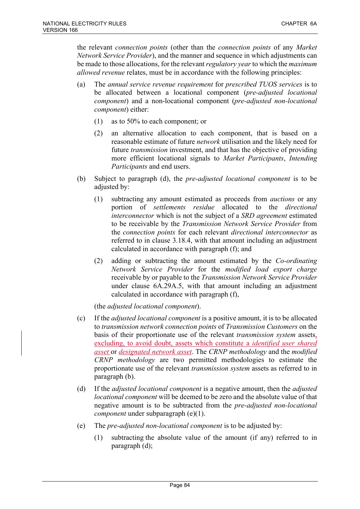the relevant *connection points* (other than the *connection points* of any *Market Network Service Provider*), and the manner and sequence in which adjustments can be made to those allocations, for the relevant *regulatory year* to which the *maximum allowed revenue* relates, must be in accordance with the following principles:

- (a) The *annual service revenue requirement* for *prescribed TUOS services* is to be allocated between a locational component (*pre-adjusted locational component*) and a non-locational component (*pre-adjusted non-locational component*) either:
	- (1) as to 50% to each component; or
	- (2) an alternative allocation to each component, that is based on a reasonable estimate of future *network* utilisation and the likely need for future *transmission* investment, and that has the objective of providing more efficient locational signals to *Market Participants*, *Intending Participants* and end users.
- (b) Subject to paragraph (d), the *pre-adjusted locational component* is to be adjusted by:
	- (1) subtracting any amount estimated as proceeds from *auctions* or any portion of *settlements residue* allocated to the *directional interconnector* which is not the subject of a *SRD agreement* estimated to be receivable by the *Transmission Network Service Provider* from the *connection points* for each relevant *directional interconnector* as referred to in clause 3.18.4, with that amount including an adjustment calculated in accordance with paragraph (f); and
	- (2) adding or subtracting the amount estimated by the *Co-ordinating Network Service Provider* for the *modified load export charge* receivable by or payable to the *Transmission Network Service Provider* under clause 6A.29A.5, with that amount including an adjustment calculated in accordance with paragraph (f),

(the *adjusted locational component*).

- (c) If the *adjusted locational component* is a positive amount, it is to be allocated to *transmission network connection points* of *Transmission Customers* on the basis of their proportionate use of the relevant *transmission system* assets, excluding, to avoid doubt, assets which constitute a *identified user shared asset* or *designated network asset*. The *CRNP methodology* and the *modified CRNP methodology* are two permitted methodologies to estimate the proportionate use of the relevant *transmission system* assets as referred to in paragraph (b).
- (d) If the *adjusted locational component* is a negative amount, then the *adjusted locational component* will be deemed to be zero and the absolute value of that negative amount is to be subtracted from the *pre-adjusted non-locational component* under subparagraph (e)(1).
- (e) The *pre-adjusted non-locational component* is to be adjusted by:
	- (1) subtracting the absolute value of the amount (if any) referred to in paragraph (d);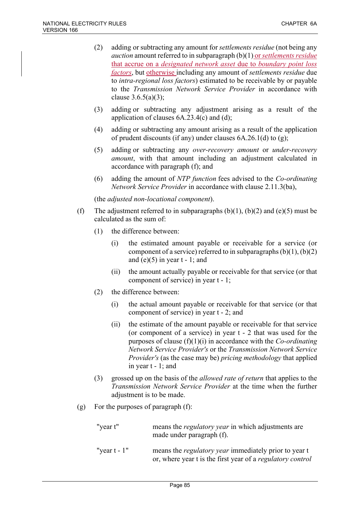- (2) adding or subtracting any amount for *settlements residue* (not being any *auction* amount referred to in subparagraph (b)(1) or *settlements residue* that accrue on a *designated network asset* due to *boundary point loss factors*, but otherwise including any amount of *settlements residue* due to *intra-regional loss factors*) estimated to be receivable by or payable to the *Transmission Network Service Provider* in accordance with clause  $3.6.5(a)(3)$ ;
- (3) adding or subtracting any adjustment arising as a result of the application of clauses 6A.23.4(c) and (d);
- (4) adding or subtracting any amount arising as a result of the application of prudent discounts (if any) under clauses 6A.26.1(d) to (g);
- (5) adding or subtracting any *over-recovery amount* or *under-recovery amount*, with that amount including an adjustment calculated in accordance with paragraph (f); and
- (6) adding the amount of *NTP function* fees advised to the *Co-ordinating Network Service Provider* in accordance with clause 2.11.3(ba),

(the *adjusted non-locational component*).

- (f) The adjustment referred to in subparagraphs  $(b)(1)$ ,  $(b)(2)$  and  $(e)(5)$  must be calculated as the sum of:
	- (1) the difference between:
		- (i) the estimated amount payable or receivable for a service (or component of a service) referred to in subparagraphs  $(b)(1)$ ,  $(b)(2)$ and  $(e)(5)$  in year  $t - 1$ ; and
		- (ii) the amount actually payable or receivable for that service (or that component of service) in year t - 1;
	- (2) the difference between:
		- (i) the actual amount payable or receivable for that service (or that component of service) in year t - 2; and
		- (ii) the estimate of the amount payable or receivable for that service (or component of a service) in year t - 2 that was used for the purposes of clause (f)(1)(i) in accordance with the *Co-ordinating Network Service Provider's* or the *Transmission Network Service Provider's* (as the case may be) *pricing methodology* that applied in year t - 1; and
	- (3) grossed up on the basis of the *allowed rate of return* that applies to the *Transmission Network Service Provider* at the time when the further adjustment is to be made.
- (g) For the purposes of paragraph (f):

| "year t"        | means the <i>regulatory year</i> in which adjustments are<br>made under paragraph (f).                                     |
|-----------------|----------------------------------------------------------------------------------------------------------------------------|
| "year $t - 1$ " | means the <i>regulatory year</i> immediately prior to year t<br>or, where year t is the first year of a regulatory control |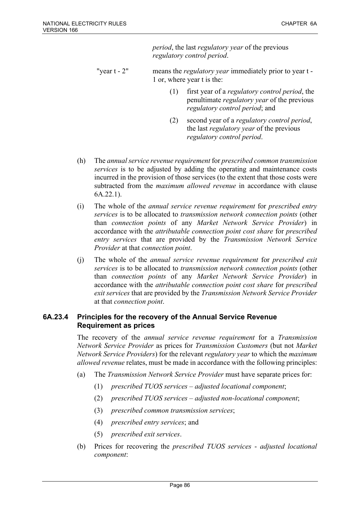*period*, the last *regulatory year* of the previous *regulatory control period*.

- "year t 2" means the *regulatory year* immediately prior to year t 1 or, where year t is the:
	- (1) first year of a *regulatory control period*, the penultimate *regulatory year* of the previous *regulatory control period*; and
	- (2) second year of a *regulatory control period*, the last *regulatory year* of the previous *regulatory control period*.
- (h) The *annual service revenue requirement* for *prescribed common transmission services* is to be adjusted by adding the operating and maintenance costs incurred in the provision of those services (to the extent that those costs were subtracted from the *maximum allowed revenue* in accordance with clause 6A.22.1).
- (i) The whole of the *annual service revenue requirement* for *prescribed entry services* is to be allocated to *transmission network connection points* (other than *connection points* of any *Market Network Service Provider*) in accordance with the *attributable connection point cost share* for *prescribed entry services* that are provided by the *Transmission Network Service Provider* at that *connection point*.
- (j) The whole of the *annual service revenue requirement* for *prescribed exit services* is to be allocated to *transmission network connection points* (other than *connection points* of any *Market Network Service Provider*) in accordance with the *attributable connection point cost share* for *prescribed exit services* that are provided by the *Transmission Network Service Provider* at that *connection point*.

### **6A.23.4 Principles for the recovery of the Annual Service Revenue Requirement as prices**

The recovery of the *annual service revenue requirement* for a *Transmission Network Service Provider* as prices for *Transmission Customers* (but not *Market Network Service Providers*) for the relevant *regulatory year* to which the *maximum allowed revenue* relates, must be made in accordance with the following principles:

- (a) The *Transmission Network Service Provider* must have separate prices for:
	- (1) *prescribed TUOS services adjusted locational component*;
	- (2) *prescribed TUOS services adjusted non-locational component*;
	- (3) *prescribed common transmission services*;
	- (4) *prescribed entry services*; and
	- (5) *prescribed exit services*.
- (b) Prices for recovering the *prescribed TUOS services adjusted locational component*: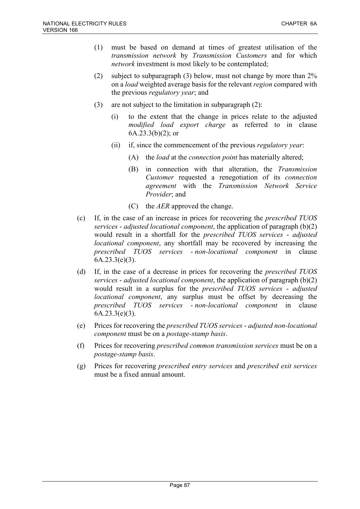- (1) must be based on demand at times of greatest utilisation of the *transmission network* by *Transmission Customers* and for which *network* investment is most likely to be contemplated;
- (2) subject to subparagraph (3) below, must not change by more than 2% on a *load* weighted average basis for the relevant *region* compared with the previous *regulatory year*; and
- (3) are not subject to the limitation in subparagraph (2):
	- (i) to the extent that the change in prices relate to the adjusted *modified load export charge* as referred to in clause  $6A.23.3(b)(2)$ ; or
	- (ii) if, since the commencement of the previous *regulatory year*:
		- (A) the *load* at the *connection point* has materially altered;
		- (B) in connection with that alteration, the *Transmission Customer* requested a renegotiation of its *connection agreement* with the *Transmission Network Service Provider*; and
		- (C) the *AER* approved the change.
- (c) If, in the case of an increase in prices for recovering the *prescribed TUOS services* - *adjusted locational component*, the application of paragraph (b)(2) would result in a shortfall for the *prescribed TUOS services* - *adjusted locational component*, any shortfall may be recovered by increasing the *prescribed TUOS services* - *non-locational component* in clause  $6A.23.3(e)(3)$ .
- (d) If, in the case of a decrease in prices for recovering the *prescribed TUOS services* - *adjusted locational component*, the application of paragraph (b)(2) would result in a surplus for the *prescribed TUOS services* - *adjusted locational component*, any surplus must be offset by decreasing the *prescribed TUOS services* - *non-locational component* in clause  $6A.23.3(e)(3)$ .
- (e) Prices for recovering the *prescribed TUOS services adjusted non-locational component* must be on a *postage-stamp basis*.
- (f) Prices for recovering *prescribed common transmission services* must be on a *postage-stamp basis*.
- (g) Prices for recovering *prescribed entry services* and *prescribed exit services* must be a fixed annual amount.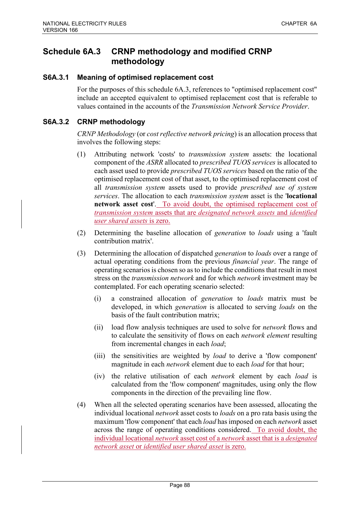# **Schedule 6A.3 CRNP methodology and modified CRNP methodology**

### **S6A.3.1 Meaning of optimised replacement cost**

For the purposes of this schedule 6A.3, references to "optimised replacement cost" include an accepted equivalent to optimised replacement cost that is referable to values contained in the accounts of the *Transmission Network Service Provider*.

### **S6A.3.2 CRNP methodology**

*CRNP Methodology* (or *cost reflective network pricing*) is an allocation process that involves the following steps:

- (1) Attributing network 'costs' to *transmission system* assets: the locational component of the *ASRR* allocated to *prescribed TUOS services* is allocated to each asset used to provide *prescribed TUOS services* based on the ratio of the optimised replacement cost of that asset, to the optimised replacement cost of all *transmission system* assets used to provide *prescribed use of system services*. The allocation to each *transmission system* asset is the '**locational network asset cost**'. To avoid doubt, the optimised replacement cost of *transmission system* assets that are *designated network assets* and *identified user shared assets* is zero.
- (2) Determining the baseline allocation of *generation* to *loads* using a 'fault contribution matrix'.
- (3) Determining the allocation of dispatched *generation* to *loads* over a range of actual operating conditions from the previous *financial year*. The range of operating scenarios is chosen so as to include the conditions that result in most stress on the *transmission network* and for which *network* investment may be contemplated. For each operating scenario selected:
	- (i) a constrained allocation of *generation* to *loads* matrix must be developed, in which *generation* is allocated to serving *loads* on the basis of the fault contribution matrix;
	- (ii) load flow analysis techniques are used to solve for *network* flows and to calculate the sensitivity of flows on each *network element* resulting from incremental changes in each *load*;
	- (iii) the sensitivities are weighted by *load* to derive a 'flow component' magnitude in each *network* element due to each *load* for that hour;
	- (iv) the relative utilisation of each *network* element by each *load* is calculated from the 'flow component' magnitudes, using only the flow components in the direction of the prevailing line flow.
- (4) When all the selected operating scenarios have been assessed, allocating the individual locational *network* asset costs to *loads* on a pro rata basis using the maximum 'flow component' that each *load* has imposed on each *network* asset across the range of operating conditions considered. To avoid doubt, the individual locational *network* asset cost of a *network* asset that is a *designated network asset* or *identified user shared asset* is zero.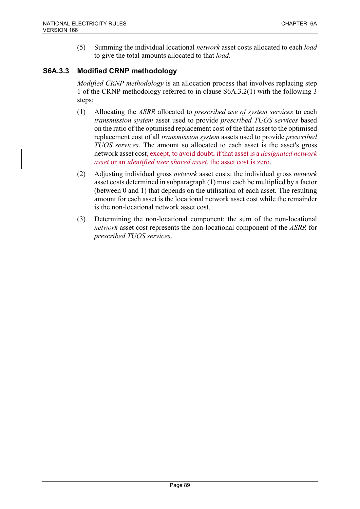(5) Summing the individual locational *network* asset costs allocated to each *load* to give the total amounts allocated to that *load*.

# **S6A.3.3 Modified CRNP methodology**

*Modified CRNP methodology* is an allocation process that involves replacing step 1 of the CRNP methodology referred to in clause S6A.3.2(1) with the following 3 steps:

- (1) Allocating the *ASRR* allocated to *prescribed use of system services* to each *transmission system* asset used to provide *prescribed TUOS services* based on the ratio of the optimised replacement cost of the that asset to the optimised replacement cost of all *transmission system* assets used to provide *prescribed TUOS services*. The amount so allocated to each asset is the asset's gross network asset cost, except, to avoid doubt, if that asset is a *designated network asset* or an *identified user shared asset*, the asset cost is zero.
- (2) Adjusting individual gross *network* asset costs: the individual gross *network* asset costs determined in subparagraph (1) must each be multiplied by a factor (between 0 and 1) that depends on the utilisation of each asset. The resulting amount for each asset is the locational network asset cost while the remainder is the non-locational network asset cost.
- (3) Determining the non-locational component: the sum of the non-locational *network* asset cost represents the non-locational component of the *ASRR* for *prescribed TUOS services*.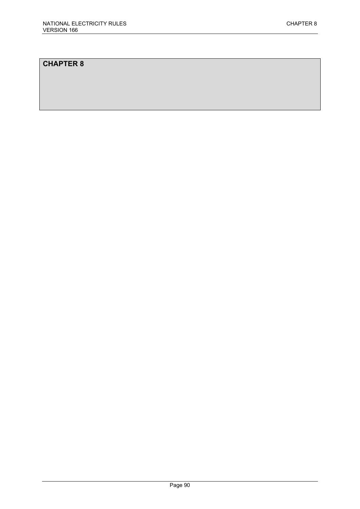# **CHAPTER 8**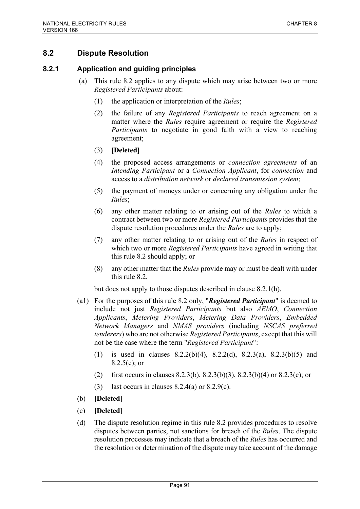# **8.2 Dispute Resolution**

## **8.2.1 Application and guiding principles**

- (a) This rule 8.2 applies to any dispute which may arise between two or more *Registered Participants* about:
	- (1) the application or interpretation of the *Rules*;
	- (2) the failure of any *Registered Participants* to reach agreement on a matter where the *Rules* require agreement or require the *Registered Participants* to negotiate in good faith with a view to reaching agreement;
	- (3) **[Deleted]**
	- (4) the proposed access arrangements or *connection agreements* of an *Intending Participant* or a *Connection Applicant*, for *connection* and access to a *distribution network* or *declared transmission system*;
	- (5) the payment of moneys under or concerning any obligation under the *Rules*;
	- (6) any other matter relating to or arising out of the *Rules* to which a contract between two or more *Registered Participants* provides that the dispute resolution procedures under the *Rules* are to apply;
	- (7) any other matter relating to or arising out of the *Rules* in respect of which two or more *Registered Participants* have agreed in writing that this rule 8.2 should apply; or
	- (8) any other matter that the *Rules* provide may or must be dealt with under this rule 8.2,

but does not apply to those disputes described in clause 8.2.1(h).

- (a1) For the purposes of this rule 8.2 only, "*Registered Participant*" is deemed to include not just *Registered Participants* but also *AEMO*, *Connection Applicants*, *Metering Providers*, *Metering Data Providers*, *Embedded Network Managers* and *NMAS providers* (including *NSCAS preferred tenderers*) who are not otherwise *Registered Participants*, except that this will not be the case where the term "*Registered Participant*":
	- (1) is used in clauses 8.2.2(b)(4), 8.2.2(d), 8.2.3(a), 8.2.3(b)(5) and 8.2.5(e); or
	- (2) first occurs in clauses 8.2.3(b), 8.2.3(b)(3), 8.2.3(b)(4) or 8.2.3(c); or
	- (3) last occurs in clauses  $8.2.4(a)$  or  $8.2.9(c)$ .
- (b) **[Deleted]**
- (c) **[Deleted]**
- (d) The dispute resolution regime in this rule 8.2 provides procedures to resolve disputes between parties, not sanctions for breach of the *Rules*. The dispute resolution processes may indicate that a breach of the *Rules* has occurred and the resolution or determination of the dispute may take account of the damage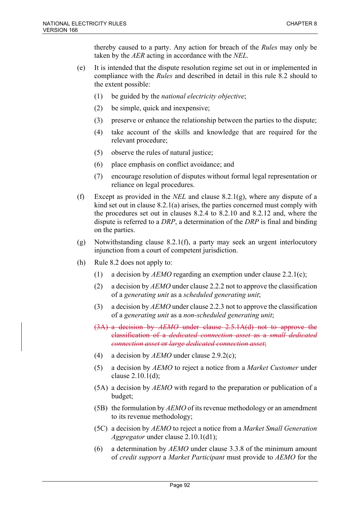thereby caused to a party. Any action for breach of the *Rules* may only be taken by the *AER* acting in accordance with the *NEL*.

- (e) It is intended that the dispute resolution regime set out in or implemented in compliance with the *Rules* and described in detail in this rule 8.2 should to the extent possible:
	- (1) be guided by the *national electricity objective*;
	- (2) be simple, quick and inexpensive;
	- (3) preserve or enhance the relationship between the parties to the dispute;
	- (4) take account of the skills and knowledge that are required for the relevant procedure;
	- (5) observe the rules of natural justice;
	- (6) place emphasis on conflict avoidance; and
	- (7) encourage resolution of disputes without formal legal representation or reliance on legal procedures.
- (f) Except as provided in the *NEL* and clause 8.2.1(g), where any dispute of a kind set out in clause 8.2.1(a) arises, the parties concerned must comply with the procedures set out in clauses 8.2.4 to 8.2.10 and 8.2.12 and, where the dispute is referred to a *DRP*, a determination of the *DRP* is final and binding on the parties.
- (g) Notwithstanding clause 8.2.1(f), a party may seek an urgent interlocutory injunction from a court of competent jurisdiction.
- (h) Rule 8.2 does not apply to:
	- (1) a decision by *AEMO* regarding an exemption under clause 2.2.1(c);
	- (2) a decision by *AEMO* under clause 2.2.2 not to approve the classification of a *generating unit* as a *scheduled generating unit*;
	- (3) a decision by *AEMO* under clause 2.2.3 not to approve the classification of a *generating unit* as a *non-scheduled generating unit*;
	- (3A) a decision by *AEMO* under clause 2.5.1A(d) not to approve the classification of a *dedicated connection asset* as a *small dedicated connection asset* or *large dedicated connection asset*;
	- (4) a decision by *AEMO* under clause 2.9.2(c);
	- (5) a decision by *AEMO* to reject a notice from a *Market Customer* under clause 2.10.1(d);
	- (5A) a decision by *AEMO* with regard to the preparation or publication of a budget;
	- (5B) the formulation by *AEMO* of its revenue methodology or an amendment to its revenue methodology;
	- (5C) a decision by *AEMO* to reject a notice from a *Market Small Generation Aggregator* under clause 2.10.1(d1);
	- (6) a determination by *AEMO* under clause 3.3.8 of the minimum amount of *credit support* a *Market Participant* must provide to *AEMO* for the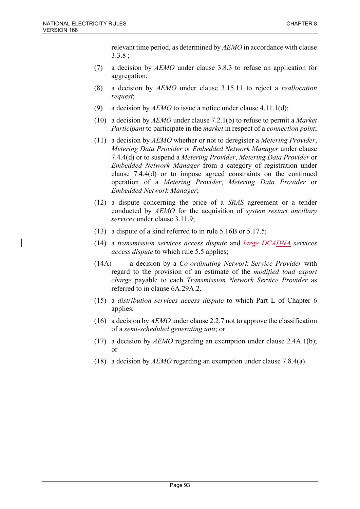relevant time period, as determined by *AEMO* in accordance with clause 3.3.8 ;

- (7) a decision by *AEMO* under clause 3.8.3 to refuse an application for aggregation;
- (8) a decision by *AEMO* under clause 3.15.11 to reject a *reallocation request*;
- (9) a decision by *AEMO* to issue a notice under clause 4.11.1(d);
- (10) a decision by *AEMO* under clause 7.2.1(b) to refuse to permit a *Market Participant* to participate in the *market* in respect of a *connection point*;
- (11) a decision by *AEMO* whether or not to deregister a *Metering Provider*, *Metering Data Provider* or *Embedded Network Manager* under clause 7.4.4(d) or to suspend a *Metering Provider*, *Metering Data Provider* or *Embedded Network Manager* from a category of registration under clause 7.4.4(d) or to impose agreed constraints on the continued operation of a *Metering Provider*, *Metering Data Provider* or *Embedded Network Manager*;
- (12) a dispute concerning the price of a *SRAS* agreement or a tender conducted by *AEMO* for the acquisition of *system restart ancillary services* under clause 3.11.9;
- (13) a dispute of a kind referred to in rule 5.16B or 5.17.5;
- (14) a *transmission services access dispute* and *large DCADNA services access dispute* to which rule 5.5 applies;
- (14A) a decision by a *Co-ordinating Network Service Provider* with regard to the provision of an estimate of the *modified load export charge* payable to each *Transmission Network Service Provider* as referred to in clause 6A.29A.2.
- (15) a *distribution services access dispute* to which Part L of Chapter 6 applies;
- (16) a decision by *AEMO* under clause 2.2.7 not to approve the classification of a *semi-scheduled generating unit*; or
- (17) a decision by *AEMO* regarding an exemption under clause 2.4A.1(b); or
- (18) a decision by *AEMO* regarding an exemption under clause 7.8.4(a).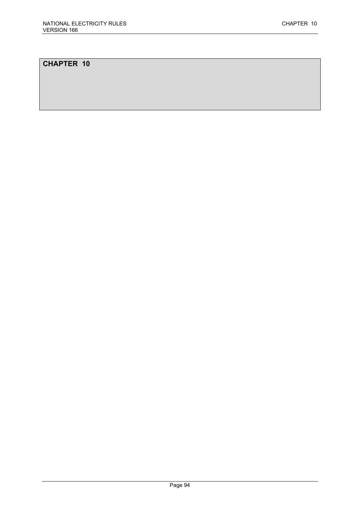# **CHAPTER 10**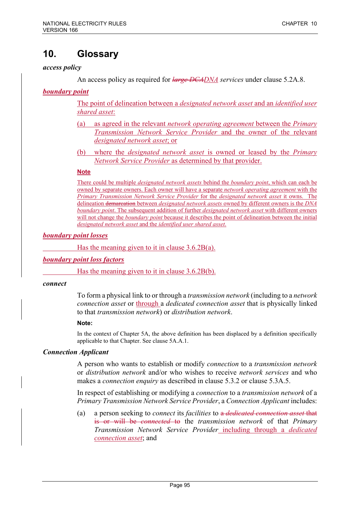# **10. Glossary**

### *access policy*

An access policy as required for *large DCADNA services* under clause 5.2A.8.

*boundary point* 

The point of delineation between a *designated network asset* and an *identified user shared asset*:

- (a) as agreed in the relevant *network operating agreement* between the *Primary Transmission Network Service Provider* and the owner of the relevant *designated network asset*; or
- (b) where the *designated network asset* is owned or leased by the *Primary Network Service Provider* as determined by that provider.

### **Note**

There could be multiple *designated network assets* behind the *boundary point*, which can each be owned by separate owners. Each owner will have a separate *network operating agreement* with the *Primary Transmission Network Service Provider* for the *designated network asset* it owns. The delineation demarcation between *designated network assets* owned by different owners is the *DNA boundary point*. The subsequent addition of further *designated network asset* with different owners will not change the *boundary point* because it describes the point of delineation between the initial *designated network asset* and the *identified user shared asset*.

### *boundary point losses*

Has the meaning given to it in clause 3.6.2B(a).

#### *boundary point loss factors*

Has the meaning given to it in clause 3.6.2B(b).

#### *connect*

To form a physical link to or through a *transmission network* (including to a *network connection asset* or through a *dedicated connection asset* that is physically linked to that *transmission network*) or *distribution network*.

#### **Note:**

In the context of Chapter 5A, the above definition has been displaced by a definition specifically applicable to that Chapter. See clause 5A.A.1.

### *Connection Applicant*

A person who wants to establish or modify *connection* to a *transmission network* or *distribution network* and/or who wishes to receive *network services* and who makes a *connection enquiry* as described in clause 5.3.2 or clause 5.3A.5.

In respect of establishing or modifying a *connection* to a *transmission network* of a *Primary Transmission Network Service Provider*, a *Connection Applicant* includes:

(a) a person seeking to *connect* its *facilities* to a *dedicated connection asset* that is or will be *connected* to the *transmission network* of that *Primary Transmission Network Service Provider* including through a *dedicated connection asset*; and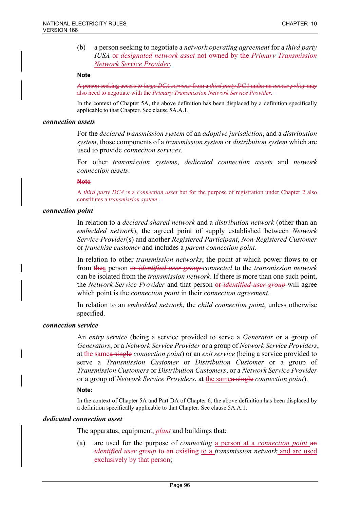(b) a person seeking to negotiate a *network operating agreement* for a *third party IUSA* or *designated network asset* not owned by the *Primary Transmission Network Service Provider*.

#### **Note**

A person seeking access to *large DCA services* from a *third party DCA* under an *access policy* may also need to negotiate with the *Primary Transmission Network Service Provider*.

In the context of Chapter 5A, the above definition has been displaced by a definition specifically applicable to that Chapter. See clause 5A.A.1.

#### *connection assets*

For the *declared transmission system* of an *adoptive jurisdiction*, and a *distribution system*, those components of a *transmission system* or *distribution system* which are used to provide *connection services*.

For other *transmission systems*, *dedicated connection assets* and *network connection assets*.

#### **Note**

A *third party DCA* is a *connection asset* but for the purpose of registration under Chapter 2 also constitutes a *transmission system*.

#### *connection point*

In relation to a *declared shared network* and a *distribution network* (other than an *embedded network*), the agreed point of supply established between *Network Service Provider*(s) and another *Registered Participant*, *Non-Registered Customer* or *franchise customer* and includes a *parent connection point*.

In relation to other *transmission networks*, the point at which power flows to or from thea person or *identified user group connected* to the *transmission network* can be isolated from the *transmission network*. If there is more than one such point, the *Network Service Provider* and that person or *identified user group* will agree which point is the *connection point* in their *connection agreement*.

In relation to an *embedded network*, the *child connection point*, unless otherwise specified.

#### *connection service*

An *entry service* (being a service provided to serve a *Generator* or a group of *Generators*, or a *Network Service Provider* or a group of *Network Service Providers*, at the samea single *connection point*) or an *exit service* (being a service provided to serve a *Transmission Customer* or *Distribution Customer* or a group of *Transmission Customers* or *Distribution Customers*, or a *Network Service Provider* or a group of *Network Service Providers*, at the samea single *connection point*).

#### **Note:**

In the context of Chapter 5A and Part DA of Chapter 6, the above definition has been displaced by a definition specifically applicable to that Chapter. See clause 5A.A.1.

#### *dedicated connection asset*

The apparatus, equipment, *plant* and buildings that:

(a) are used for the purpose of *connecting* a person at a *connection point* an *identified user group* to an existing to a *transmission network* and are used exclusively by that person;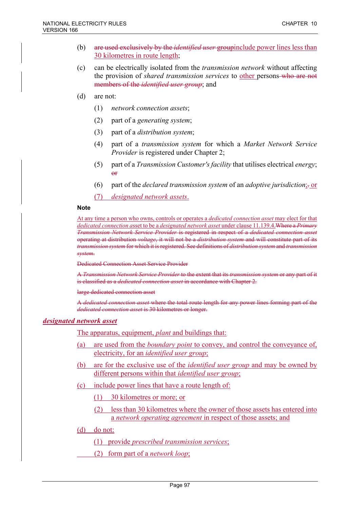- (b) are used exclusively by the *identified user* groupinclude power lines less than 30 kilometres in route length;
- (c) can be electrically isolated from the *transmission network* without affecting the provision of *shared transmission services* to other persons-who are not members of the *identified user group*; and
- (d) are not:
	- (1) *network connection assets*;
	- (2) part of a *generating system*;
	- (3) part of a *distribution system*;
	- (4) part of a *transmission system* for which a *Market Network Service Provider* is registered under Chapter 2;
	- (5) part of a *Transmission Customer's facility* that utilises electrical *energy*; or
	- (6) part of the *declared transmission system* of an *adoptive jurisdiction*;. or
	- (7) *designated network assets*.

#### **Note**

At any time a person who owns, controls or operates a *dedicated connection asset* may elect for that *dedicated connection a*sset to be a *designated network asset* under clause 11.139.4.Where a *Primary Transmission Network Service Provider* is registered in respect of a *dedicated connection asset* operating at distribution *voltage*, it will not be a *distribution system* and will constitute part of its *transmission system* for which it is registered. See definitions of *distribution system* and *transmission system*.

Dedicated Connection Asset Service Provider

A *Transmission Network Service Provider* to the extent that its *transmission system* or any part of it is classified as a *dedicated connection asset* in accordance with Chapter 2.

large dedicated connection asset

A *dedicated connection asset* where the total route length for any power lines forming part of the *dedicated connection asset* is 30 kilometres or longer.

#### *designated network asset*

The apparatus, equipment, *plant* and buildings that:

- (a) are used from the *boundary point* to convey, and control the conveyance of, electricity, for an *identified user group*;
- (b) are for the exclusive use of the *identified user group* and may be owned by different persons within that *identified user group*;
- (c) include power lines that have a route length of:
	- (1) 30 kilometres or more; or
	- (2) less than 30 kilometres where the owner of those assets has entered into a *network operating agreement* in respect of those assets; and
- (d) do not:
	- (1) provide *prescribed transmission services*;
	- (2) form part of a *network loop*;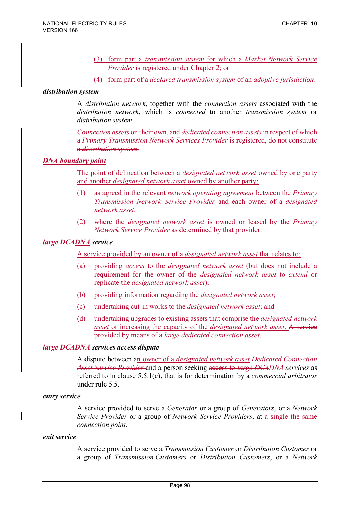- (3) form part a *transmission system* for which a *Market Network Service Provider* is registered under Chapter 2; or
- (4) form part of a *declared transmission system* of an *adoptive jurisdiction*.

### *distribution system*

A *distribution network*, together with the *connection assets* associated with the *distribution network*, which is *connected* to another *transmission system* or *distribution system*.

*Connection assets* on their own, and *dedicated connection assets*in respect of which a *Primary Transmission Network Services Provider* is registered, do not constitute a *distribution system*.

### *DNA boundary point*

The point of delineation between a *designated network asset* owned by one party and another *designated network asset* owned by another party:

- (1) as agreed in the relevant *network operating agreement* between the *Primary Transmission Network Service Provider* and each owner of a *designated network asset*;
- (2) where the *designated network asset* is owned or leased by the *Primary Network Service Provider* as determined by that provider.

### *large DCADNA service*

A service provided by an owner of a *designated network asset* that relates to:

- (a) providing *access* to the *designated network asset* (but does not include a requirement for the owner of the *designated network asset* to *extend* or replicate the *designated network asset*);
- (b) providing information regarding the *designated network asset*;
- (c) undertaking cut-in works to the *designated network asset*; and
	- (d) undertaking upgrades to existing assets that comprise the *designated network asset* or increasing the capacity of the *designated network asset*. A service provided by means of a *large dedicated connection asset*.

### *large DCADNA services access dispute*

A dispute between an owner of a *designated network asset Dedicated Connection Asset Service Provider* and a person seeking access to *large DCADNA services* as referred to in clause 5.5.1(c), that is for determination by a *commercial arbitrator* under rule 5.5.

### *entry service*

A service provided to serve a *Generator* or a group of *Generators*, or a *Network Service Provider* or a group of *Network Service Providers*, at a single the same *connection point*.

### *exit service*

A service provided to serve a *Transmission Customer* or *Distribution Customer* or a group of *Transmission Customers* or *Distribution Customers*, or a *Network*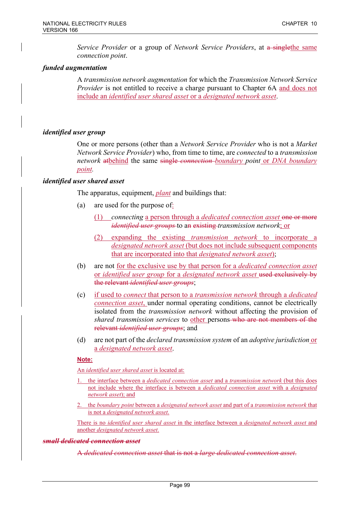*Service Provider* or a group of *Network Service Providers*, at a singlethe same *connection point*.

### *funded augmentation*

A *transmission network augmentation* for which the *Transmission Network Service Provider* is not entitled to receive a charge pursuant to Chapter 6A and does not include an *identified user shared asset* or a *designated network asset*.

### *identified user group*

One or more persons (other than a *Network Service Provider* who is not a *Market Network Service Provider*) who, from time to time, are *connected* to a *transmission network* atbehind the same single *connection boundary point* or *DNA boundary point.*

### *identified user shared asset*

The apparatus, equipment, *plant* and buildings that:

- (a) are used for the purpose of:
	- (1) *connecting* a person through a *dedicated connection asset* one or more *identified user groups* to an existing *transmission network*; or
	- (2) expanding the existing *transmission network* to incorporate a *designated network asset* (but does not include subsequent components that are incorporated into that *designated network asset*);
- (b) are not for the exclusive use by that person for a *dedicated connection asset* or *identified user group* for a *designated network asset* used exclusively by the relevant *identified user groups*;
- (c) if used to *connect* that person to a *transmission network* through a *dedicated connection asset*, under normal operating conditions, cannot be electrically isolated from the *transmission network* without affecting the provision of *shared transmission services* to other persons who are not members of the relevant *identified user groups*; and
- (d) are not part of the *declared transmission system* of an *adoptive jurisdiction* or a *designated network asset*.

### **Note:**

An *identified user shared asset* is located at:

- 1. the interface between a *dedicated connection asset* and a *transmission network* (but this does not include where the interface is between a *dedicated connection asset* with a *designated network asset*); and
- 2. the *boundary point* between a *designated network asset* and part of a *transmission network* that is not a *designated network asset*.

There is no *identified user shared asset* in the interface between a *designated network asset* and another *designated network asset*.

#### *small dedicated connection asset*

A *dedicated connection asset* that is not a *large dedicated connection asset*.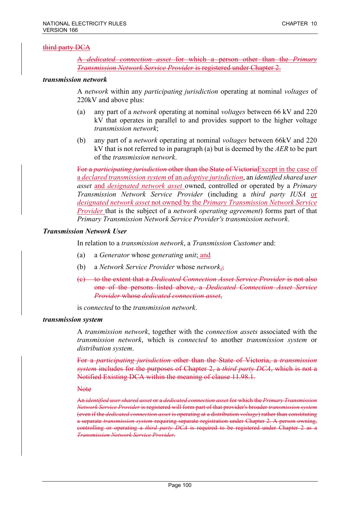### third party DCA

A *dedicated connection asset* for which a person other than the *Primary Transmission Network Service Provider* is registered under Chapter 2.

#### *transmission network*

A *network* within any *participating jurisdiction* operating at nominal *voltages* of 220kV and above plus:

- (a) any part of a *network* operating at nominal *voltages* between 66 kV and 220 kV that operates in parallel to and provides support to the higher voltage *transmission network*;
- (b) any part of a *network* operating at nominal *voltages* between 66kV and 220 kV that is not referred to in paragraph (a) but is deemed by the *AER* to be part of the *transmission network*.

For a *participating jurisdiction* other than the State of VictoriaExcept in the case of a *declared transmission system* of an *adoptive jurisdiction*, an *identified shared user asset* and *designated network asset* owned, controlled or operated by a *Primary Transmission Network Service Provider* (including a *third party IUSA* or *designated network asset* not owned by the *Primary Transmission Network Service Provider* that is the subject of a *network operating agreement*) forms part of that *Primary Transmission Network Service Provider's transmission network*.

#### *Transmission Network User*

In relation to a *transmission network*, a *Transmission Customer* and:

- (a) a *Generator* whose *generating unit*; and
- (b) a *Network Service Provider* whose *network*,;
- (c) to the extent that a *Dedicated Connection Asset Service Provider* is not also one of the persons listed above, a *Dedicated Connection Asset Service Provider* whose *dedicated connection asset*,

is *connected* to the *transmission network*.

### *transmission system*

A *transmission network*, together with the *connection assets* associated with the *transmission network*, which is *connected* to another *transmission system* or *distribution system*.

For a *participating jurisdiction* other than the State of Victoria, a *transmission system* includes for the purposes of Chapter 2, a *third party DCA*, which is not a Notified Existing DCA within the meaning of clause 11.98.1.

**Note** 

An *identified user shared asset* or a *dedicated connection asset* for which the *Primary Transmission Network Service Provider* is registered will form part of that provider's broader *transmission system* (even if the *dedicated connection asset* is operating at a distribution *voltage*) rather than constituting a separate *transmission system* requiring separate registration under Chapter 2. A person owning, controlling or operating a *third party DCA* is required to be registered under Chapter 2 as a *Transmission Network Service Provider*.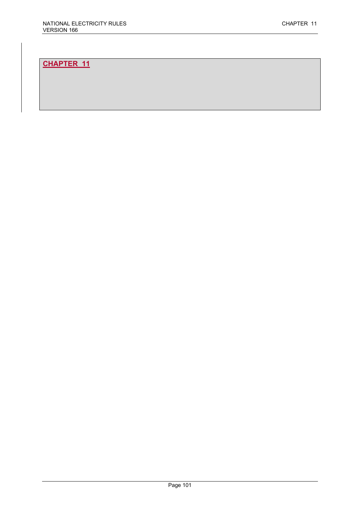# **CHAPTER 11**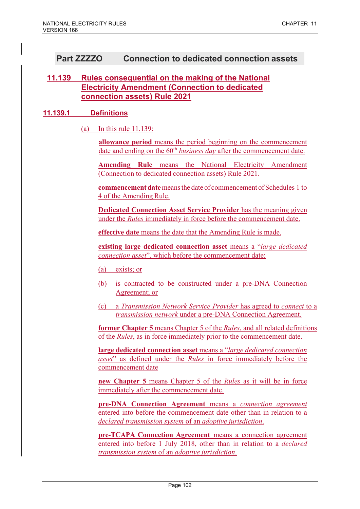# **Part ZZZZO Connection to dedicated connection assets**

# **11.139 Rules consequential on the making of the National Electricity Amendment (Connection to dedicated connection assets) Rule 2021**

### **11.139.1 Definitions**

(a) In this rule 11.139:

**allowance period** means the period beginning on the commencement date and ending on the 60<sup>th</sup> *business day* after the commencement date.

**Amending Rule** means the National Electricity Amendment (Connection to dedicated connection assets) Rule 2021.

**commencement date** means the date of commencement of Schedules 1 to 4 of the Amending Rule.

**Dedicated Connection Asset Service Provider** has the meaning given under the *Rules* immediately in force before the commencement date.

**effective date** means the date that the Amending Rule is made.

**existing large dedicated connection asset** means a "*large dedicated connection asset*", which before the commencement date:

(a) exists; or

- (b) is contracted to be constructed under a pre-DNA Connection Agreement; or
- (c) a *Transmission Network Service Provider* has agreed to *connect* to a *transmission network* under a pre-DNA Connection Agreement.

**former Chapter 5** means Chapter 5 of the *Rules*, and all related definitions of the *Rules*, as in force immediately prior to the commencement date.

**large dedicated connection asset** means a "*large dedicated connection asset*" as defined under the *Rules* in force immediately before the commencement date

**new Chapter 5** means Chapter 5 of the *Rules* as it will be in force immediately after the commencement date.

**pre-DNA Connection Agreement** means a *connection agreement*  entered into before the commencement date other than in relation to a *declared transmission system* of an *adoptive jurisdiction*.

**pre-TCAPA Connection Agreement** means a connection agreement entered into before 1 July 2018, other than in relation to a *declared transmission system* of an *adoptive jurisdiction*.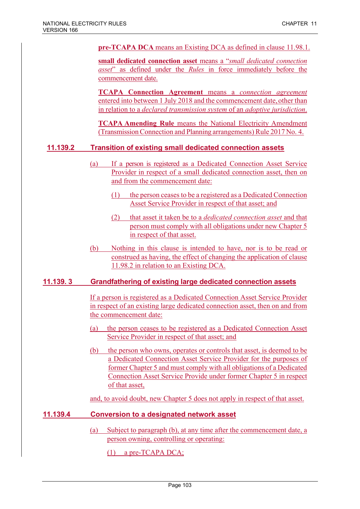**pre-TCAPA DCA** means an Existing DCA as defined in clause 11.98.1.

**small dedicated connection asset** means a "*small dedicated connection asset*" as defined under the *Rules* in force immediately before the commencement date.

**TCAPA Connection Agreement** means a *connection agreement*  entered into between 1 July 2018 and the commencement date, other than in relation to a *declared transmission system* of an *adoptive jurisdiction*.

**TCAPA Amending Rule** means the National Electricity Amendment (TransmissionConnection and Planning arrangements) Rule 2017 No. 4.

## **11.139.2 Transition of existing small dedicated connection assets**

- (a) If a person is registered as a Dedicated Connection Asset Service Provider in respect of a small dedicated connection asset, then on and from the commencement date:
	- (1) the person ceases to be a registered as a Dedicated Connection Asset Service Provider in respect of that asset; and
	- (2) that asset it taken be to a *dedicated connection asset* and that person must comply with all obligations under new Chapter 5 in respect of that asset.
- (b) Nothing in this clause is intended to have, nor is to be read or construed as having, the effect of changing the application of clause 11.98.2 in relation to an Existing DCA.

## **11.139. 3 Grandfathering of existing large dedicated connection assets**

If a person is registered as a Dedicated Connection Asset Service Provider in respect of an existing large dedicated connection asset, then on and from the commencement date:

- (a) the person ceases to be registered as a Dedicated Connection Asset Service Provider in respect of that asset; and
- (b) the person who owns, operates or controls that asset, is deemed to be a Dedicated Connection Asset Service Provider for the purposes of former Chapter 5 and must comply with all obligations of a Dedicated Connection Asset Service Provide under former Chapter 5 in respect of that asset,

and, to avoid doubt, new Chapter 5 does not apply in respect of that asset.

## **11.139.4 Conversion to a designated network asset**

(a) Subject to paragraph (b), at any time after the commencement date, a person owning, controlling or operating:

(1) a pre-TCAPA DCA;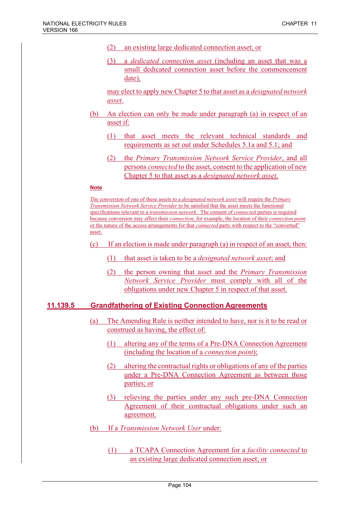- (2) an existing large dedicated connection asset; or
- (3) a *dedicated connection asset* (including an asset that was a small dedicated connection asset before the commencement date),

may elect to apply new Chapter 5 to that asset as a *designated network asset*.

- (b) An election can only be made under paragraph (a) in respect of an asset if:
	- (1) that asset meets the relevant technical standards and requirements as set out under Schedules 5.1a and 5.1; and
	- (2) the *Primary Transmission Network Service Provider*, and all persons *connected* to the asset, consent to the application of new Chapter 5 to that asset as a *designated network asset*.

#### **Note**

The conversion of one of these assets to a *designated network asset* will require the *Primary Transmission Network Service Provider* to be satisfied that the asset meets the functional specifications relevant to a *transmission network*. The consent of *connected* parties is required because conversion may affect their *connection*, for example, the location of their *connection point* or the nature of the access arrangements for that *connected* party with respect to the "converted" asset.

- (c) If an election is made under paragraph (a) in respect of an asset, then:
	- (1) that asset is taken to be a *designated network asset*; and
	- (2) the person owning that asset and the *Primary Transmission Network Service Provider* must comply with all of the obligations under new Chapter 5 in respect of that asset.

### **11.139.5 Grandfathering of Existing Connection Agreements**

- (a) The Amending Rule is neither intended to have, nor is it to be read or construed as having, the effect of:
	- (1) altering any of the terms of a Pre-DNA Connection Agreement (including the location of a *connection point*);
	- (2) altering the contractual rights or obligations of any of the parties under a Pre-DNA Connection Agreement as between those parties; or
	- (3) relieving the parties under any such pre-DNA Connection Agreement of their contractual obligations under such an agreement.
- (b) If a *Transmission Network User* under:
	- (1) a TCAPA Connection Agreement for a *facility connected* to an existing large dedicated connection asset; or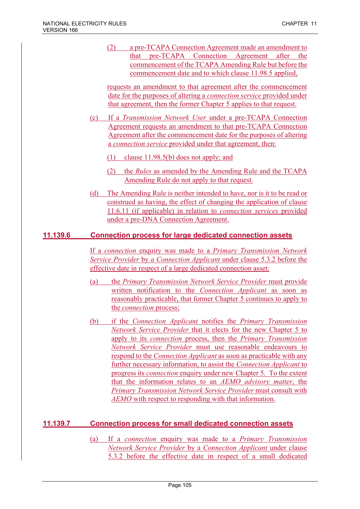(2) a pre-TCAPA Connection Agreement made an amendment to that pre-TCAPA Connection Agreement after the commencement of the TCAPA Amending Rule but before the commencement date and to which clause 11.98.5 applied,

requests an amendment to that agreement after the commencement date for the purposes of altering a *connection service* provided under that agreement, then the former Chapter 5 applies to that request.

- (c) If a *Transmission Network User* under a pre-TCAPA Connection Agreement requests an amendment to that pre-TCAPA Connection Agreement after the commencement date for the purposes of altering a *connection service* provided under that agreement, then:
	- (1) clause 11.98.5(b) does not apply; and
	- (2) the *Rules* as amended by the Amending Rule and the TCAPA Amending Rule do not apply to that request.
- (d) The Amending Rule is neither intended to have, nor is it to be read or construed as having, the effect of changing the application of clause 11.6.11 (if applicable) in relation to *connection services* provided under a pre-DNA Connection Agreement.

## **11.139.6 Connection process for large dedicated connection assets**

If a *connection* enquiry was made to a *Primary Transmission Network Service Provider* by *a Connection Applicant* under clause 5.3.2 before the effective date in respect of a large dedicated connection asset:

- (a) the *Primary Transmission Network Service Provider* must provide written notification to the *Connection Applicant* as soon as reasonably practicable, that former Chapter 5 continues to apply to the *connection* process;
- (b) if the *Connection Applicant* notifies the *Primary Transmission Network Service Provider* that it elects for the new Chapter 5 to apply to its *connection* process, then the *Primary Transmission Network Service Provider* must use reasonable endeavours to respond to the *Connection Applicant* as soon as practicable with any further necessary information, to assist the *Connection Applicant* to progress its *connection* enquiry under new Chapter 5. To the extent that the information relates to an *AEMO advisory matter*, the *Primary Transmission Network Service Provider* must consult with *AEMO* with respect to responding with that information.

# **11.139.7 Connection process for small dedicated connection assets**

(a) If a *connection* enquiry was made to a *Primary Transmission Network Service Provider* by a *Connection Applicant* under clause 5.3.2 before the effective date in respect of a small dedicated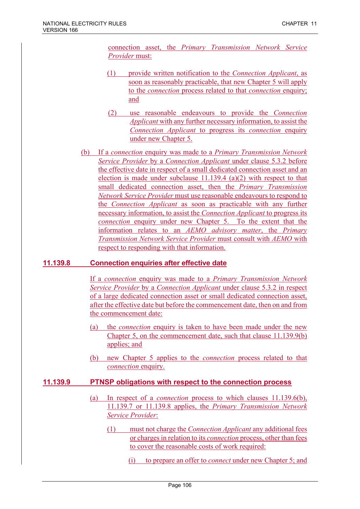connection asset, the *Primary Transmission Network Service Provider* must:

- (1) provide written notification to the *Connection Applicant*, as soon as reasonably practicable, that new Chapter 5 will apply to the *connection* process related to that *connection* enquiry; and
- (2) use reasonable endeavours to provide the *Connection Applicant* with any further necessary information, to assist the *Connection Applicant* to progress its *connection* enquiry under new Chapter 5.
- (b) If a *connection* enquiry was made to a *Primary Transmission Network Service Provider* by a *Connection Applicant* under clause 5.3.2 before the effective date in respect of a small dedicated connection asset and an election is made under subclause 11.139.4 (a)(2) with respect to that small dedicated connection asset, then the *Primary Transmission Network Service Provider* must use reasonable endeavours to respond to the *Connection Applicant* as soon as practicable with any further necessary information, to assist the *Connection Applicant* to progress its *connection* enquiry under new Chapter 5. To the extent that the information relates to an *AEMO advisory matter*, the *Primary Transmission Network Service Provider* must consult with *AEMO* with respect to responding with that information.

## **11.139.8 Connection enquiries after effective date**

If a *connection* enquiry was made to a *Primary Transmission Network Service Provider* by a *Connection Applicant* under clause 5.3.2 in respect of a large dedicated connection asset or small dedicated connection asset, after the effective date but before the commencement date, then on and from the commencement date:

- (a) the *connection* enquiry is taken to have been made under the new Chapter 5, on the commencement date, such that clause 11.139.9(b) applies; and
- (b) new Chapter 5 applies to the *connection* process related to that *connection* enquiry.

## **11.139.9 PTNSP obligations with respect to the connection process**

- (a) In respect of a *connection* process to which clauses 11.139.6(b), 11.139.7 or 11.139.8 applies, the *Primary Transmission Network Service Provider*:
	- (1) must not charge the *Connection Applicant* any additional fees or charges in relation to its *connection* process, other than fees to cover the reasonable costs of work required:
		- (i) to prepare an offer to *connect* under new Chapter 5; and